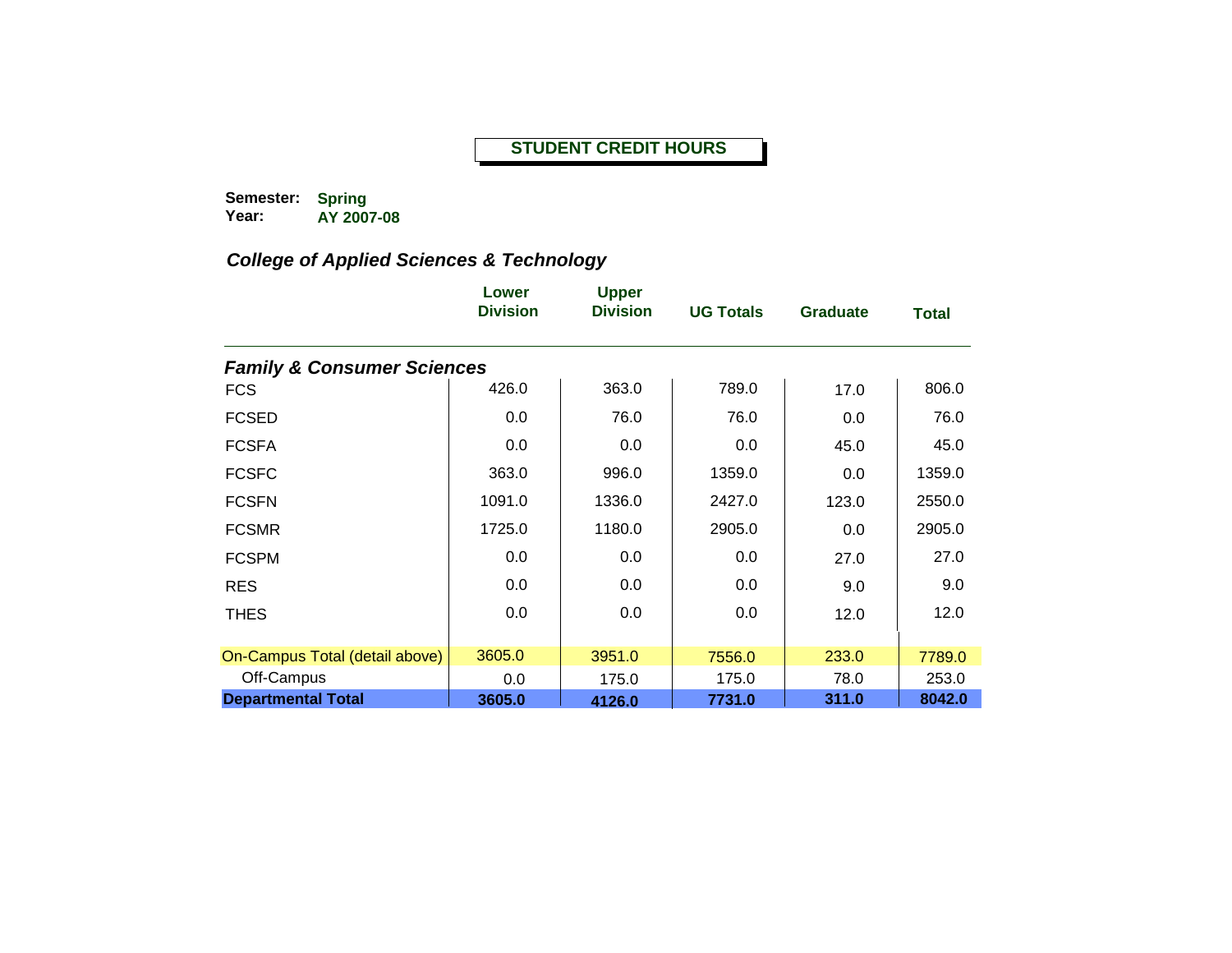#### **STUDENT CREDIT HOURS**

**Semester: Year: Spring AY 2007-08**

|                                       | Lower<br><b>Division</b> | <b>Upper</b><br><b>Division</b> | <b>UG Totals</b> | <b>Graduate</b> | <b>Total</b> |
|---------------------------------------|--------------------------|---------------------------------|------------------|-----------------|--------------|
| <b>Family &amp; Consumer Sciences</b> |                          |                                 |                  |                 |              |
| <b>FCS</b>                            | 426.0                    | 363.0                           | 789.0            | 17.0            | 806.0        |
| <b>FCSED</b>                          | 0.0                      | 76.0                            | 76.0             | 0.0             | 76.0         |
| <b>FCSFA</b>                          | 0.0                      | 0.0                             | 0.0              | 45.0            | 45.0         |
| <b>FCSFC</b>                          | 363.0                    | 996.0                           | 1359.0           | 0.0             | 1359.0       |
| <b>FCSFN</b>                          | 1091.0                   | 1336.0                          | 2427.0           | 123.0           | 2550.0       |
| <b>FCSMR</b>                          | 1725.0                   | 1180.0                          | 2905.0           | 0.0             | 2905.0       |
| <b>FCSPM</b>                          | 0.0                      | 0.0                             | 0.0              | 27.0            | 27.0         |
| <b>RES</b>                            | 0.0                      | 0.0                             | 0.0              | 9.0             | 9.0          |
| <b>THES</b>                           | 0.0                      | 0.0                             | 0.0              | 12.0            | 12.0         |
|                                       |                          |                                 |                  |                 |              |
| On-Campus Total (detail above)        | 3605.0                   | 3951.0                          | 7556.0           | 233.0           | 7789.0       |
| Off-Campus                            | 0.0                      | 175.0                           | 175.0            | 78.0            | 253.0        |
| <b>Departmental Total</b>             | 3605.0                   | 4126.0                          | 7731.0           | 311.0           | 8042.0       |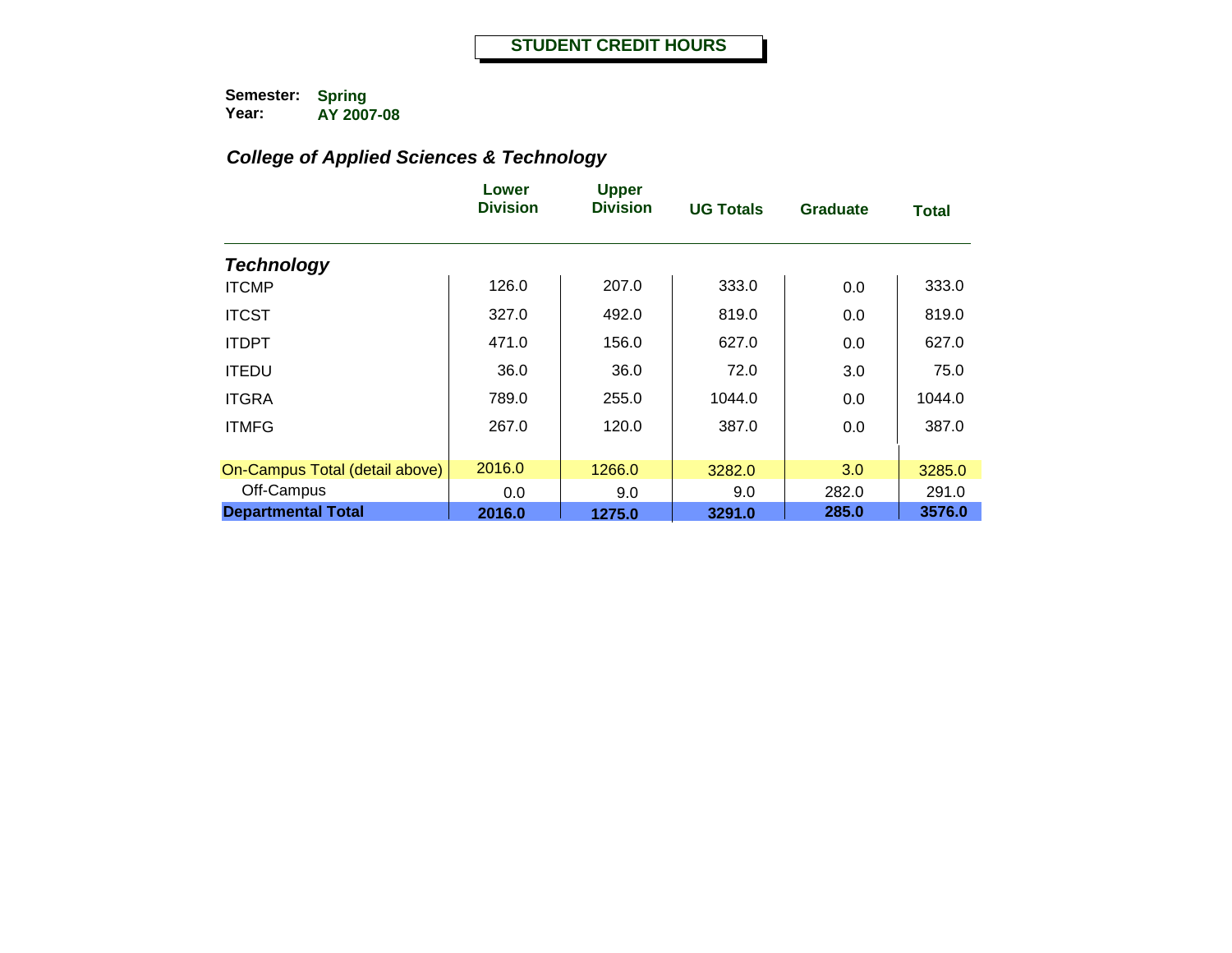|                                | Lower<br><b>Division</b> | <b>Upper</b><br><b>Division</b> | <b>UG Totals</b> | <b>Graduate</b> | <b>Total</b> |
|--------------------------------|--------------------------|---------------------------------|------------------|-----------------|--------------|
| <b>Technology</b>              |                          |                                 |                  |                 |              |
| <b>ITCMP</b>                   | 126.0                    | 207.0                           | 333.0            | 0.0             | 333.0        |
| <b>ITCST</b>                   | 327.0                    | 492.0                           | 819.0            | 0.0             | 819.0        |
| <b>ITDPT</b>                   | 471.0                    | 156.0                           | 627.0            | 0.0             | 627.0        |
| <b>ITEDU</b>                   | 36.0                     | 36.0                            | 72.0             | 3.0             | 75.0         |
| <b>ITGRA</b>                   | 789.0                    | 255.0                           | 1044.0           | 0.0             | 1044.0       |
| <b>ITMFG</b>                   | 267.0                    | 120.0                           | 387.0            | 0.0             | 387.0        |
| On-Campus Total (detail above) | 2016.0                   | 1266.0                          | 3282.0           | 3.0             | 3285.0       |
| Off-Campus                     | 0.0                      | 9.0                             | 9.0              | 282.0           | 291.0        |
| <b>Departmental Total</b>      | 2016.0                   | 1275.0                          | 3291.0           | 285.0           | 3576.0       |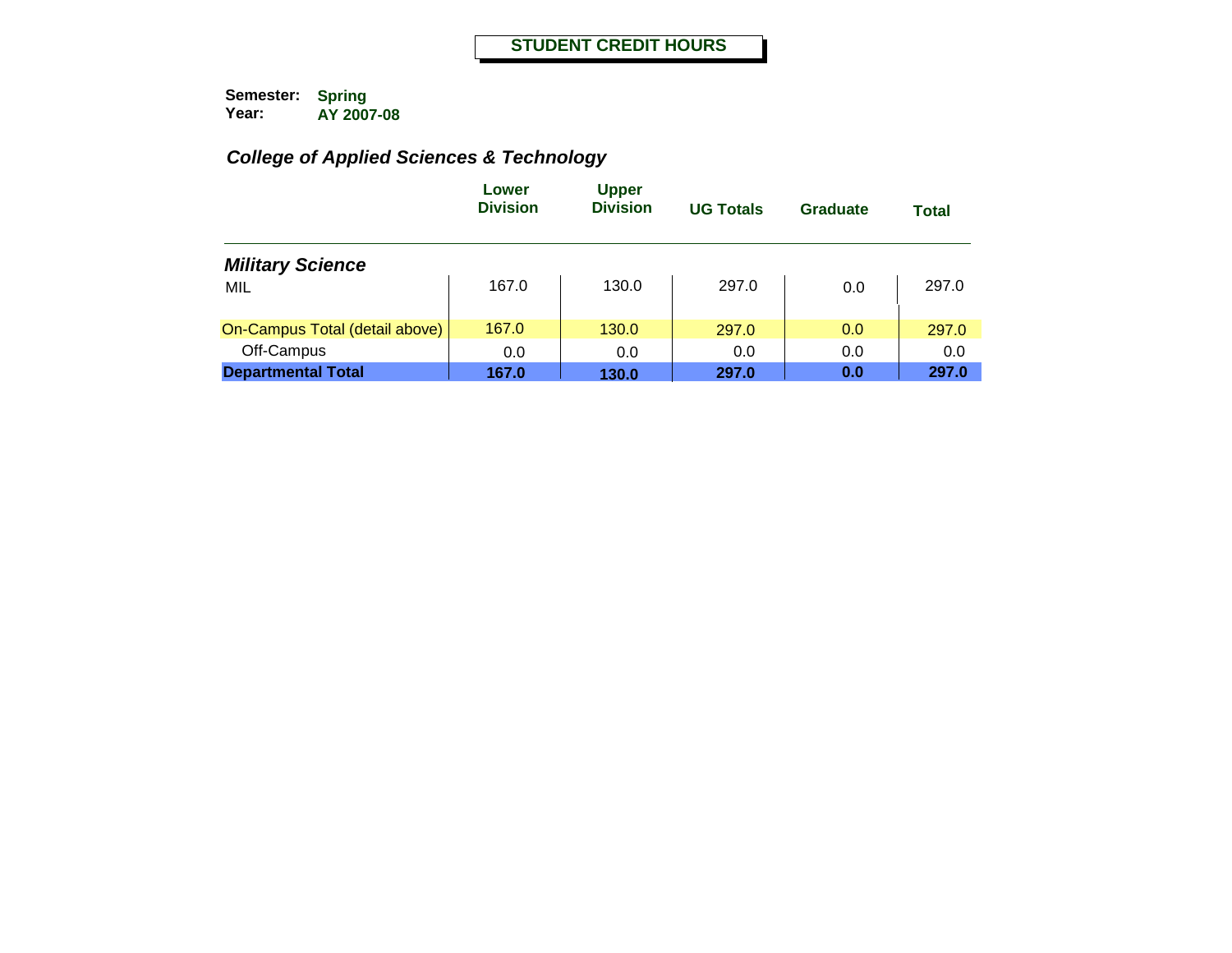|                                | Lower<br><b>Division</b> | <b>Upper</b><br><b>Division</b> | <b>UG Totals</b> | Graduate | <b>Total</b> |
|--------------------------------|--------------------------|---------------------------------|------------------|----------|--------------|
| <b>Military Science</b>        |                          |                                 |                  |          |              |
| MIL                            | 167.0                    | 130.0                           | 297.0            | 0.0      | 297.0        |
| On-Campus Total (detail above) | 167.0                    | 130.0                           | 297.0            | 0.0      | 297.0        |
| Off-Campus                     | 0.0                      | 0.0                             | 0.0              | 0.0      | 0.0          |
| <b>Departmental Total</b>      | 167.0                    | 130.0                           | 297.0            | 0.0      | 297.0        |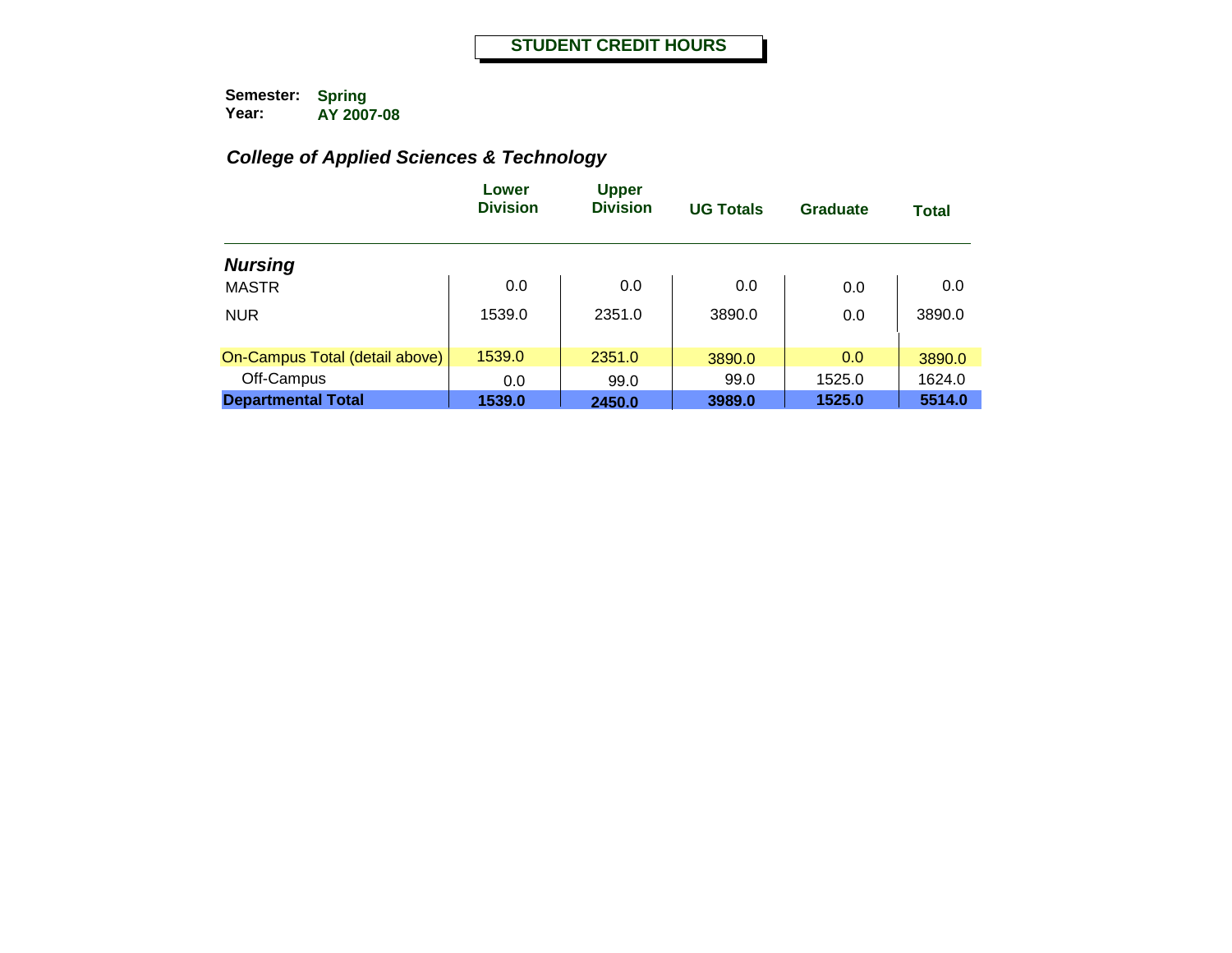|                                | Lower<br><b>Division</b> | <b>Upper</b><br><b>Division</b> | <b>UG Totals</b> | Graduate | <b>Total</b> |
|--------------------------------|--------------------------|---------------------------------|------------------|----------|--------------|
| <b>Nursing</b>                 |                          |                                 |                  |          |              |
| <b>MASTR</b>                   | 0.0                      | 0.0                             | 0.0              | 0.0      | 0.0          |
| <b>NUR</b>                     | 1539.0                   | 2351.0                          | 3890.0           | 0.0      | 3890.0       |
| On-Campus Total (detail above) | 1539.0                   | 2351.0                          | 3890.0           | 0.0      | 3890.0       |
| Off-Campus                     | 0.0                      | 99.0                            | 99.0             | 1525.0   | 1624.0       |
| <b>Departmental Total</b>      | 1539.0                   | 2450.0                          | 3989.0           | 1525.0   | 5514.0       |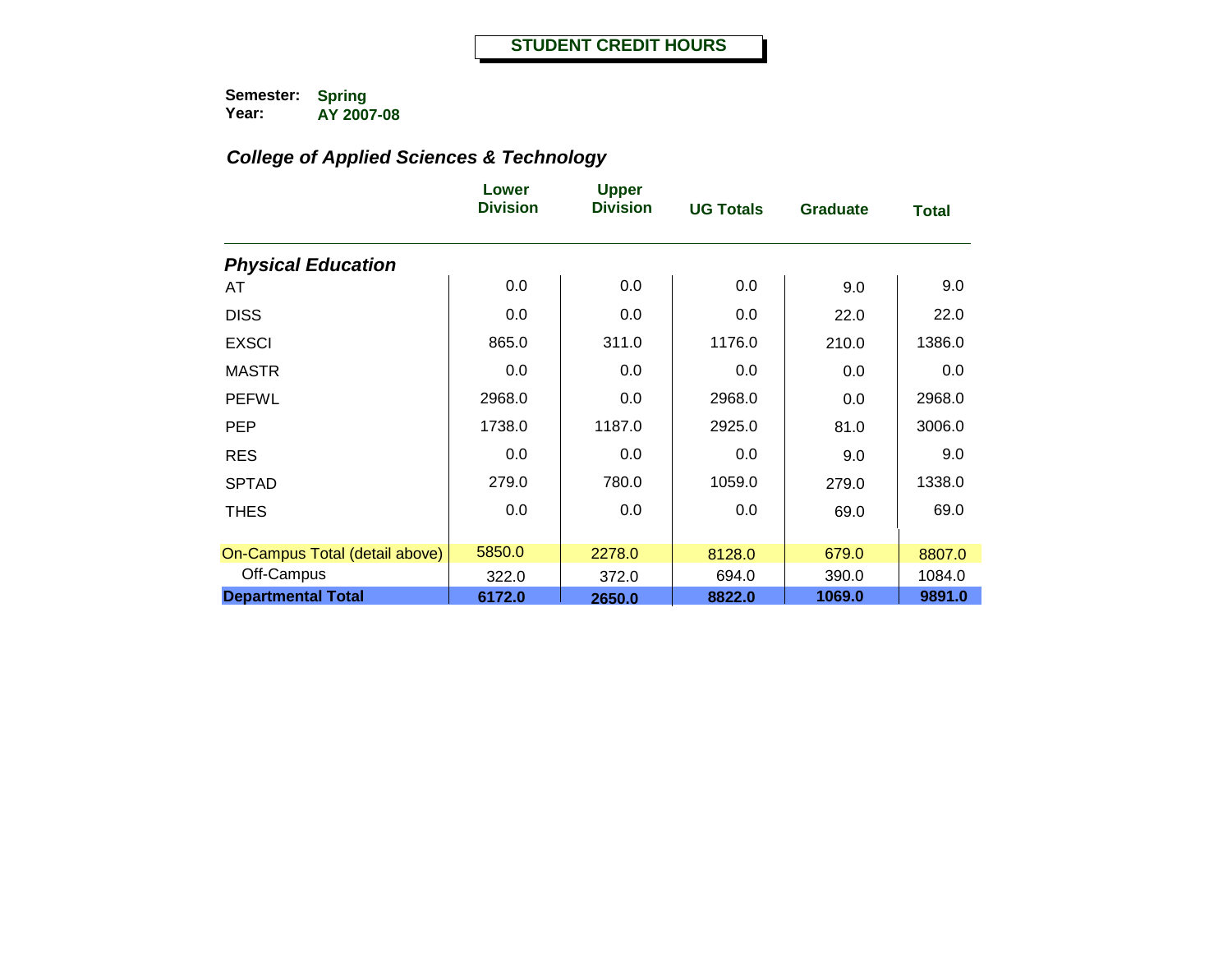|                                | Lower<br><b>Division</b> | <b>Upper</b><br><b>Division</b> | <b>UG Totals</b> | <b>Graduate</b> | <b>Total</b> |
|--------------------------------|--------------------------|---------------------------------|------------------|-----------------|--------------|
| <b>Physical Education</b>      |                          |                                 |                  |                 |              |
| AT                             | 0.0                      | 0.0                             | 0.0              | 9.0             | 9.0          |
| <b>DISS</b>                    | 0.0                      | 0.0                             | 0.0              | 22.0            | 22.0         |
| <b>EXSCI</b>                   | 865.0                    | 311.0                           | 1176.0           | 210.0           | 1386.0       |
| <b>MASTR</b>                   | 0.0                      | 0.0                             | 0.0              | 0.0             | 0.0          |
| <b>PEFWL</b>                   | 2968.0                   | 0.0                             | 2968.0           | 0.0             | 2968.0       |
| <b>PEP</b>                     | 1738.0                   | 1187.0                          | 2925.0           | 81.0            | 3006.0       |
| <b>RES</b>                     | 0.0                      | 0.0                             | 0.0              | 9.0             | 9.0          |
| <b>SPTAD</b>                   | 279.0                    | 780.0                           | 1059.0           | 279.0           | 1338.0       |
| <b>THES</b>                    | $0.0\,$                  | 0.0                             | 0.0              | 69.0            | 69.0         |
|                                |                          |                                 |                  |                 |              |
| On-Campus Total (detail above) | 5850.0                   | 2278.0                          | 8128.0           | 679.0           | 8807.0       |
| Off-Campus                     | 322.0                    | 372.0                           | 694.0            | 390.0           | 1084.0       |
| <b>Departmental Total</b>      | 6172.0                   | 2650.0                          | 8822.0           | 1069.0          | 9891.0       |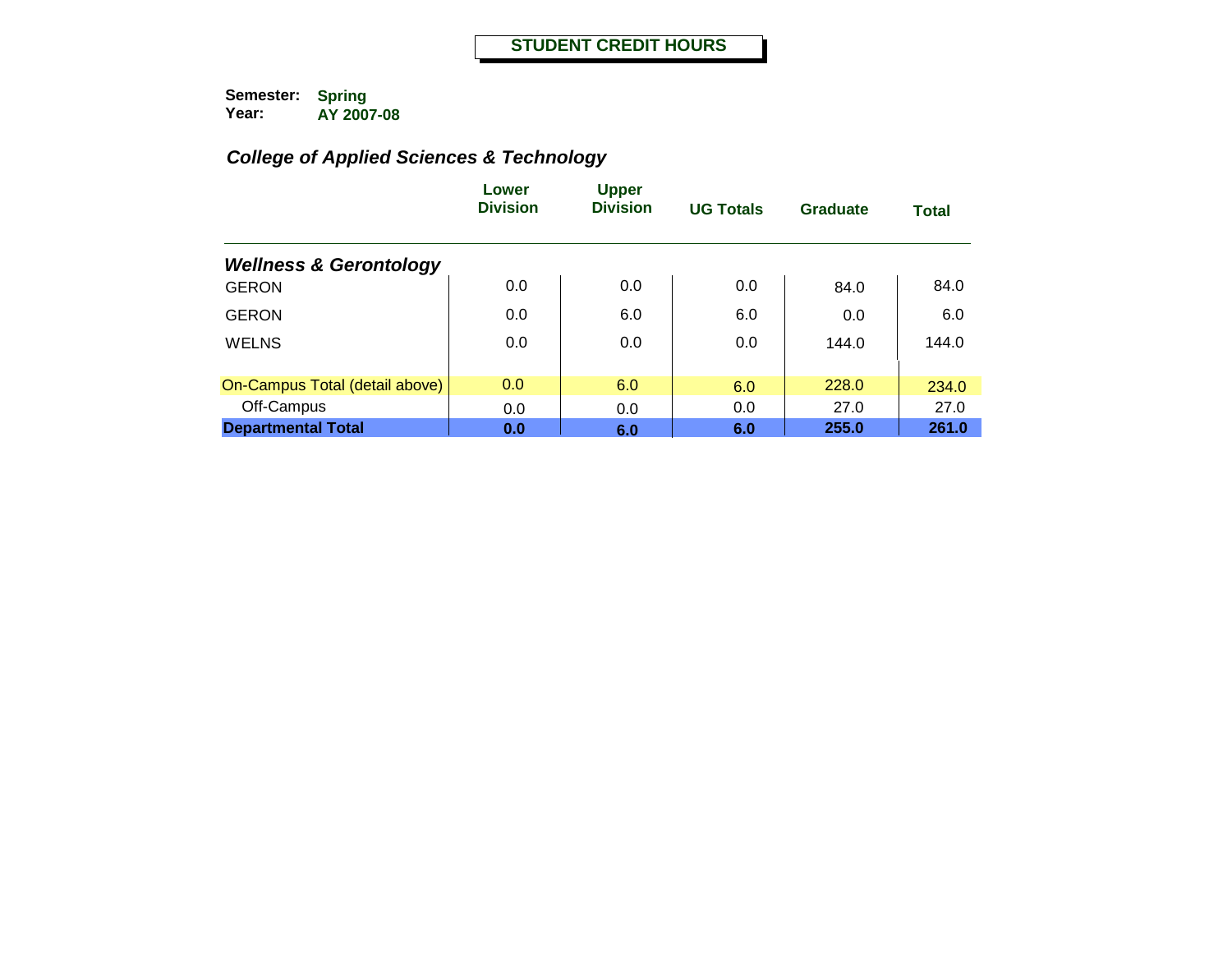|                                   | Lower<br><b>Division</b> | <b>Upper</b><br><b>Division</b> | <b>UG Totals</b> | Graduate | <b>Total</b> |
|-----------------------------------|--------------------------|---------------------------------|------------------|----------|--------------|
| <b>Wellness &amp; Gerontology</b> |                          |                                 |                  |          |              |
| <b>GERON</b>                      | 0.0                      | 0.0                             | 0.0              | 84.0     | 84.0         |
| <b>GERON</b>                      | 0.0                      | 6.0                             | 6.0              | 0.0      | 6.0          |
| <b>WELNS</b>                      | 0.0                      | 0.0                             | 0.0              | 144.0    | 144.0        |
|                                   |                          |                                 |                  |          |              |
| On-Campus Total (detail above)    | 0.0                      | 6.0                             | 6.0              | 228.0    | 234.0        |
| Off-Campus                        | 0.0                      | 0.0                             | 0.0              | 27.0     | 27.0         |
| <b>Departmental Total</b>         | 0.0                      | 6.0                             | 6.0              | 255.0    | 261.0        |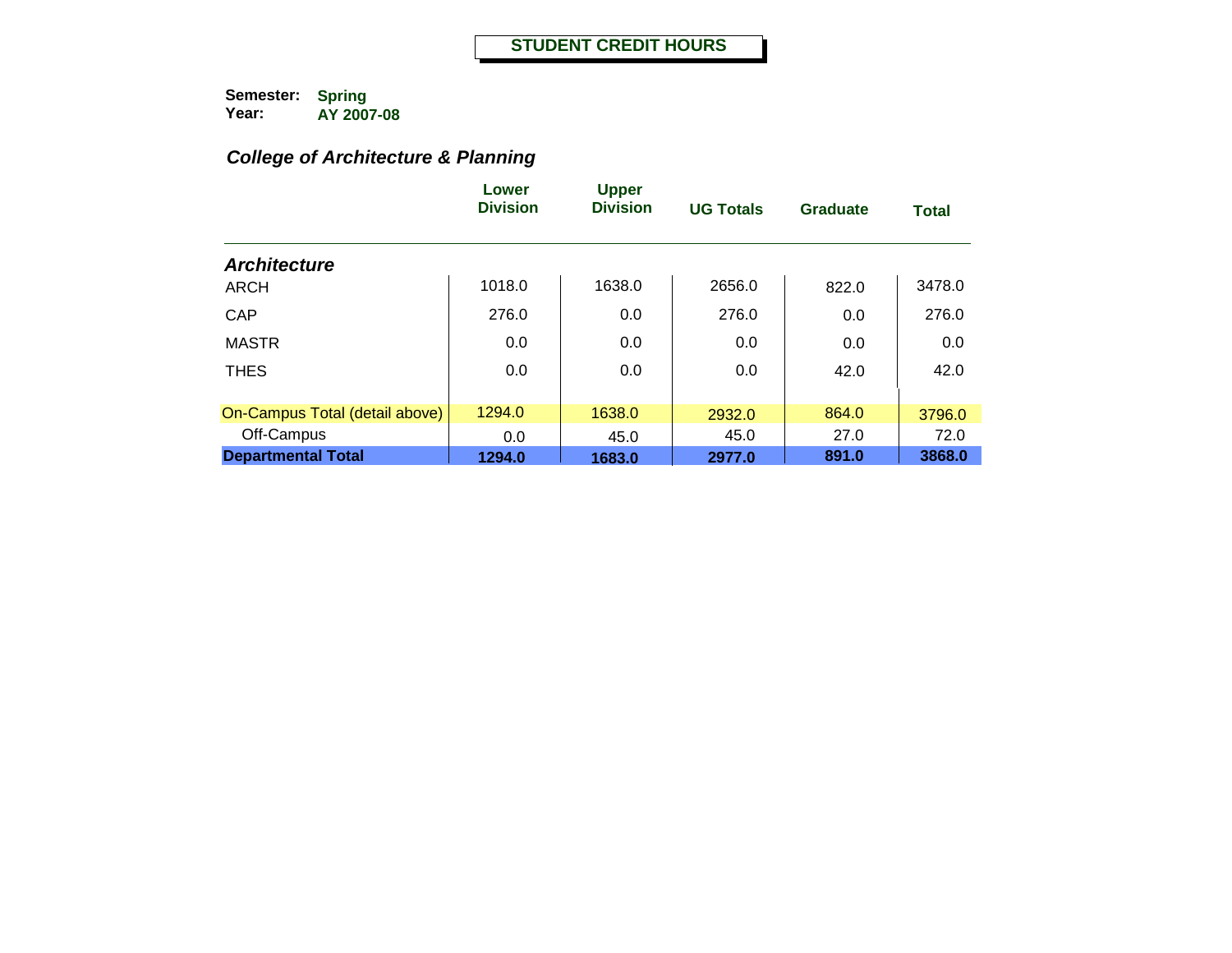# *College of Architecture & Planning*

|                                | Lower<br><b>Division</b> | <b>Upper</b><br><b>Division</b> | <b>UG Totals</b> | <b>Graduate</b> | <b>Total</b> |
|--------------------------------|--------------------------|---------------------------------|------------------|-----------------|--------------|
| <b>Architecture</b>            |                          |                                 |                  |                 |              |
| <b>ARCH</b>                    | 1018.0                   | 1638.0                          | 2656.0           | 822.0           | 3478.0       |
| <b>CAP</b>                     | 276.0                    | 0.0                             | 276.0            | 0.0             | 276.0        |
| <b>MASTR</b>                   | 0.0                      | 0.0                             | 0.0              | 0.0             | 0.0          |
| <b>THES</b>                    | 0.0                      | 0.0                             | 0.0              | 42.0            | 42.0         |
| On-Campus Total (detail above) | 1294.0                   | 1638.0                          | 2932.0           | 864.0           | 3796.0       |
| Off-Campus                     | 0.0                      | 45.0                            | 45.0             | 27.0            | 72.0         |
| <b>Departmental Total</b>      | 1294.0                   | 1683.0                          | 2977.0           | 891.0           | 3868.0       |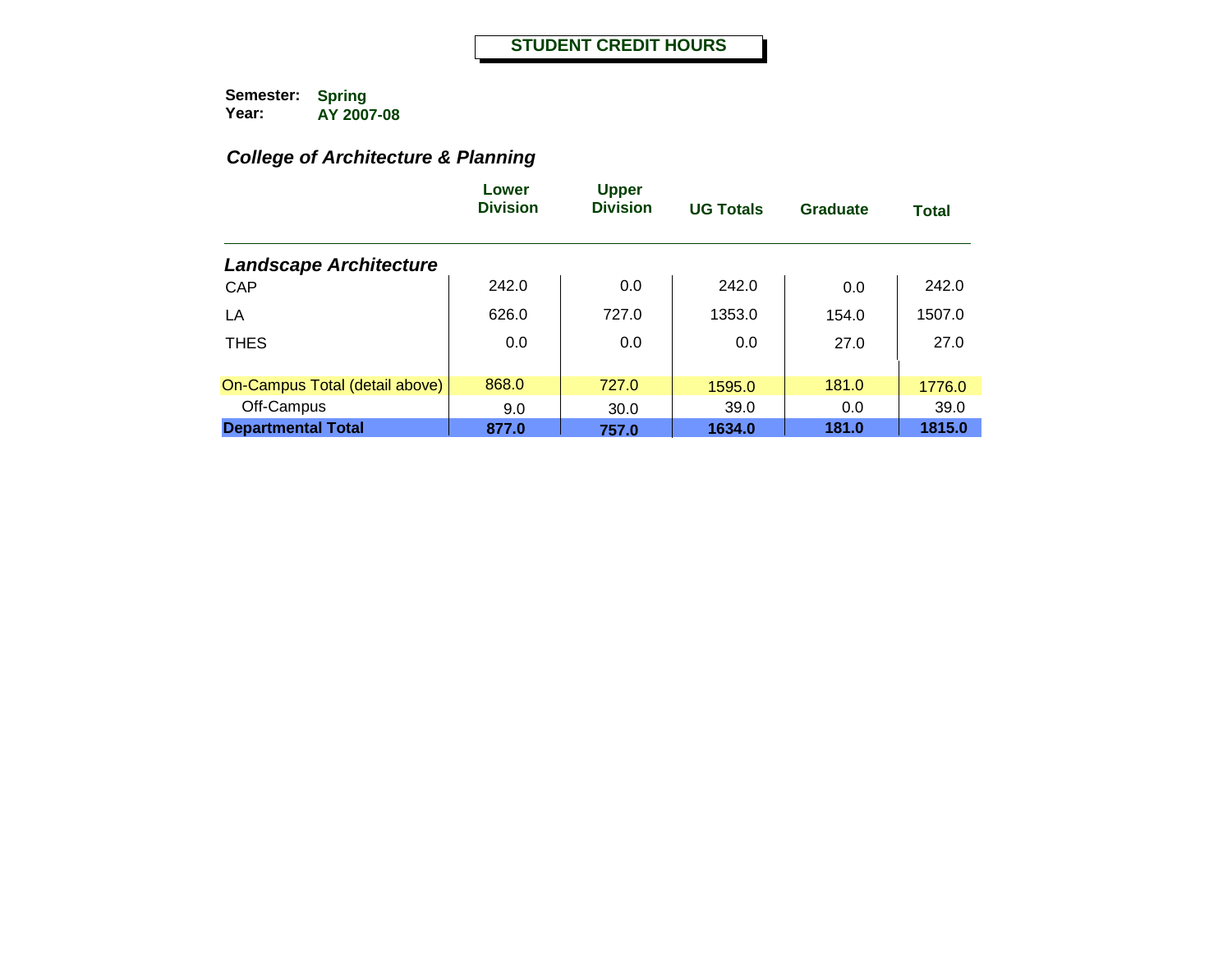# *College of Architecture & Planning*

|                                | Lower<br><b>Division</b> | <b>Upper</b><br><b>Division</b> | <b>UG Totals</b> | Graduate | <b>Total</b> |
|--------------------------------|--------------------------|---------------------------------|------------------|----------|--------------|
| <b>Landscape Architecture</b>  |                          |                                 |                  |          |              |
| CAP                            | 242.0                    | 0.0                             | 242.0            | 0.0      | 242.0        |
| LA                             | 626.0                    | 727.0                           | 1353.0           | 154.0    | 1507.0       |
| <b>THES</b>                    | 0.0                      | 0.0                             | 0.0              | 27.0     | 27.0         |
|                                |                          |                                 |                  |          |              |
| On-Campus Total (detail above) | 868.0                    | 727.0                           | 1595.0           | 181.0    | 1776.0       |
| Off-Campus                     | 9.0                      | 30.0                            | 39.0             | 0.0      | 39.0         |
| <b>Departmental Total</b>      | 877.0                    | 757.0                           | 1634.0           | 181.0    | 1815.0       |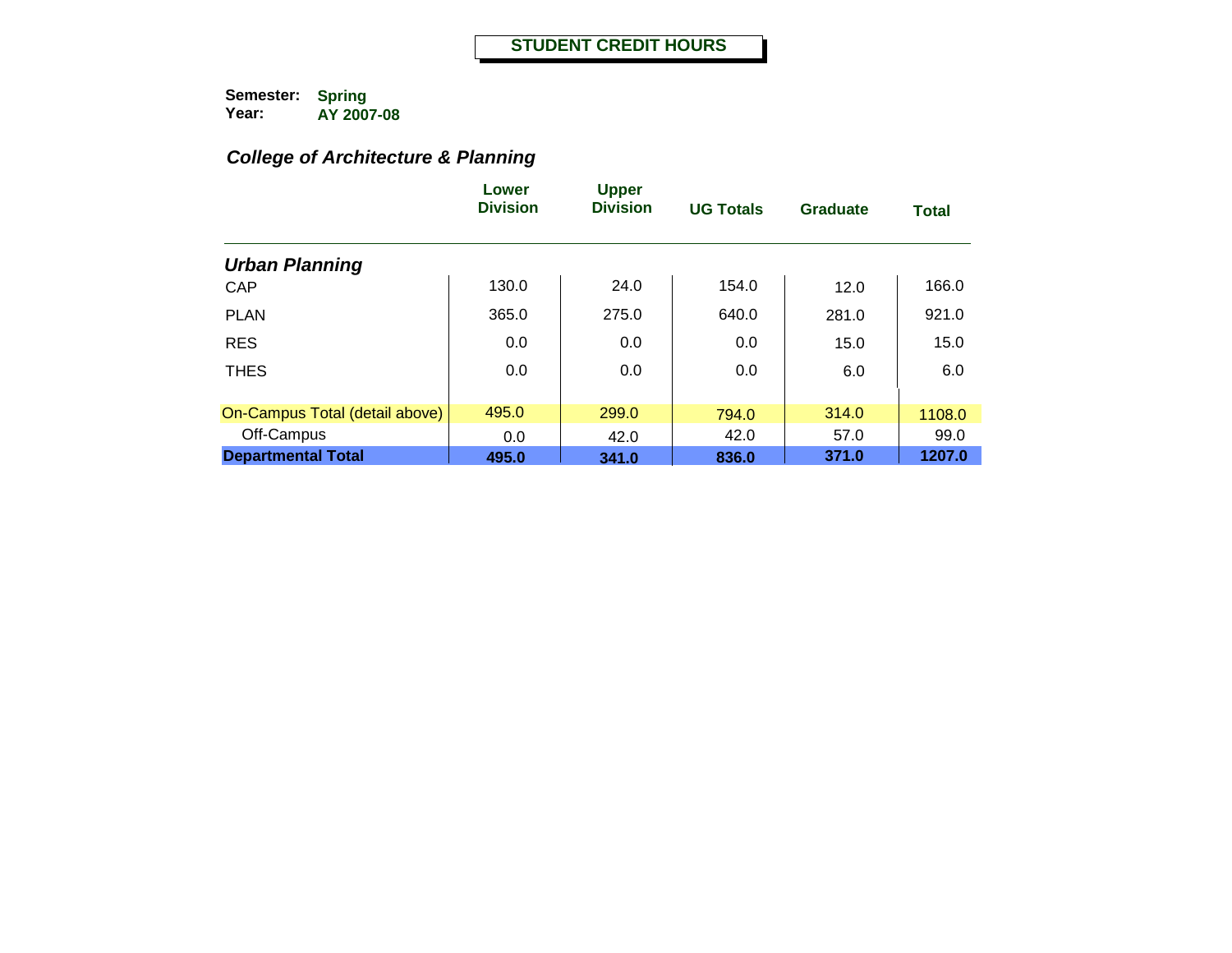# *College of Architecture & Planning*

|                                | Lower<br><b>Division</b> | <b>Upper</b><br><b>Division</b> | <b>UG Totals</b> | Graduate | <b>Total</b> |
|--------------------------------|--------------------------|---------------------------------|------------------|----------|--------------|
| <b>Urban Planning</b>          |                          |                                 |                  |          |              |
| CAP                            | 130.0                    | 24.0                            | 154.0            | 12.0     | 166.0        |
| <b>PLAN</b>                    | 365.0                    | 275.0                           | 640.0            | 281.0    | 921.0        |
| <b>RES</b>                     | 0.0                      | 0.0                             | 0.0              | 15.0     | 15.0         |
| <b>THES</b>                    | 0.0                      | 0.0                             | 0.0              | 6.0      | 6.0          |
| On-Campus Total (detail above) | 495.0                    | 299.0                           | 794.0            | 314.0    | 1108.0       |
| Off-Campus                     | 0.0                      | 42.0                            | 42.0             | 57.0     | 99.0         |
| <b>Departmental Total</b>      | 495.0                    | 341.0                           | 836.0            | 371.0    | 1207.0       |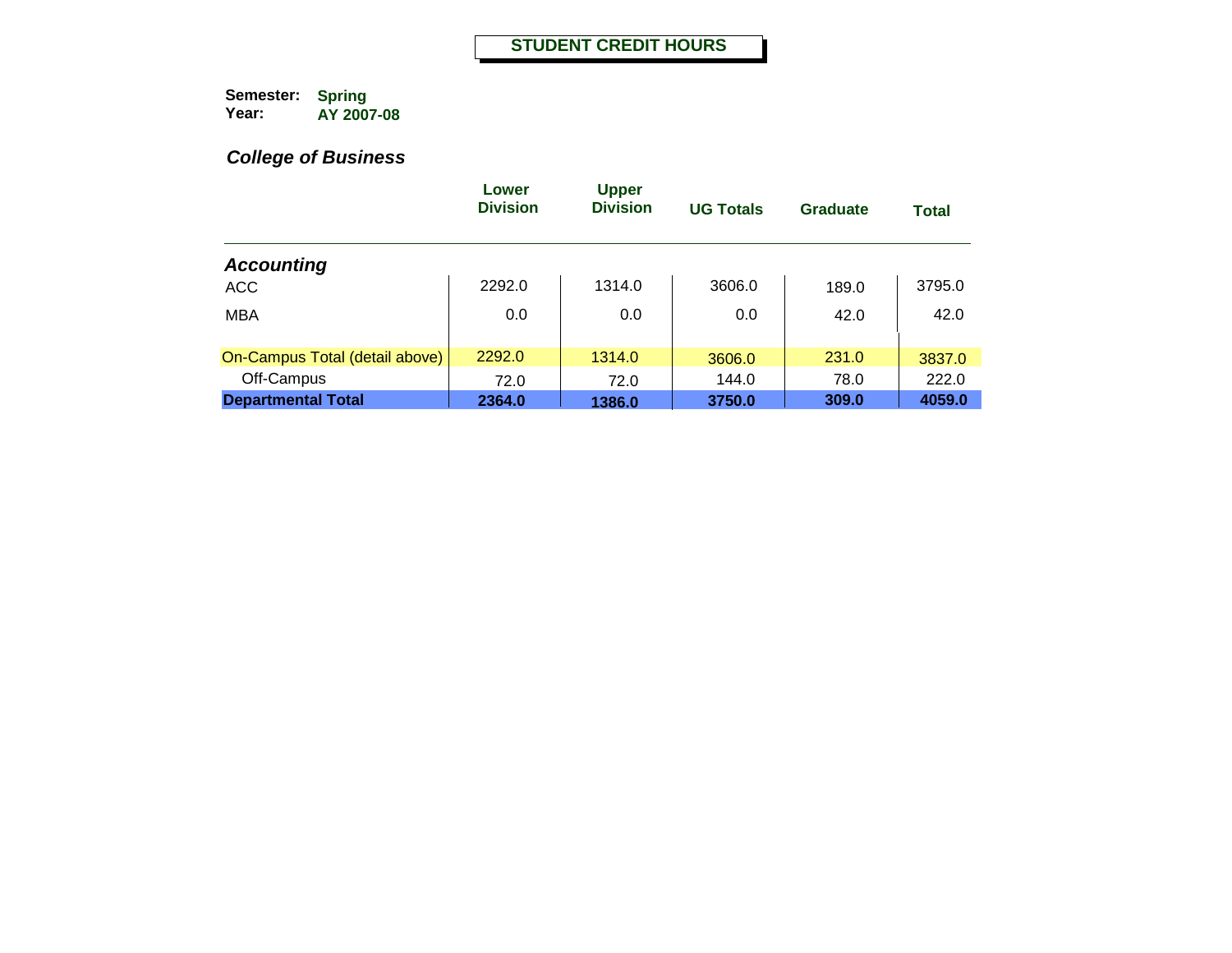|                                | Lower<br><b>Division</b> | <b>Upper</b><br><b>Division</b> | <b>UG Totals</b> | Graduate | <b>Total</b> |
|--------------------------------|--------------------------|---------------------------------|------------------|----------|--------------|
| <b>Accounting</b>              |                          |                                 |                  |          |              |
| <b>ACC</b>                     | 2292.0                   | 1314.0                          | 3606.0           | 189.0    | 3795.0       |
| <b>MBA</b>                     | 0.0                      | 0.0                             | 0.0              | 42.0     | 42.0         |
| On-Campus Total (detail above) | 2292.0                   | 1314.0                          | 3606.0           | 231.0    | 3837.0       |
| Off-Campus                     | 72.0                     | 72.0                            | 144.0            | 78.0     | 222.0        |
| <b>Departmental Total</b>      | 2364.0                   | 1386.0                          | 3750.0           | 309.0    | 4059.0       |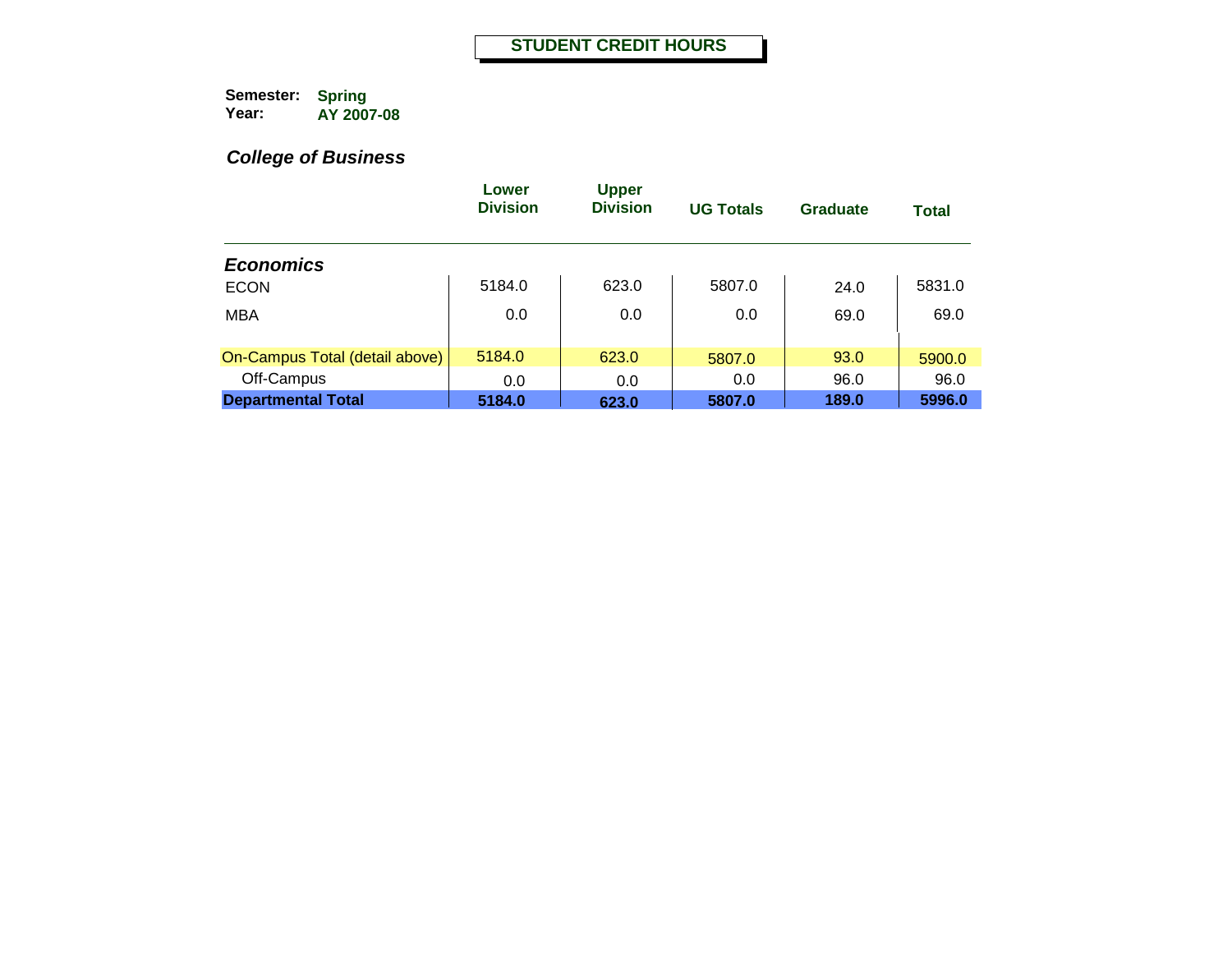|                                | Lower<br><b>Division</b> | <b>Upper</b><br><b>Division</b> | <b>UG Totals</b> | Graduate | <b>Total</b> |
|--------------------------------|--------------------------|---------------------------------|------------------|----------|--------------|
| <b>Economics</b>               |                          |                                 |                  |          |              |
| <b>ECON</b>                    | 5184.0                   | 623.0                           | 5807.0           | 24.0     | 5831.0       |
| <b>MBA</b>                     | 0.0                      | 0.0                             | 0.0              | 69.0     | 69.0         |
| On-Campus Total (detail above) | 5184.0                   | 623.0                           | 5807.0           | 93.0     | 5900.0       |
| Off-Campus                     | 0.0                      | 0.0                             | 0.0              | 96.0     | 96.0         |
| <b>Departmental Total</b>      | 5184.0                   | 623.0                           | 5807.0           | 189.0    | 5996.0       |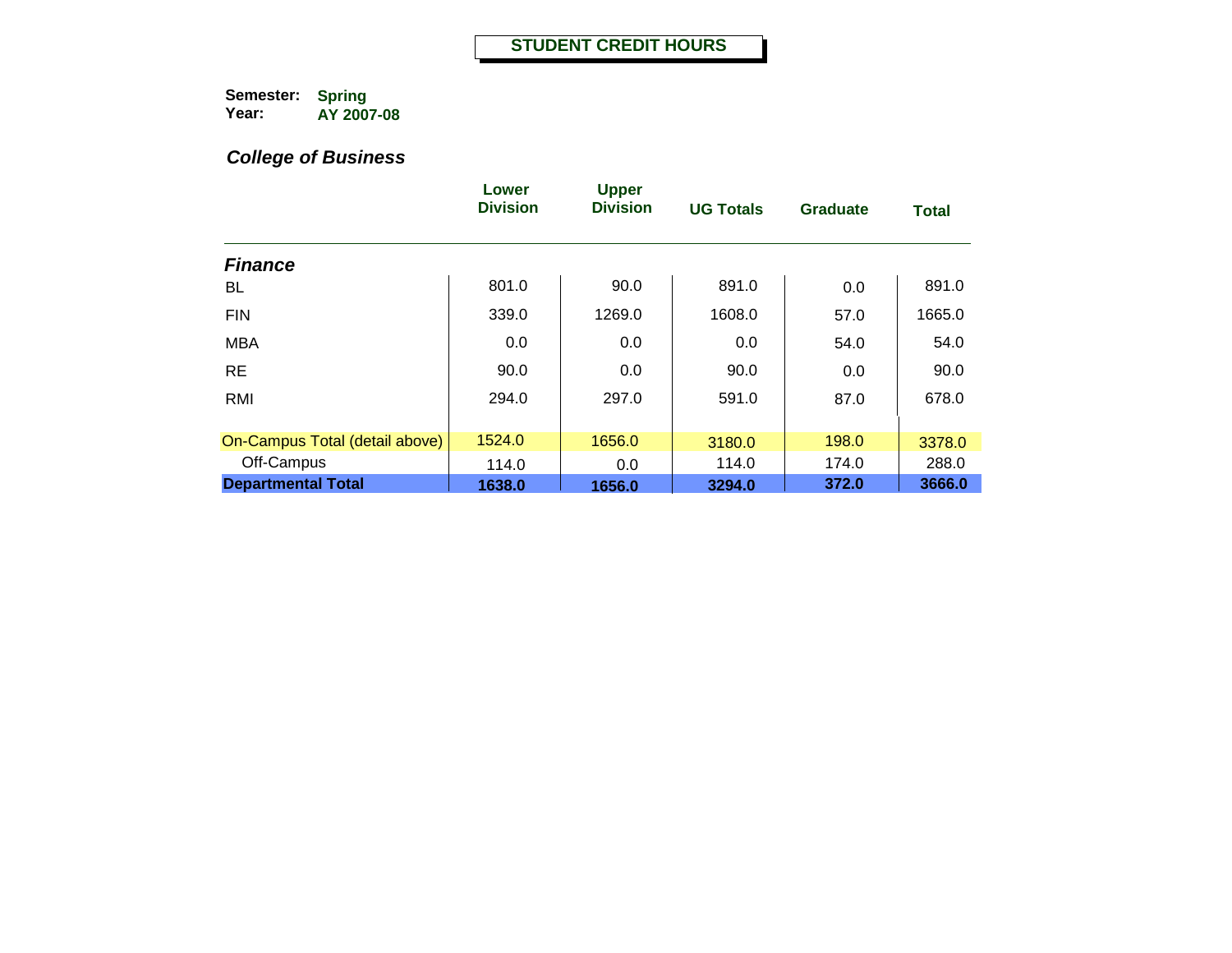|                                | Lower<br><b>Division</b> | <b>Upper</b><br><b>Division</b> | <b>UG Totals</b> | <b>Graduate</b> | <b>Total</b> |
|--------------------------------|--------------------------|---------------------------------|------------------|-----------------|--------------|
| <b>Finance</b>                 |                          |                                 |                  |                 |              |
| BL                             | 801.0                    | 90.0                            | 891.0            | 0.0             | 891.0        |
| <b>FIN</b>                     | 339.0                    | 1269.0                          | 1608.0           | 57.0            | 1665.0       |
| <b>MBA</b>                     | 0.0                      | 0.0                             | 0.0              | 54.0            | 54.0         |
| <b>RE</b>                      | 90.0                     | 0.0                             | 90.0             | 0.0             | 90.0         |
| RMI                            | 294.0                    | 297.0                           | 591.0            | 87.0            | 678.0        |
| On-Campus Total (detail above) | 1524.0                   | 1656.0                          | 3180.0           | 198.0           | 3378.0       |
| Off-Campus                     | 114.0                    | 0.0                             | 114.0            | 174.0           | 288.0        |
| <b>Departmental Total</b>      | 1638.0                   | 1656.0                          | 3294.0           | 372.0           | 3666.0       |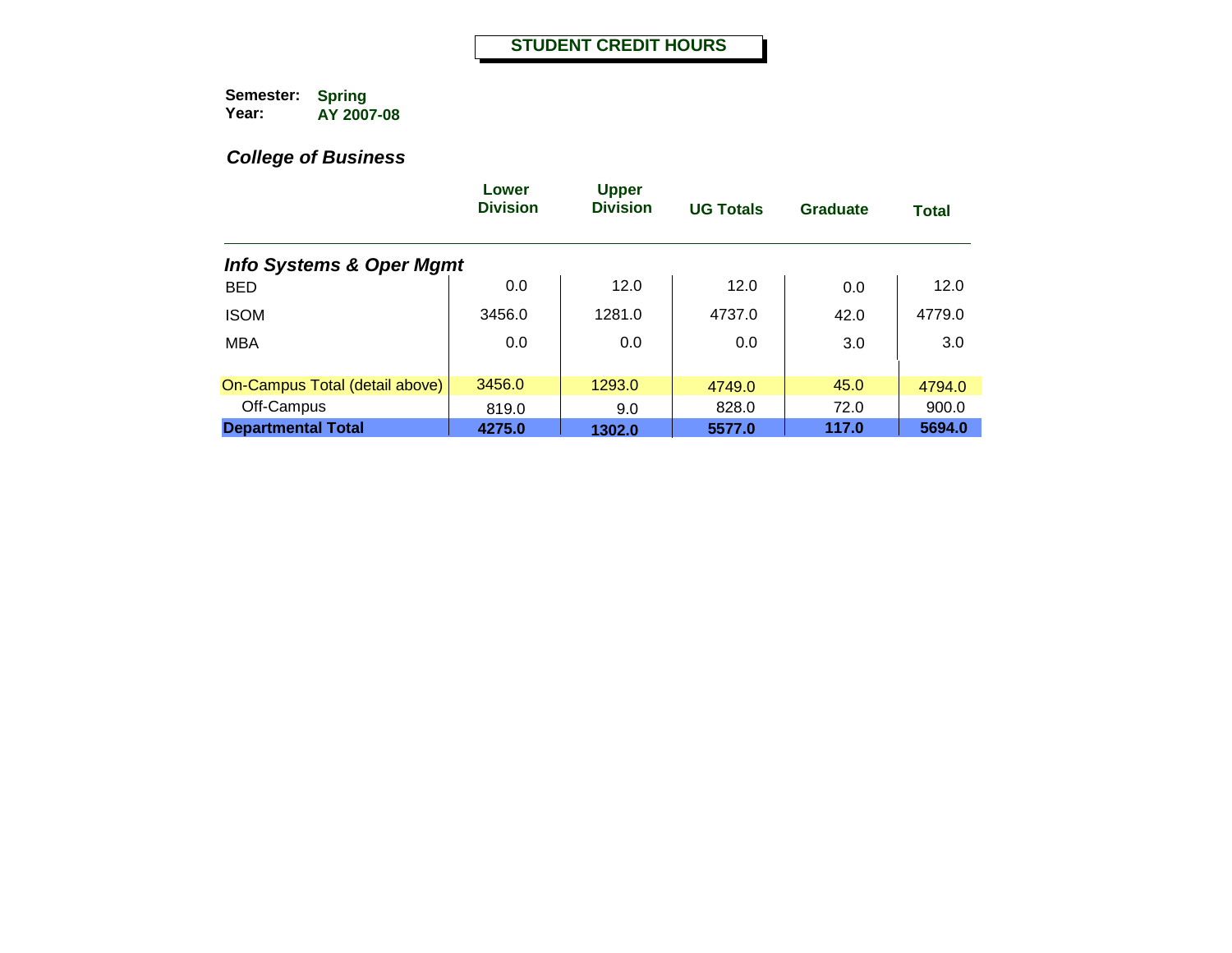|                                     | Lower<br><b>Division</b> | <b>Upper</b><br><b>Division</b> | <b>UG Totals</b> | Graduate | <b>Total</b> |
|-------------------------------------|--------------------------|---------------------------------|------------------|----------|--------------|
| <b>Info Systems &amp; Oper Mgmt</b> |                          |                                 |                  |          |              |
| <b>BED</b>                          | 0.0                      | 12.0                            | 12.0             | 0.0      | 12.0         |
| <b>ISOM</b>                         | 3456.0                   | 1281.0                          | 4737.0           | 42.0     | 4779.0       |
| <b>MBA</b>                          | 0.0                      | 0.0                             | 0.0              | 3.0      | 3.0          |
|                                     |                          |                                 |                  |          |              |
| On-Campus Total (detail above)      | 3456.0                   | 1293.0                          | 4749.0           | 45.0     | 4794.0       |
| Off-Campus                          | 819.0                    | 9.0                             | 828.0            | 72.0     | 900.0        |
| <b>Departmental Total</b>           | 4275.0                   | 1302.0                          | 5577.0           | 117.0    | 5694.0       |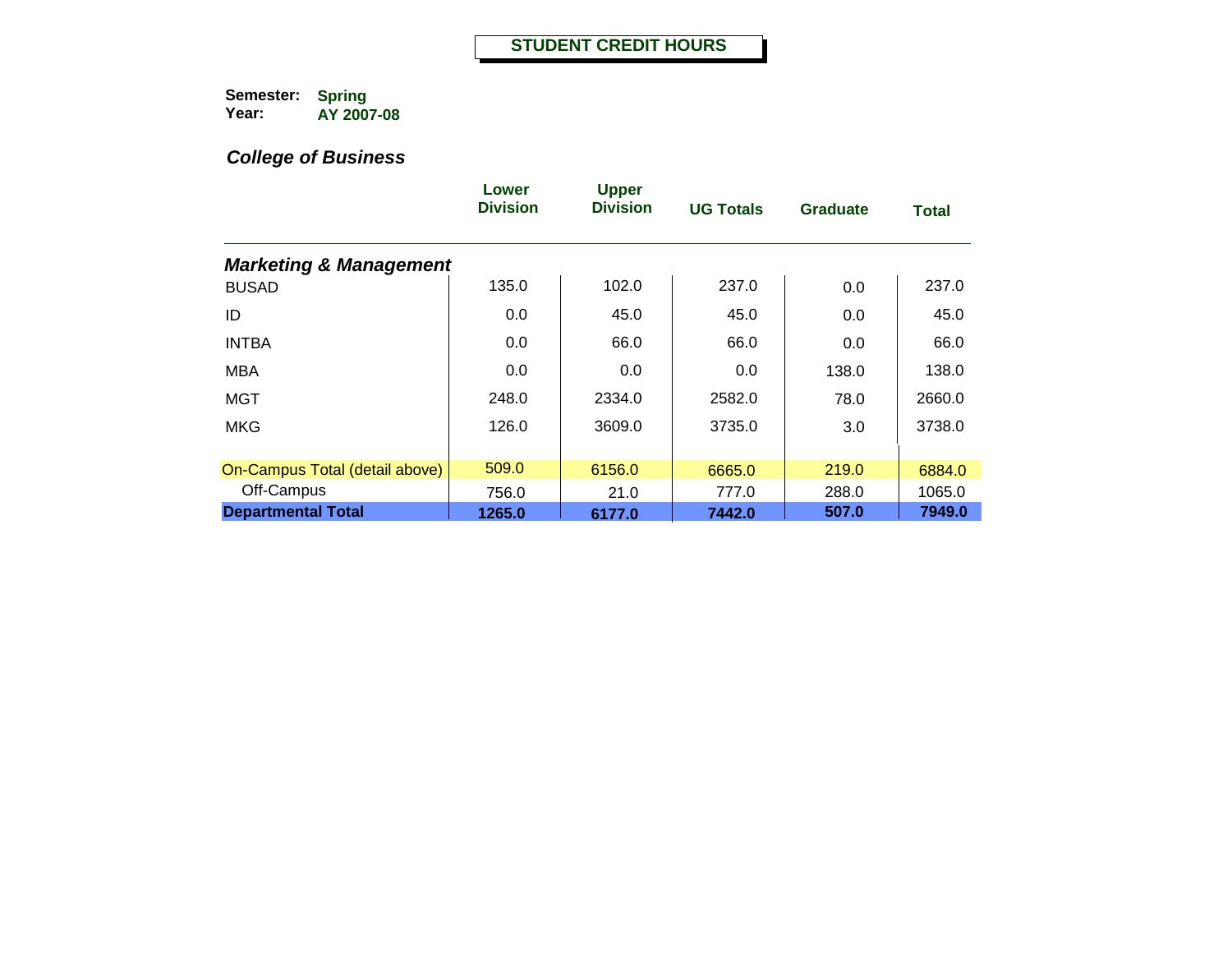|                                   | Lower<br><b>Division</b> | <b>Upper</b><br><b>Division</b> | <b>UG Totals</b> | <b>Graduate</b> | <b>Total</b> |
|-----------------------------------|--------------------------|---------------------------------|------------------|-----------------|--------------|
| <b>Marketing &amp; Management</b> |                          |                                 |                  |                 |              |
| <b>BUSAD</b>                      | 135.0                    | 102.0                           | 237.0            | 0.0             | 237.0        |
| ID                                | 0.0                      | 45.0                            | 45.0             | 0.0             | 45.0         |
| <b>INTBA</b>                      | 0.0                      | 66.0                            | 66.0             | 0.0             | 66.0         |
| <b>MBA</b>                        | 0.0                      | 0.0                             | 0.0              | 138.0           | 138.0        |
| <b>MGT</b>                        | 248.0                    | 2334.0                          | 2582.0           | 78.0            | 2660.0       |
| <b>MKG</b>                        | 126.0                    | 3609.0                          | 3735.0           | 3.0             | 3738.0       |
| On-Campus Total (detail above)    | 509.0                    | 6156.0                          | 6665.0           | 219.0           | 6884.0       |
| Off-Campus                        | 756.0                    | 21.0                            | 777.0            | 288.0           | 1065.0       |
| <b>Departmental Total</b>         | 1265.0                   | 6177.0                          | 7442.0           | 507.0           | 7949.0       |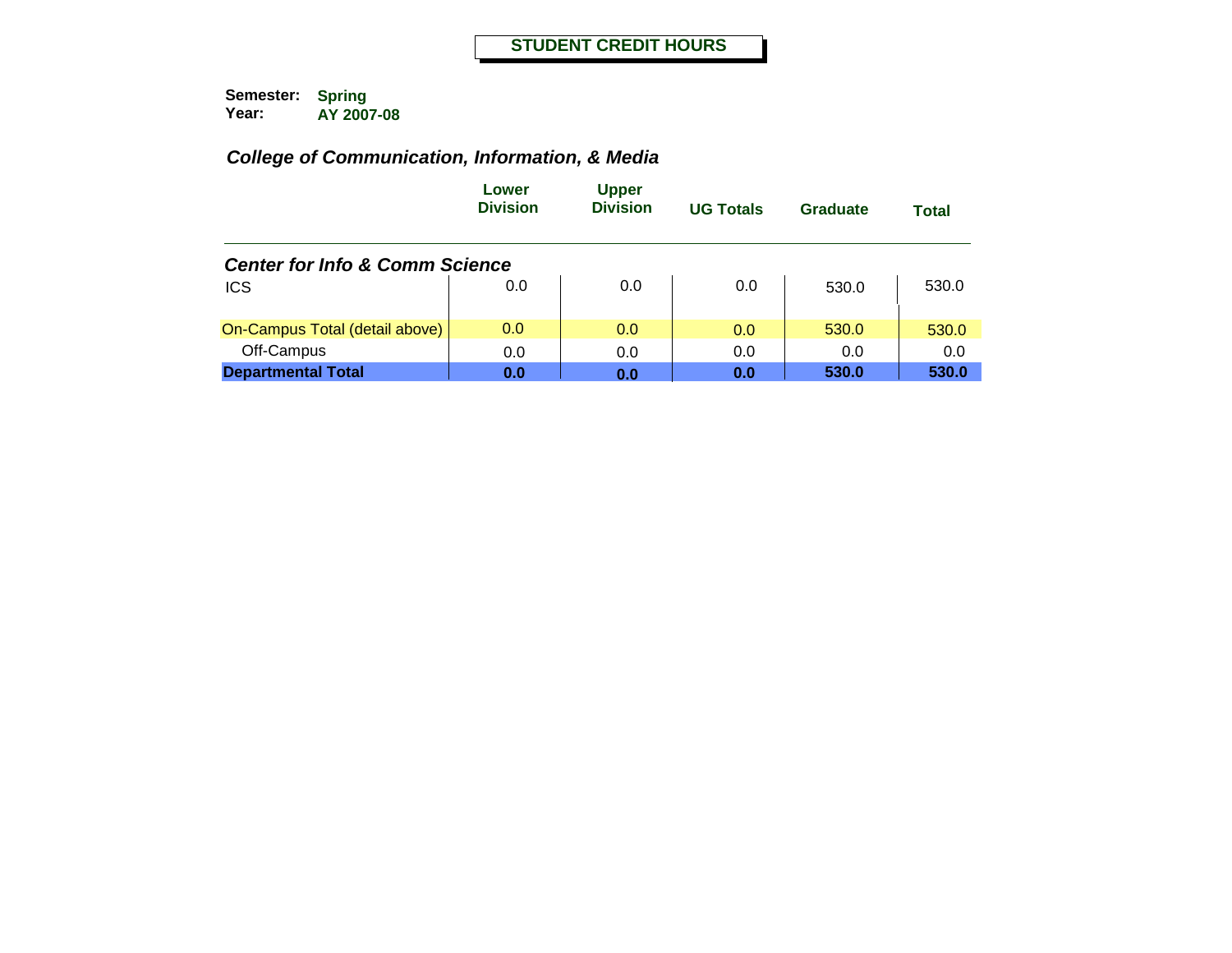|                                           | Lower<br><b>Division</b> | <b>Upper</b><br><b>Division</b> | <b>UG Totals</b> | Graduate | Total |
|-------------------------------------------|--------------------------|---------------------------------|------------------|----------|-------|
| <b>Center for Info &amp; Comm Science</b> |                          |                                 |                  |          |       |
| <b>ICS</b>                                | 0.0                      | 0.0                             | 0.0              | 530.0    | 530.0 |
| On-Campus Total (detail above)            | 0.0                      | 0.0                             | 0.0              | 530.0    | 530.0 |
| Off-Campus                                | 0.0                      | 0.0                             | 0.0              | 0.0      | 0.0   |
| <b>Departmental Total</b>                 | 0.0                      | 0.0                             | 0.0              | 530.0    | 530.0 |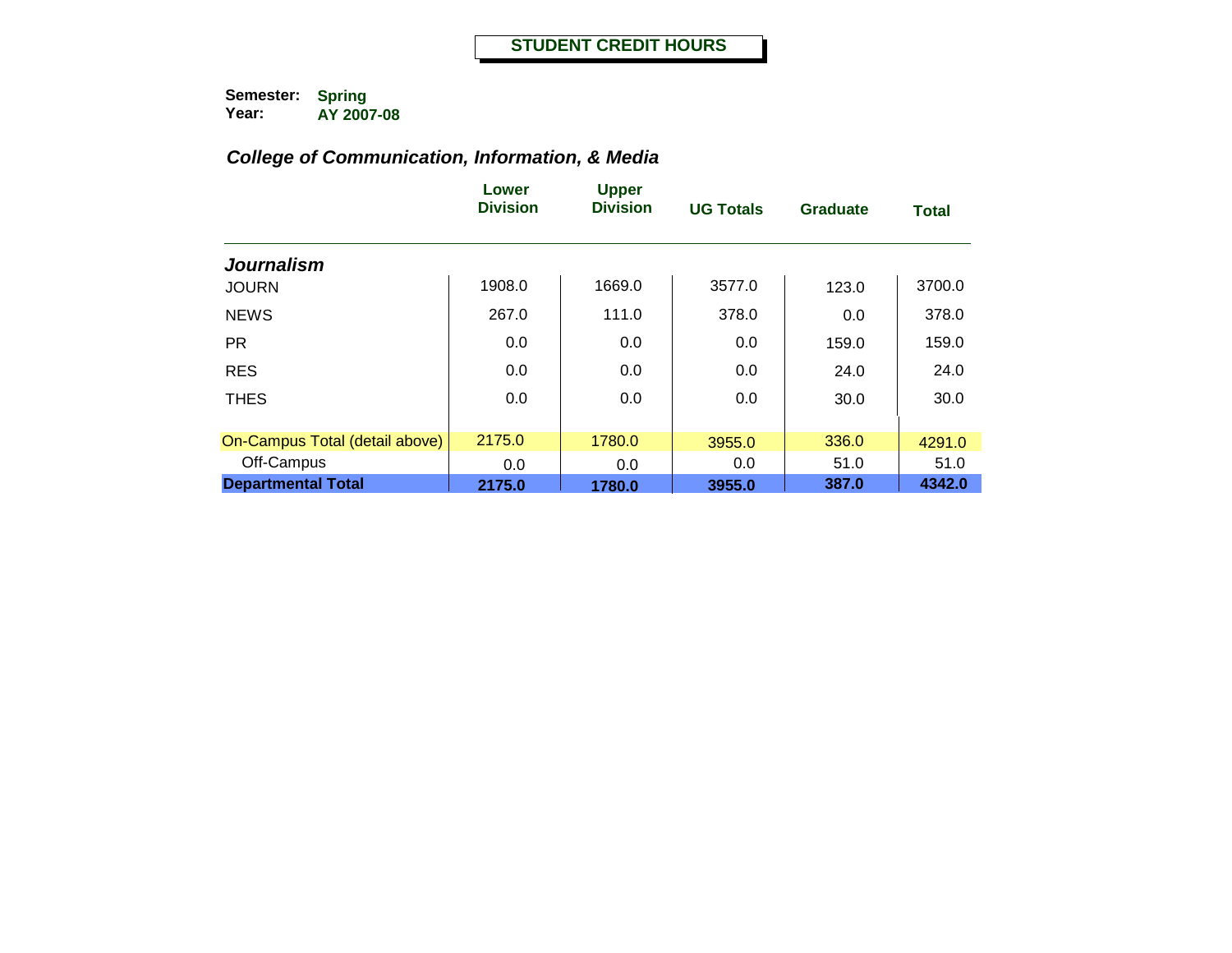|                                | Lower<br><b>Division</b> | <b>Upper</b><br><b>Division</b> | <b>UG Totals</b> | <b>Graduate</b> | <b>Total</b> |
|--------------------------------|--------------------------|---------------------------------|------------------|-----------------|--------------|
| <b>Journalism</b>              |                          |                                 |                  |                 |              |
| <b>JOURN</b>                   | 1908.0                   | 1669.0                          | 3577.0           | 123.0           | 3700.0       |
| <b>NEWS</b>                    | 267.0                    | 111.0                           | 378.0            | 0.0             | 378.0        |
| <b>PR</b>                      | 0.0                      | 0.0                             | 0.0              | 159.0           | 159.0        |
| <b>RES</b>                     | 0.0                      | 0.0                             | 0.0              | 24.0            | 24.0         |
| <b>THES</b>                    | 0.0                      | 0.0                             | 0.0              | 30.0            | 30.0         |
|                                |                          |                                 |                  |                 |              |
| On-Campus Total (detail above) | 2175.0                   | 1780.0                          | 3955.0           | 336.0           | 4291.0       |
| Off-Campus                     | 0.0                      | 0.0                             | 0.0              | 51.0            | 51.0         |
| <b>Departmental Total</b>      | 2175.0                   | 1780.0                          | 3955.0           | 387.0           | 4342.0       |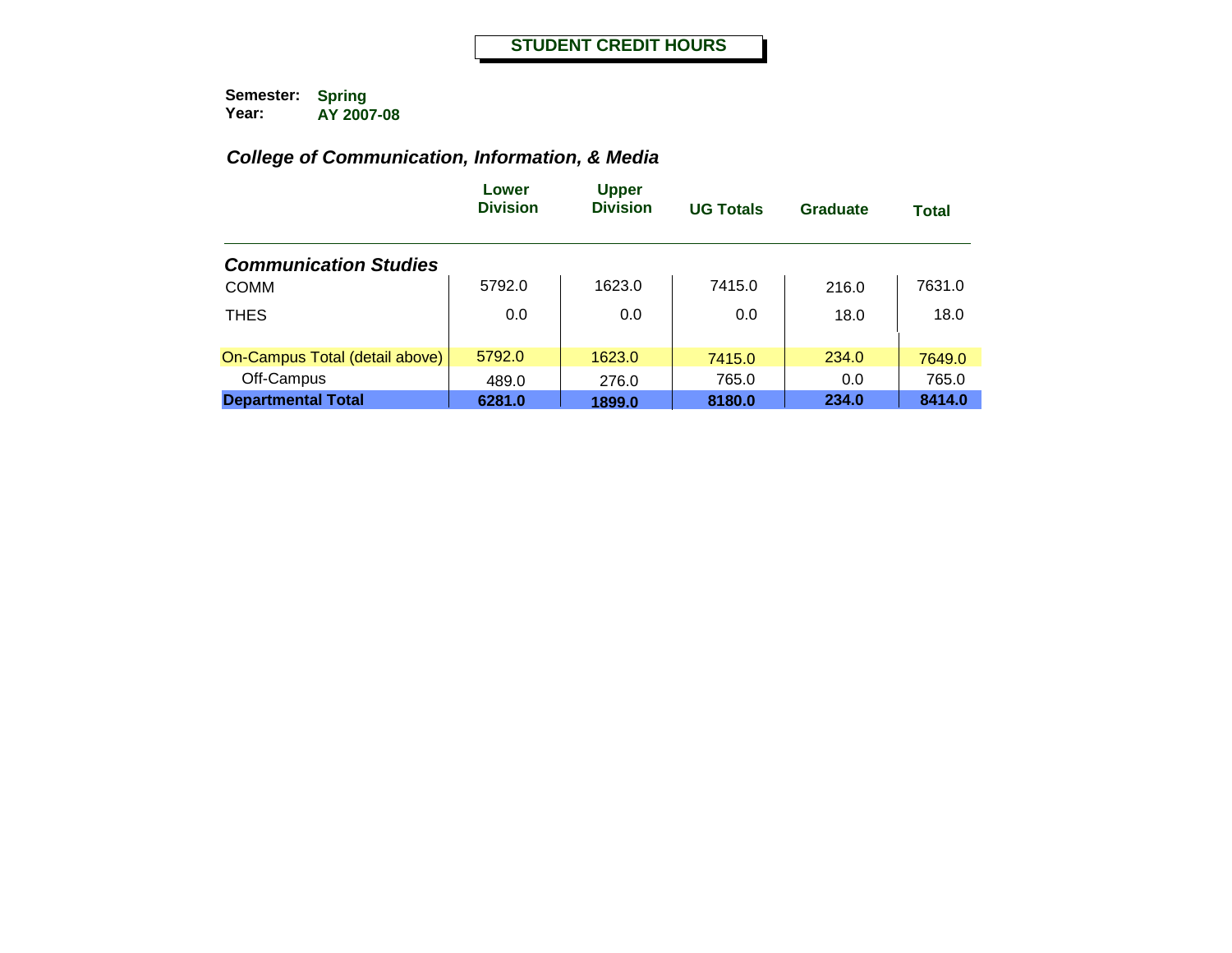|                                | Lower<br><b>Division</b> | <b>Upper</b><br><b>Division</b> | <b>UG Totals</b> | Graduate | Total  |
|--------------------------------|--------------------------|---------------------------------|------------------|----------|--------|
| <b>Communication Studies</b>   |                          |                                 |                  |          |        |
| <b>COMM</b>                    | 5792.0                   | 1623.0                          | 7415.0           | 216.0    | 7631.0 |
| <b>THES</b>                    | 0.0                      | 0.0                             | 0.0              | 18.0     | 18.0   |
| On-Campus Total (detail above) | 5792.0                   | 1623.0                          | 7415.0           | 234.0    | 7649.0 |
| Off-Campus                     | 489.0                    | 276.0                           | 765.0            | 0.0      | 765.0  |
| <b>Departmental Total</b>      | 6281.0                   | 1899.0                          | 8180.0           | 234.0    | 8414.0 |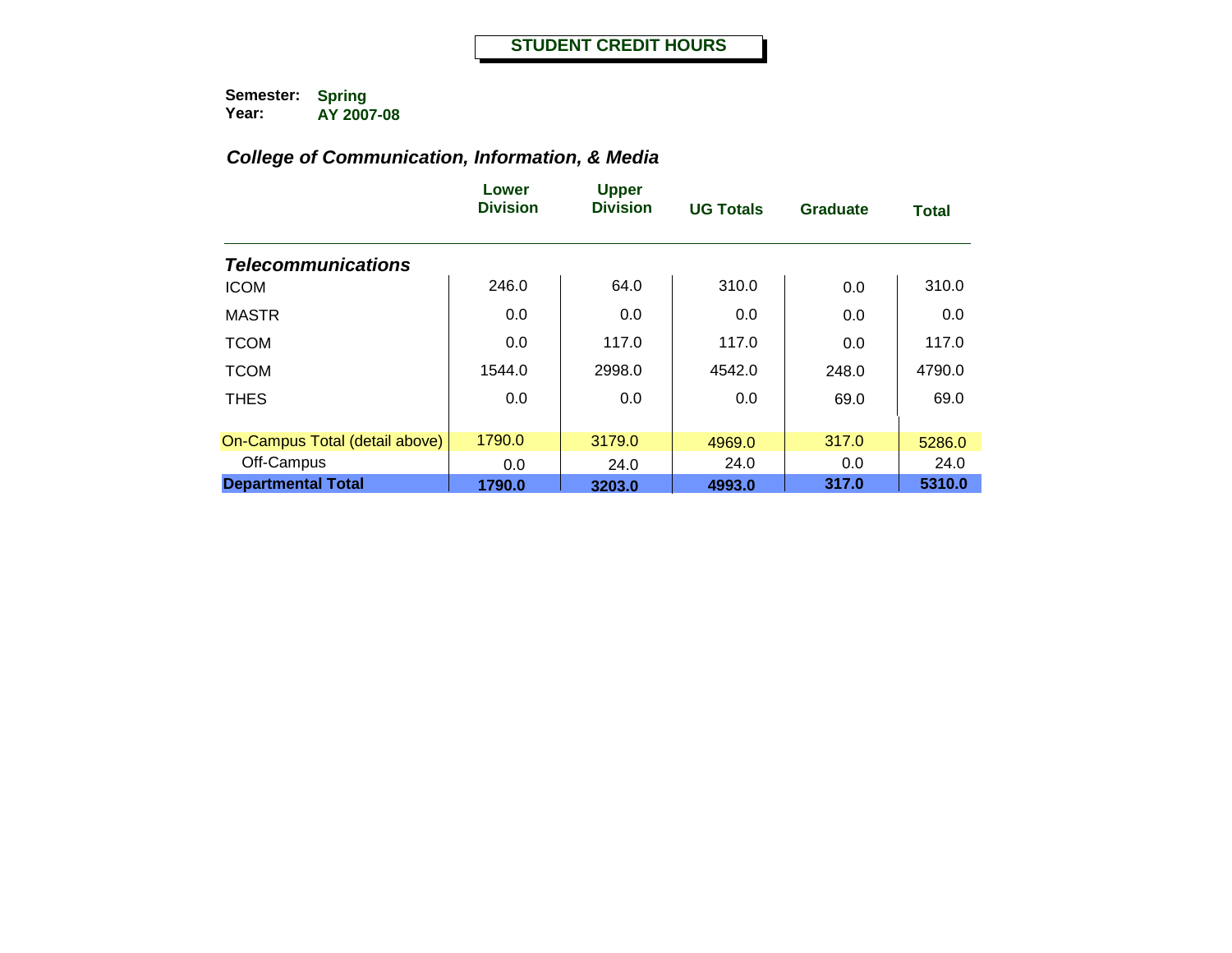|                                | Lower<br><b>Division</b> | <b>Upper</b><br><b>Division</b> | <b>UG Totals</b> | <b>Graduate</b> | <b>Total</b> |
|--------------------------------|--------------------------|---------------------------------|------------------|-----------------|--------------|
| <b>Telecommunications</b>      |                          |                                 |                  |                 |              |
| <b>ICOM</b>                    | 246.0                    | 64.0                            | 310.0            | 0.0             | 310.0        |
| <b>MASTR</b>                   | 0.0                      | 0.0                             | 0.0              | 0.0             | 0.0          |
| <b>TCOM</b>                    | 0.0                      | 117.0                           | 117.0            | 0.0             | 117.0        |
| <b>TCOM</b>                    | 1544.0                   | 2998.0                          | 4542.0           | 248.0           | 4790.0       |
| <b>THES</b>                    | 0.0                      | 0.0                             | 0.0              | 69.0            | 69.0         |
|                                |                          |                                 |                  |                 |              |
| On-Campus Total (detail above) | 1790.0                   | 3179.0                          | 4969.0           | 317.0           | 5286.0       |
| Off-Campus                     | 0.0                      | 24.0                            | 24.0             | 0.0             | 24.0         |
| <b>Departmental Total</b>      | 1790.0                   | 3203.0                          | 4993.0           | 317.0           | 5310.0       |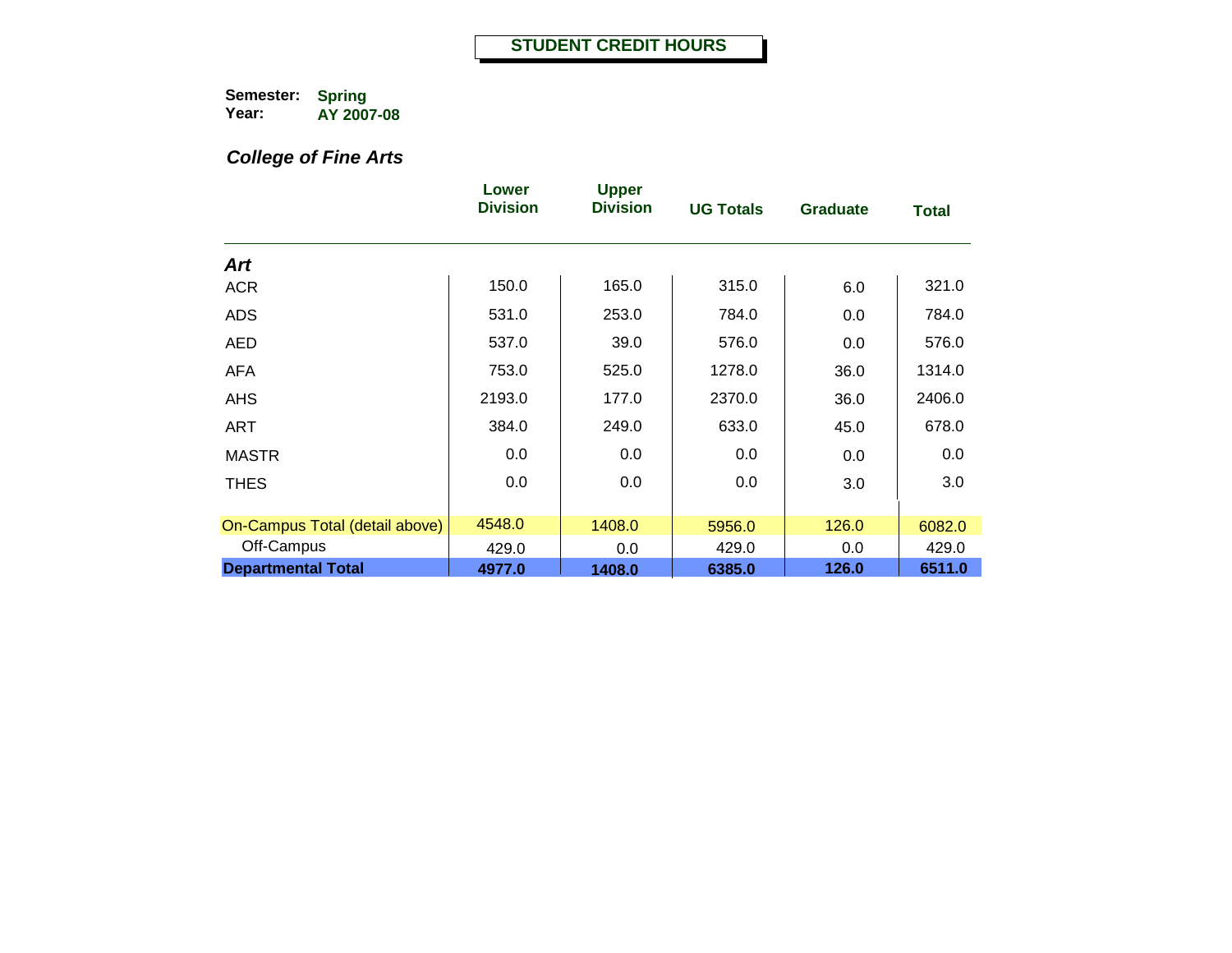# *College of Fine Arts*

|                                | Lower<br><b>Division</b> | <b>Upper</b><br><b>Division</b> | <b>UG Totals</b> | <b>Graduate</b> | Total  |
|--------------------------------|--------------------------|---------------------------------|------------------|-----------------|--------|
| Art                            |                          |                                 |                  |                 |        |
| <b>ACR</b>                     | 150.0                    | 165.0                           | 315.0            | 6.0             | 321.0  |
| <b>ADS</b>                     | 531.0                    | 253.0                           | 784.0            | 0.0             | 784.0  |
| AED                            | 537.0                    | 39.0                            | 576.0            | 0.0             | 576.0  |
| <b>AFA</b>                     | 753.0                    | 525.0                           | 1278.0           | 36.0            | 1314.0 |
| <b>AHS</b>                     | 2193.0                   | 177.0                           | 2370.0           | 36.0            | 2406.0 |
| <b>ART</b>                     | 384.0                    | 249.0                           | 633.0            | 45.0            | 678.0  |
| <b>MASTR</b>                   | 0.0                      | 0.0                             | 0.0              | 0.0             | 0.0    |
| <b>THES</b>                    | 0.0                      | 0.0                             | 0.0              | 3.0             | 3.0    |
| On-Campus Total (detail above) | 4548.0                   | 1408.0                          | 5956.0           | 126.0           | 6082.0 |
| Off-Campus                     | 429.0                    | 0.0                             | 429.0            | 0.0             | 429.0  |
| <b>Departmental Total</b>      | 4977.0                   | 1408.0                          | 6385.0           | 126.0           | 6511.0 |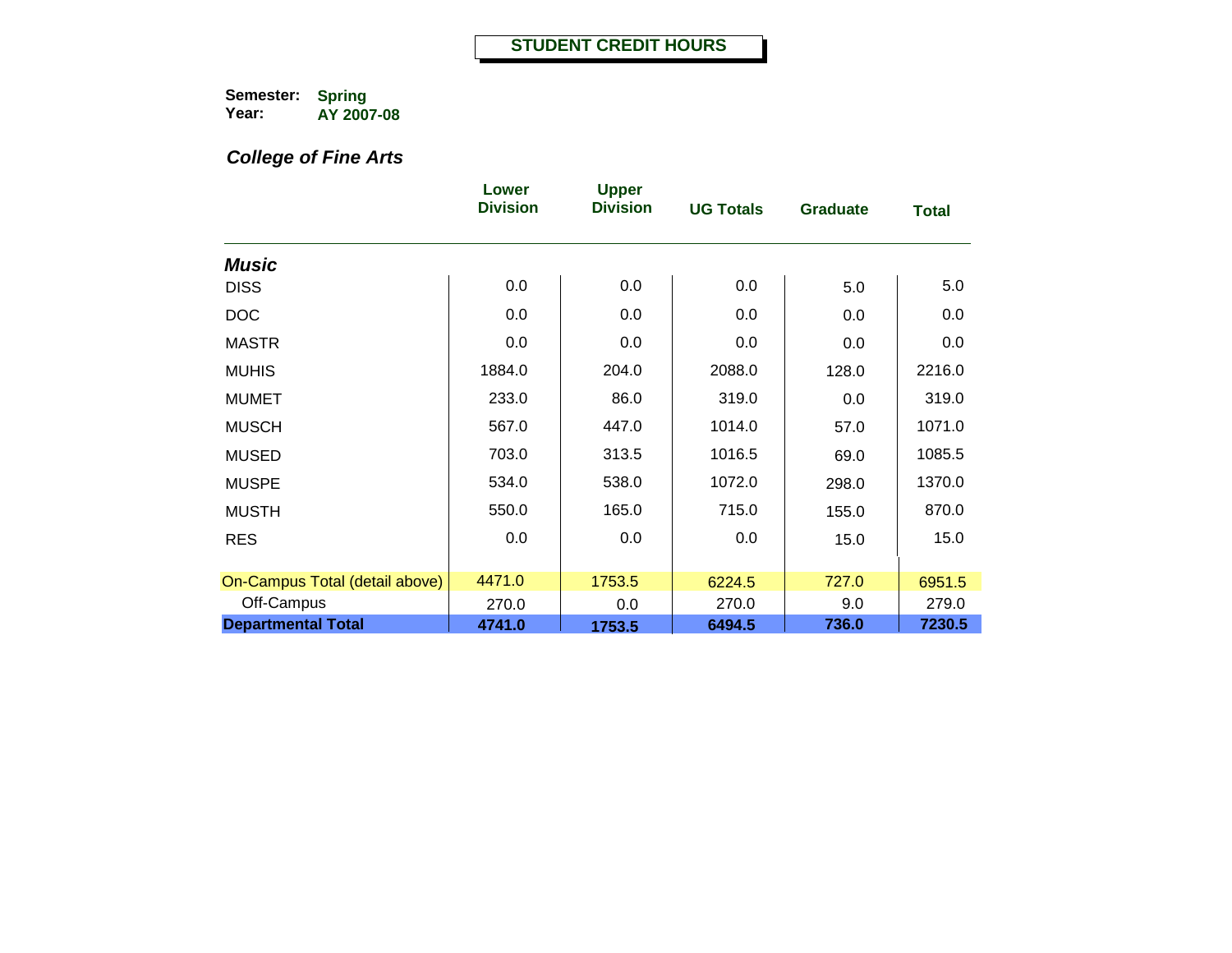# *College of Fine Arts*

|                                | Lower<br><b>Division</b> | <b>Upper</b><br><b>Division</b> | <b>UG Totals</b> | <b>Graduate</b> | <b>Total</b> |
|--------------------------------|--------------------------|---------------------------------|------------------|-----------------|--------------|
| <b>Music</b>                   |                          |                                 |                  |                 |              |
| <b>DISS</b>                    | 0.0                      | 0.0                             | 0.0              | 5.0             | 5.0          |
| <b>DOC</b>                     | 0.0                      | 0.0                             | 0.0              | 0.0             | 0.0          |
| <b>MASTR</b>                   | 0.0                      | 0.0                             | 0.0              | 0.0             | 0.0          |
| <b>MUHIS</b>                   | 1884.0                   | 204.0                           | 2088.0           | 128.0           | 2216.0       |
| <b>MUMET</b>                   | 233.0                    | 86.0                            | 319.0            | 0.0             | 319.0        |
| <b>MUSCH</b>                   | 567.0                    | 447.0                           | 1014.0           | 57.0            | 1071.0       |
| <b>MUSED</b>                   | 703.0                    | 313.5                           | 1016.5           | 69.0            | 1085.5       |
| <b>MUSPE</b>                   | 534.0                    | 538.0                           | 1072.0           | 298.0           | 1370.0       |
| <b>MUSTH</b>                   | 550.0                    | 165.0                           | 715.0            | 155.0           | 870.0        |
| <b>RES</b>                     | 0.0                      | 0.0                             | 0.0              | 15.0            | 15.0         |
|                                |                          |                                 |                  |                 |              |
| On-Campus Total (detail above) | 4471.0                   | 1753.5                          | 6224.5           | 727.0           | 6951.5       |
| Off-Campus                     | 270.0                    | 0.0                             | 270.0            | 9.0             | 279.0        |
| <b>Departmental Total</b>      | 4741.0                   | 1753.5                          | 6494.5           | 736.0           | 7230.5       |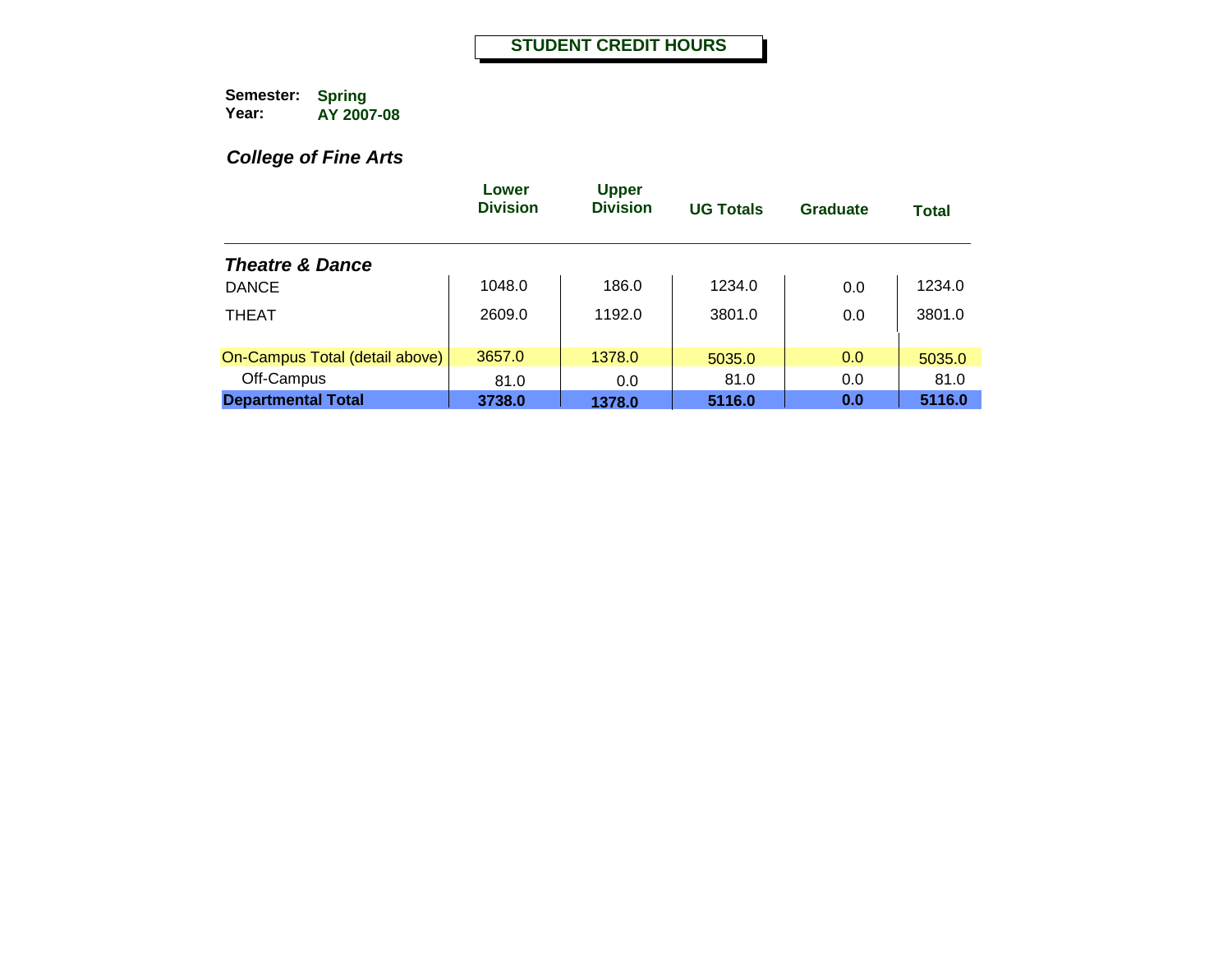# *College of Fine Arts*

|                                | Lower<br><b>Division</b> | <b>Upper</b><br><b>Division</b> | <b>UG Totals</b> | Graduate | <b>Total</b> |
|--------------------------------|--------------------------|---------------------------------|------------------|----------|--------------|
| <b>Theatre &amp; Dance</b>     |                          |                                 |                  |          |              |
| <b>DANCE</b>                   | 1048.0                   | 186.0                           | 1234.0           | 0.0      | 1234.0       |
| <b>THEAT</b>                   | 2609.0                   | 1192.0                          | 3801.0           | 0.0      | 3801.0       |
| On-Campus Total (detail above) | 3657.0                   | 1378.0                          | 5035.0           | 0.0      | 5035.0       |
| Off-Campus                     | 81.0                     | 0.0                             | 81.0             | 0.0      | 81.0         |
| <b>Departmental Total</b>      | 3738.0                   | 1378.0                          | 5116.0           | 0.0      | 5116.0       |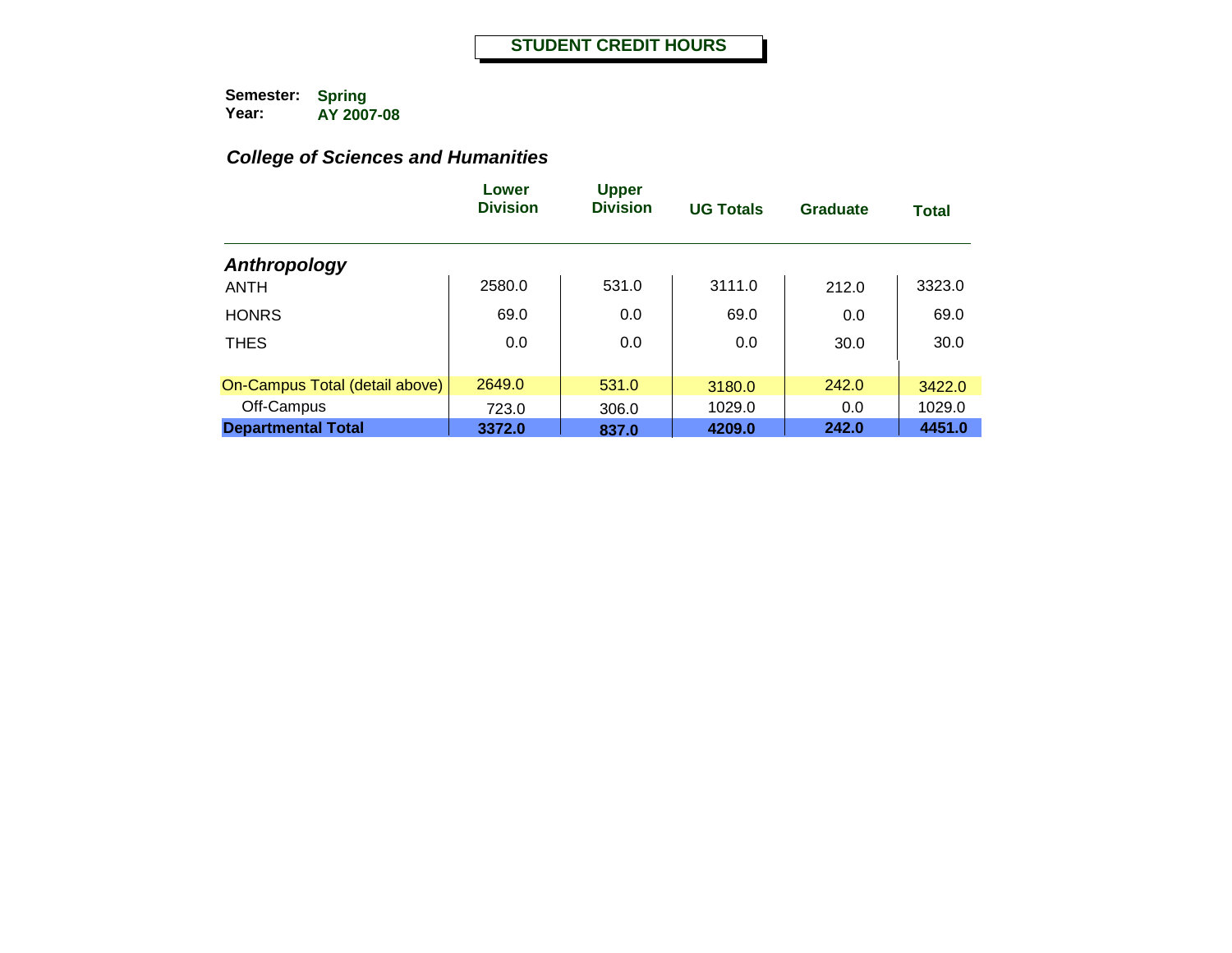|                                | Lower<br><b>Division</b> | <b>Upper</b><br><b>Division</b> | <b>UG Totals</b> | Graduate | <b>Total</b> |
|--------------------------------|--------------------------|---------------------------------|------------------|----------|--------------|
| Anthropology                   |                          |                                 |                  |          |              |
| <b>ANTH</b>                    | 2580.0                   | 531.0                           | 3111.0           | 212.0    | 3323.0       |
| <b>HONRS</b>                   | 69.0                     | 0.0                             | 69.0             | 0.0      | 69.0         |
| <b>THES</b>                    | 0.0                      | 0.0                             | 0.0              | 30.0     | 30.0         |
| On-Campus Total (detail above) | 2649.0                   | 531.0                           | 3180.0           | 242.0    | 3422.0       |
| Off-Campus                     | 723.0                    | 306.0                           | 1029.0           | 0.0      | 1029.0       |
| <b>Departmental Total</b>      | 3372.0                   | 837.0                           | 4209.0           | 242.0    | 4451.0       |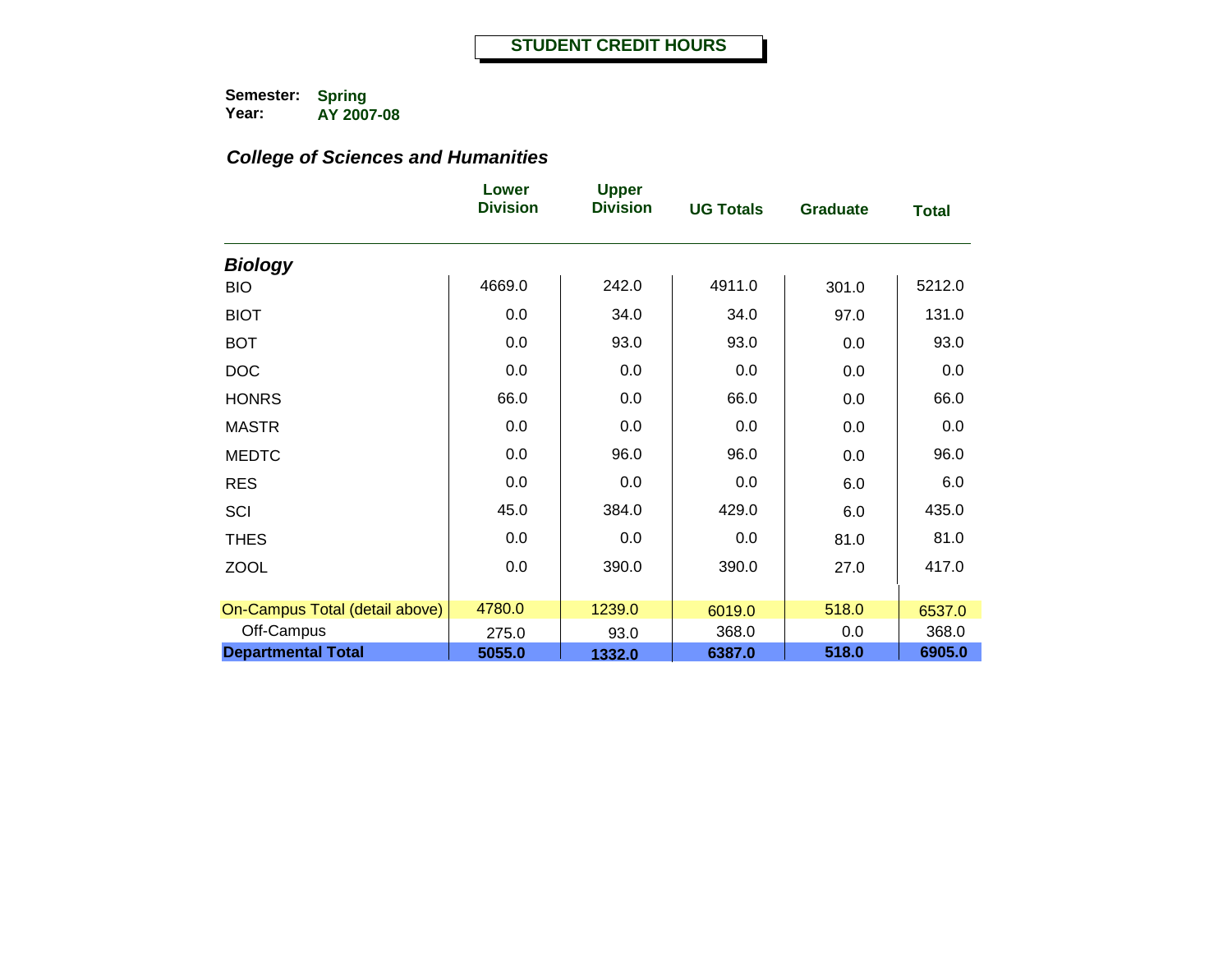|                                | Lower<br><b>Division</b> | <b>Upper</b><br><b>Division</b> | <b>UG Totals</b> | <b>Graduate</b> | <b>Total</b> |
|--------------------------------|--------------------------|---------------------------------|------------------|-----------------|--------------|
| <b>Biology</b>                 |                          |                                 |                  |                 |              |
| <b>BIO</b>                     | 4669.0                   | 242.0                           | 4911.0           | 301.0           | 5212.0       |
| <b>BIOT</b>                    | 0.0                      | 34.0                            | 34.0             | 97.0            | 131.0        |
| <b>BOT</b>                     | 0.0                      | 93.0                            | 93.0             | 0.0             | 93.0         |
| <b>DOC</b>                     | 0.0                      | 0.0                             | 0.0              | 0.0             | 0.0          |
| <b>HONRS</b>                   | 66.0                     | 0.0                             | 66.0             | 0.0             | 66.0         |
| <b>MASTR</b>                   | 0.0                      | 0.0                             | 0.0              | 0.0             | 0.0          |
| <b>MEDTC</b>                   | 0.0                      | 96.0                            | 96.0             | 0.0             | 96.0         |
| <b>RES</b>                     | 0.0                      | 0.0                             | 0.0              | 6.0             | 6.0          |
| SCI                            | 45.0                     | 384.0                           | 429.0            | 6.0             | 435.0        |
| <b>THES</b>                    | 0.0                      | 0.0                             | 0.0              | 81.0            | 81.0         |
| <b>ZOOL</b>                    | 0.0                      | 390.0                           | 390.0            | 27.0            | 417.0        |
|                                |                          |                                 |                  |                 |              |
| On-Campus Total (detail above) | 4780.0                   | 1239.0                          | 6019.0           | 518.0           | 6537.0       |
| Off-Campus                     | 275.0                    | 93.0                            | 368.0            | 0.0             | 368.0        |
| <b>Departmental Total</b>      | 5055.0                   | 1332.0                          | 6387.0           | 518.0           | 6905.0       |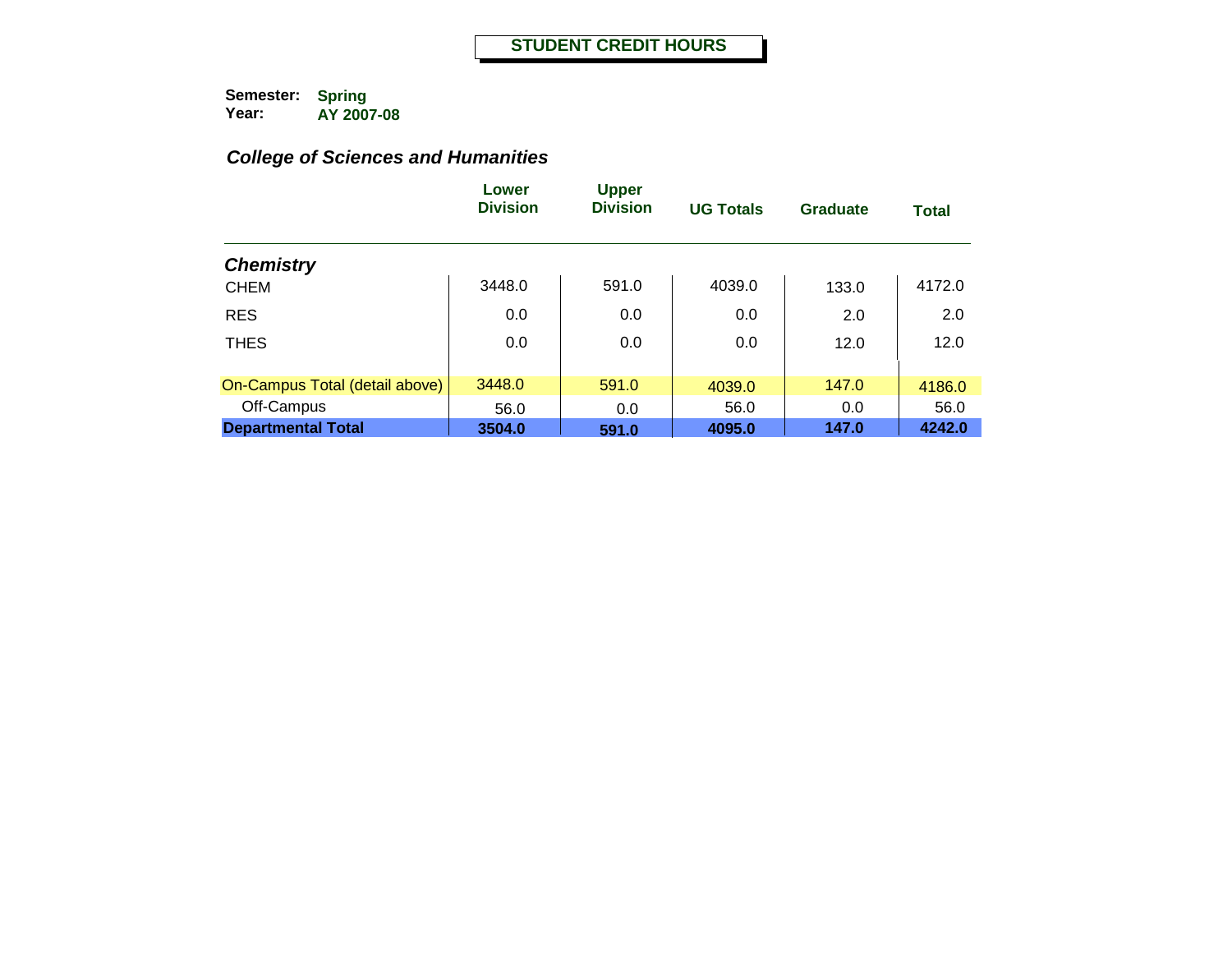|                                | Lower<br><b>Division</b> | <b>Upper</b><br><b>Division</b> | <b>UG Totals</b> | Graduate | <b>Total</b> |
|--------------------------------|--------------------------|---------------------------------|------------------|----------|--------------|
| <b>Chemistry</b>               |                          |                                 |                  |          |              |
| <b>CHEM</b>                    | 3448.0                   | 591.0                           | 4039.0           | 133.0    | 4172.0       |
| <b>RES</b>                     | 0.0                      | 0.0                             | 0.0              | 2.0      | 2.0          |
| <b>THES</b>                    | 0.0                      | 0.0                             | 0.0              | 12.0     | 12.0         |
| On-Campus Total (detail above) | 3448.0                   | 591.0                           | 4039.0           | 147.0    | 4186.0       |
| Off-Campus                     | 56.0                     | 0.0                             | 56.0             | 0.0      | 56.0         |
| <b>Departmental Total</b>      | 3504.0                   | 591.0                           | 4095.0           | 147.0    | 4242.0       |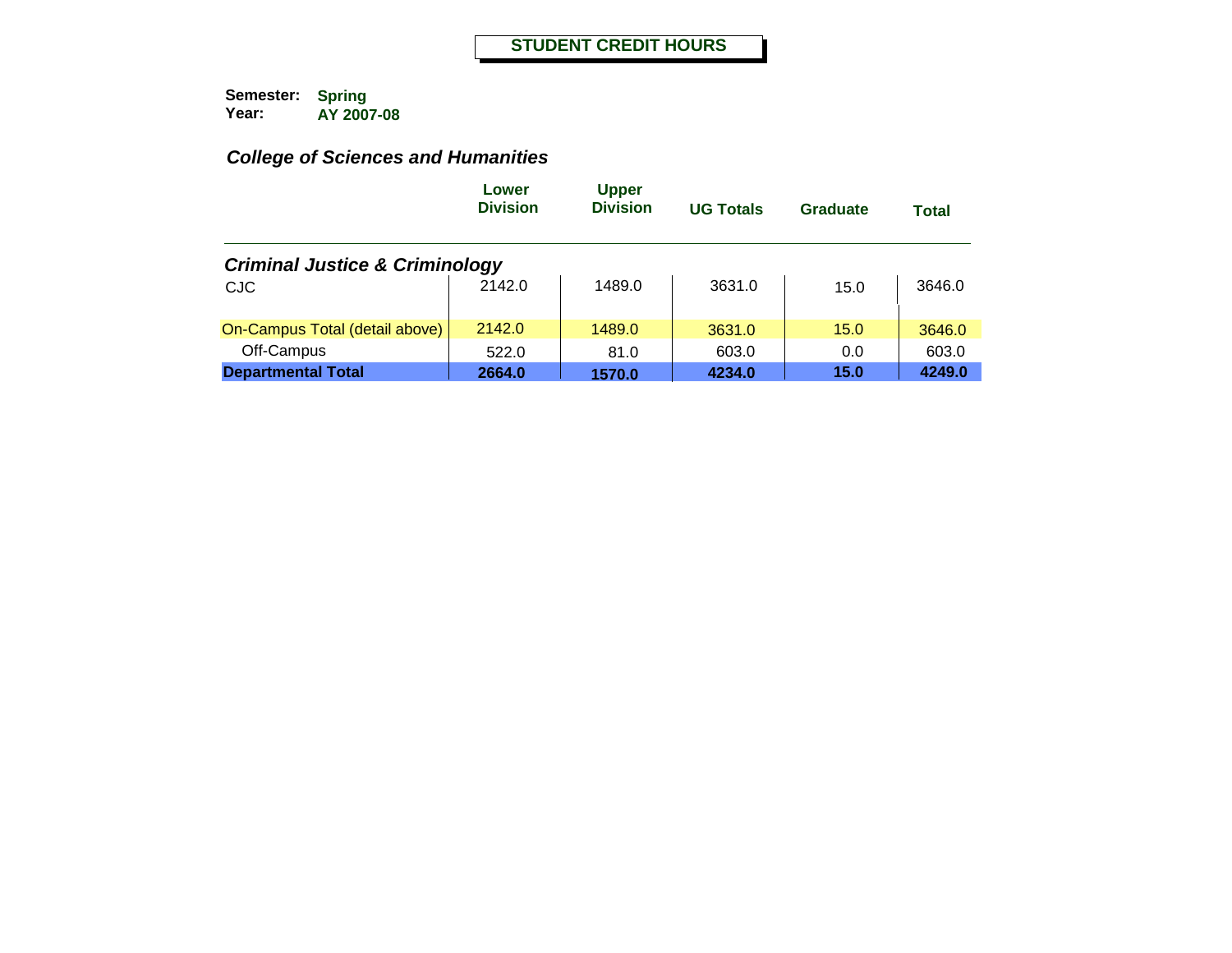|                                           | Lower<br><b>Division</b> | <b>Upper</b><br><b>Division</b> | <b>UG Totals</b> | Graduate | Total  |
|-------------------------------------------|--------------------------|---------------------------------|------------------|----------|--------|
| <b>Criminal Justice &amp; Criminology</b> |                          |                                 |                  |          |        |
| <b>CJC</b>                                | 2142.0                   | 1489.0                          | 3631.0           | 15.0     | 3646.0 |
| On-Campus Total (detail above)            | 2142.0                   | 1489.0                          | 3631.0           | 15.0     | 3646.0 |
| Off-Campus                                | 522.0                    | 81.0                            | 603.0            | 0.0      | 603.0  |
| <b>Departmental Total</b>                 | 2664.0                   | 1570.0                          | 4234.0           | 15.0     | 4249.0 |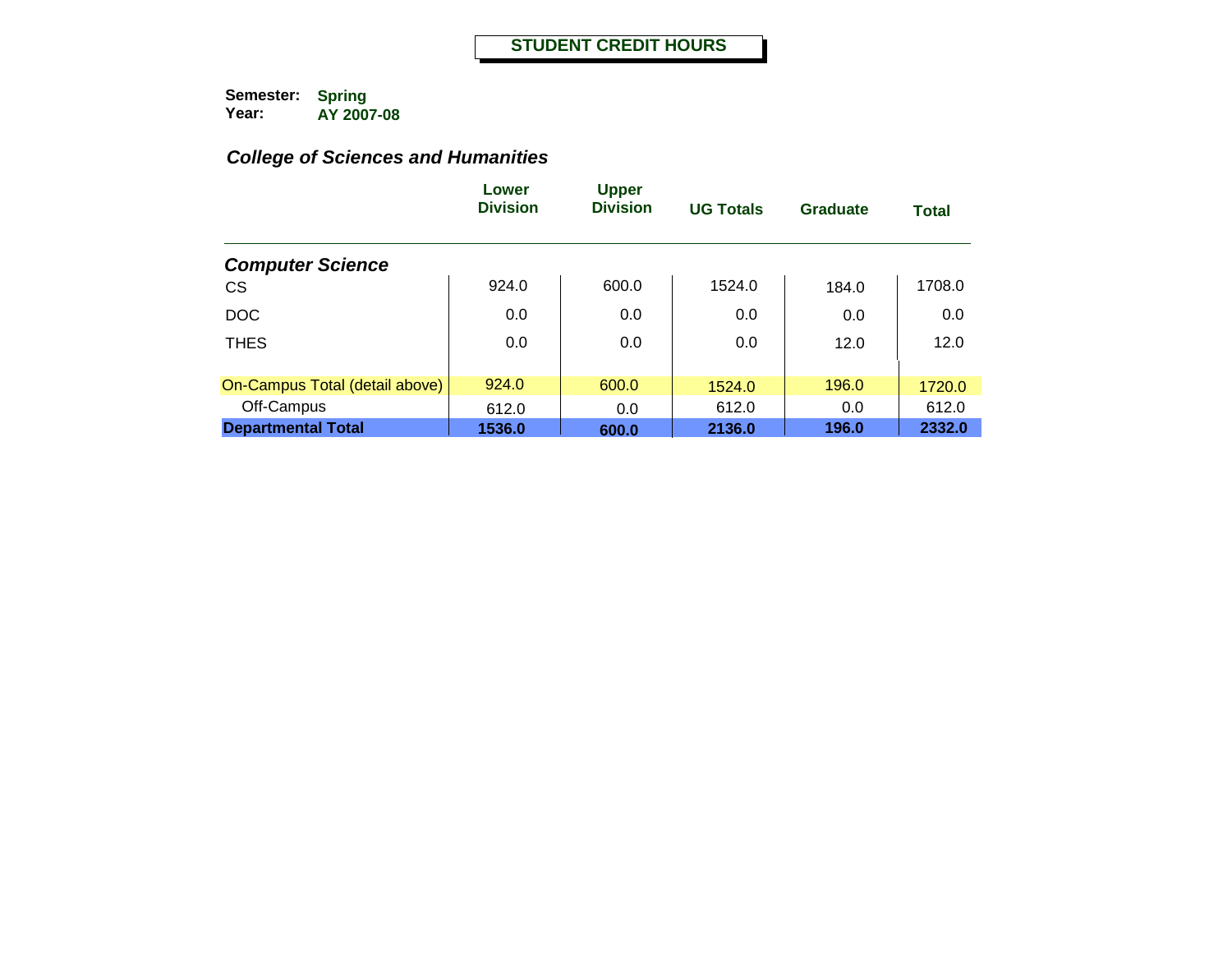|                                | Lower<br><b>Division</b> | <b>Upper</b><br><b>Division</b> | <b>UG Totals</b> | Graduate | <b>Total</b> |
|--------------------------------|--------------------------|---------------------------------|------------------|----------|--------------|
| <b>Computer Science</b>        |                          |                                 |                  |          |              |
| <b>CS</b>                      | 924.0                    | 600.0                           | 1524.0           | 184.0    | 1708.0       |
| <b>DOC</b>                     | 0.0                      | 0.0                             | 0.0              | 0.0      | 0.0          |
| <b>THES</b>                    | 0.0                      | 0.0                             | 0.0              | 12.0     | 12.0         |
| On-Campus Total (detail above) | 924.0                    | 600.0                           | 1524.0           | 196.0    | 1720.0       |
| Off-Campus                     | 612.0                    | 0.0                             | 612.0            | 0.0      | 612.0        |
| <b>Departmental Total</b>      | 1536.0                   | 600.0                           | 2136.0           | 196.0    | 2332.0       |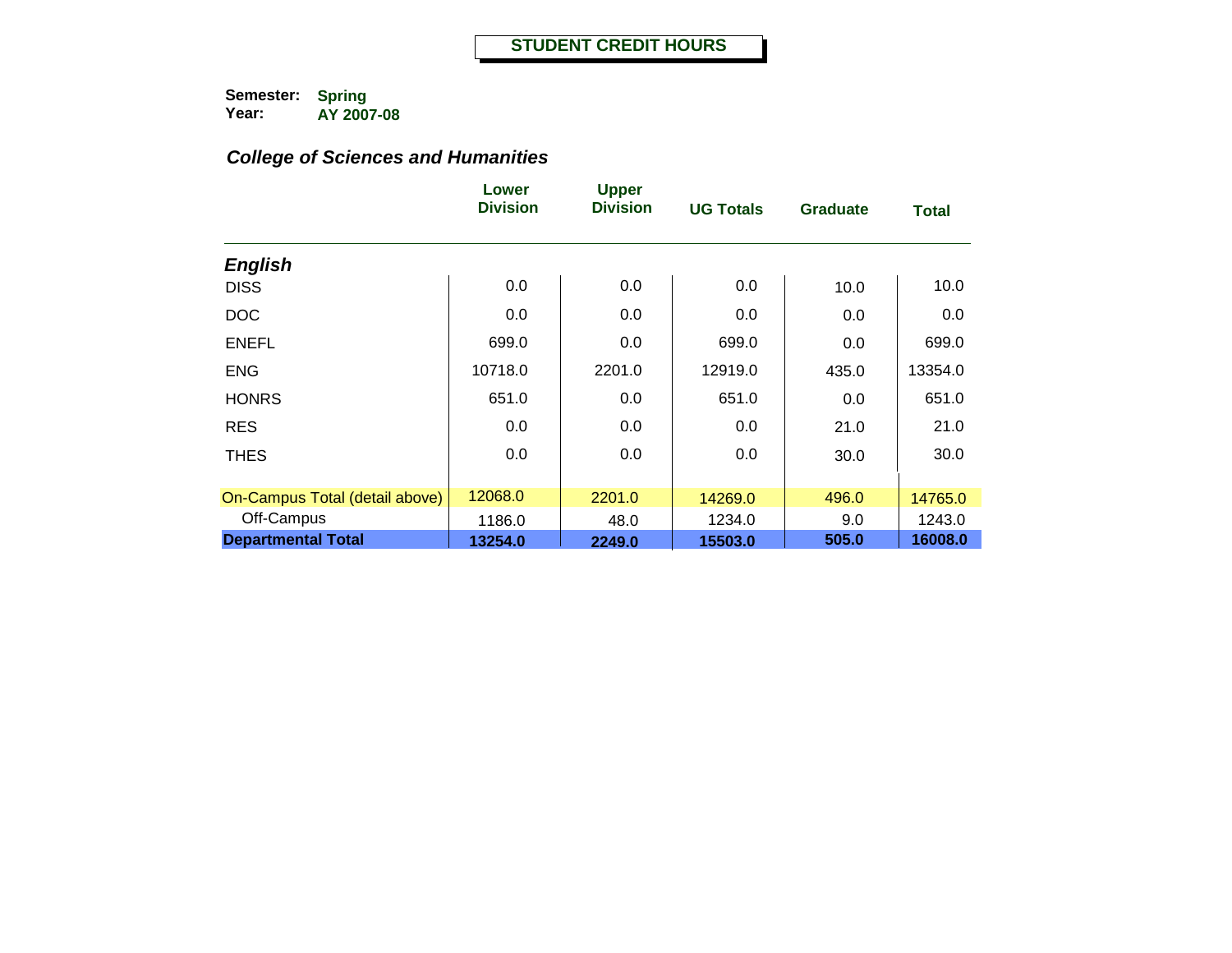|                                | Lower<br><b>Division</b> | <b>Upper</b><br><b>Division</b> | <b>UG Totals</b> | <b>Graduate</b> | <b>Total</b> |
|--------------------------------|--------------------------|---------------------------------|------------------|-----------------|--------------|
| <b>English</b>                 |                          |                                 |                  |                 |              |
| <b>DISS</b>                    | 0.0                      | 0.0                             | 0.0              | 10.0            | 10.0         |
| <b>DOC</b>                     | 0.0                      | 0.0                             | 0.0              | 0.0             | 0.0          |
| <b>ENEFL</b>                   | 699.0                    | 0.0                             | 699.0            | 0.0             | 699.0        |
| <b>ENG</b>                     | 10718.0                  | 2201.0                          | 12919.0          | 435.0           | 13354.0      |
| <b>HONRS</b>                   | 651.0                    | 0.0                             | 651.0            | 0.0             | 651.0        |
| <b>RES</b>                     | 0.0                      | 0.0                             | 0.0              | 21.0            | 21.0         |
| <b>THES</b>                    | 0.0                      | 0.0                             | 0.0              | 30.0            | 30.0         |
| On-Campus Total (detail above) | 12068.0                  | 2201.0                          | 14269.0          | 496.0           | 14765.0      |
| Off-Campus                     | 1186.0                   | 48.0                            | 1234.0           | 9.0             | 1243.0       |
| <b>Departmental Total</b>      | 13254.0                  | 2249.0                          | 15503.0          | 505.0           | 16008.0      |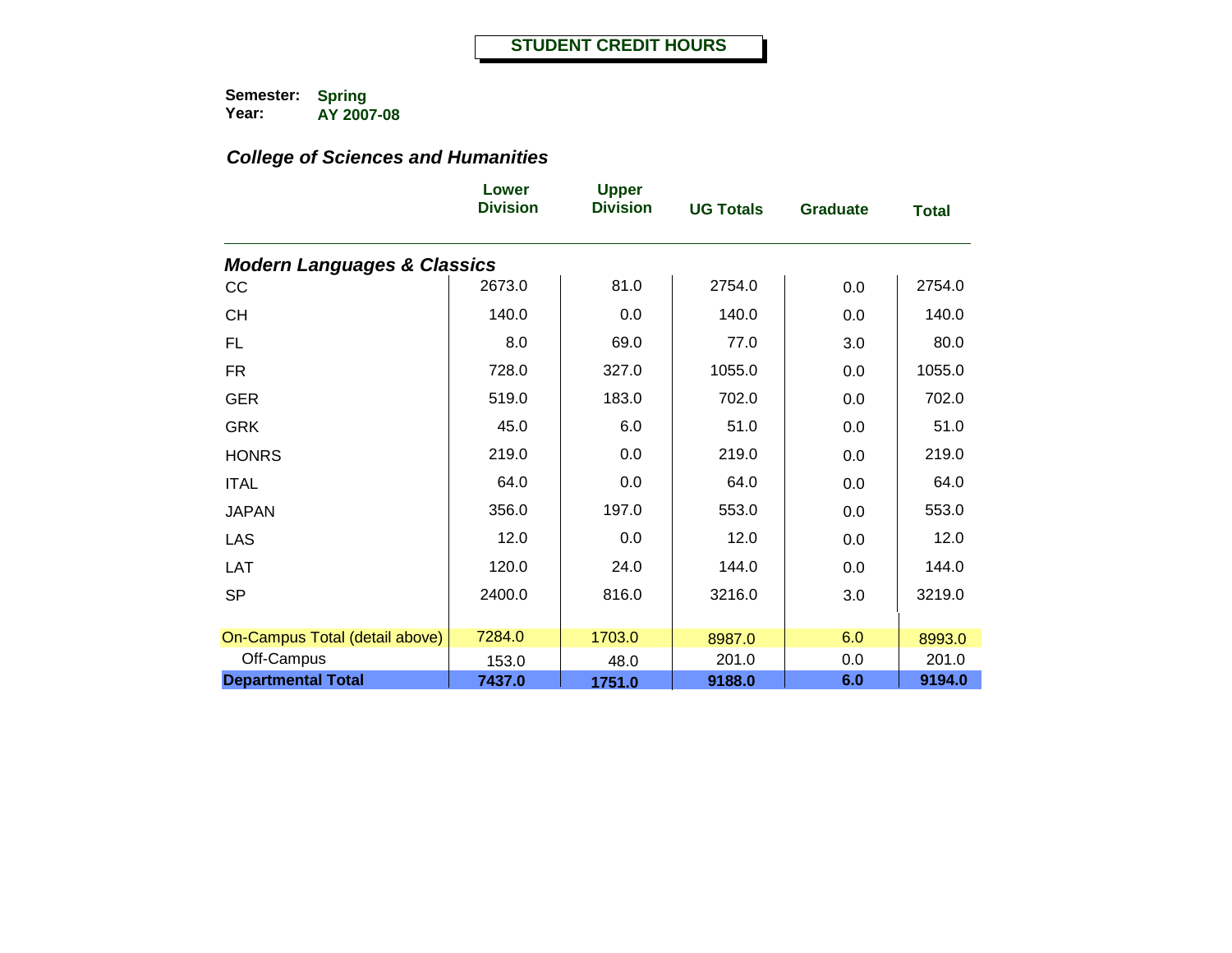|                                        | Lower<br><b>Division</b> | <b>Upper</b><br><b>Division</b> | <b>UG Totals</b> | <b>Graduate</b> | <b>Total</b> |
|----------------------------------------|--------------------------|---------------------------------|------------------|-----------------|--------------|
| <b>Modern Languages &amp; Classics</b> |                          |                                 |                  |                 |              |
| cc                                     | 2673.0                   | 81.0                            | 2754.0           | 0.0             | 2754.0       |
| <b>CH</b>                              | 140.0                    | 0.0                             | 140.0            | 0.0             | 140.0        |
| <b>FL</b>                              | 8.0                      | 69.0                            | 77.0             | 3.0             | 80.0         |
| <b>FR</b>                              | 728.0                    | 327.0                           | 1055.0           | 0.0             | 1055.0       |
| <b>GER</b>                             | 519.0                    | 183.0                           | 702.0            | 0.0             | 702.0        |
| <b>GRK</b>                             | 45.0                     | 6.0                             | 51.0             | 0.0             | 51.0         |
| <b>HONRS</b>                           | 219.0                    | 0.0                             | 219.0            | 0.0             | 219.0        |
| <b>ITAL</b>                            | 64.0                     | 0.0                             | 64.0             | 0.0             | 64.0         |
| <b>JAPAN</b>                           | 356.0                    | 197.0                           | 553.0            | 0.0             | 553.0        |
| LAS                                    | 12.0                     | 0.0                             | 12.0             | 0.0             | 12.0         |
| LAT                                    | 120.0                    | 24.0                            | 144.0            | 0.0             | 144.0        |
| <b>SP</b>                              | 2400.0                   | 816.0                           | 3216.0           | 3.0             | 3219.0       |
|                                        |                          |                                 |                  |                 |              |
| On-Campus Total (detail above)         | 7284.0                   | 1703.0                          | 8987.0           | 6.0             | 8993.0       |
| Off-Campus                             | 153.0                    | 48.0                            | 201.0            | 0.0             | 201.0        |
| <b>Departmental Total</b>              | 7437.0                   | 1751.0                          | 9188.0           | 6.0             | 9194.0       |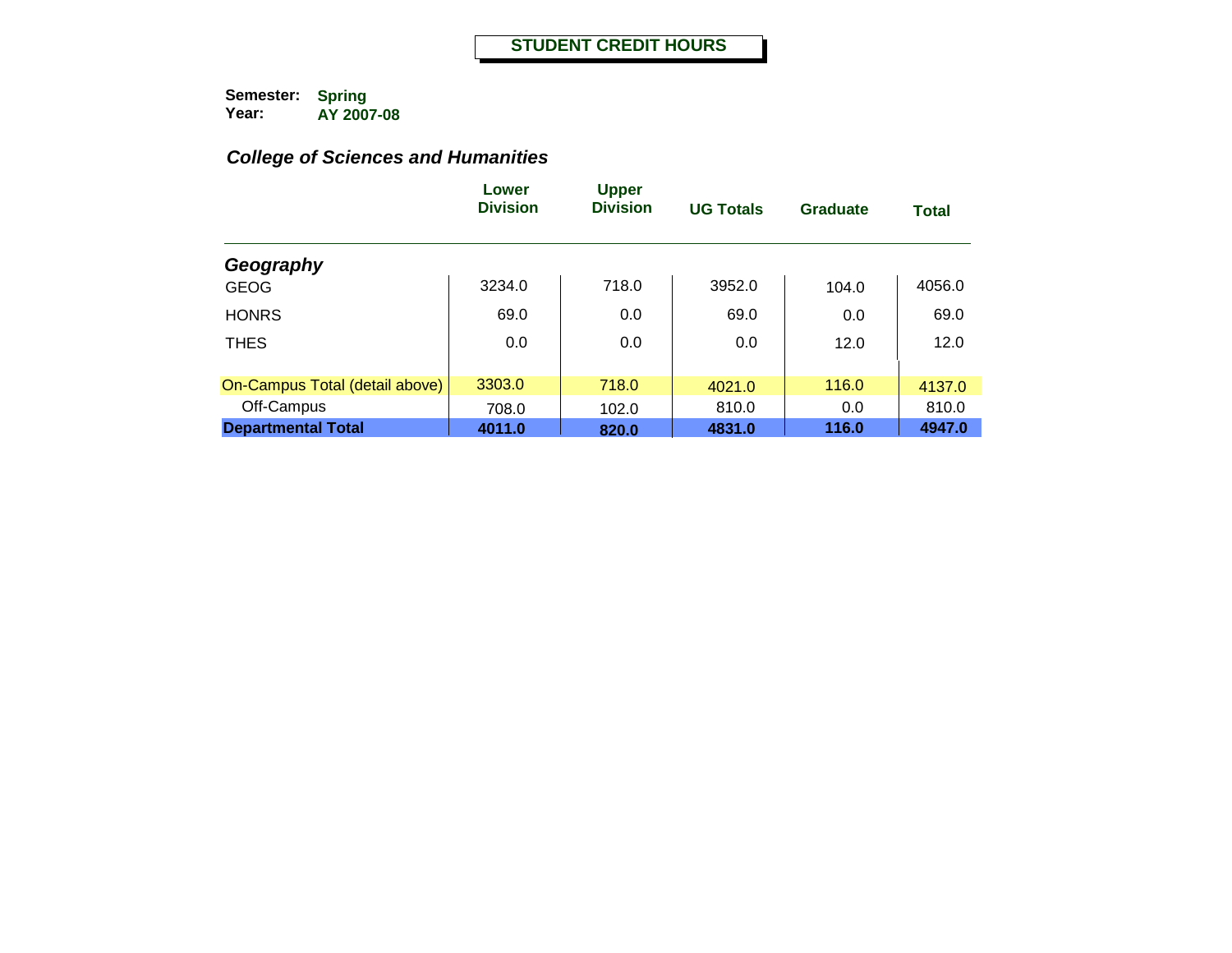|                                | Lower<br><b>Division</b> | <b>Upper</b><br><b>Division</b> | <b>UG Totals</b> | Graduate | <b>Total</b> |
|--------------------------------|--------------------------|---------------------------------|------------------|----------|--------------|
| Geography                      |                          |                                 |                  |          |              |
| <b>GEOG</b>                    | 3234.0                   | 718.0                           | 3952.0           | 104.0    | 4056.0       |
| <b>HONRS</b>                   | 69.0                     | 0.0                             | 69.0             | 0.0      | 69.0         |
| <b>THES</b>                    | 0.0                      | 0.0                             | 0.0              | 12.0     | 12.0         |
| On-Campus Total (detail above) | 3303.0                   | 718.0                           | 4021.0           | 116.0    | 4137.0       |
| Off-Campus                     | 708.0                    | 102.0                           | 810.0            | 0.0      | 810.0        |
| <b>Departmental Total</b>      | 4011.0                   | 820.0                           | 4831.0           | 116.0    | 4947.0       |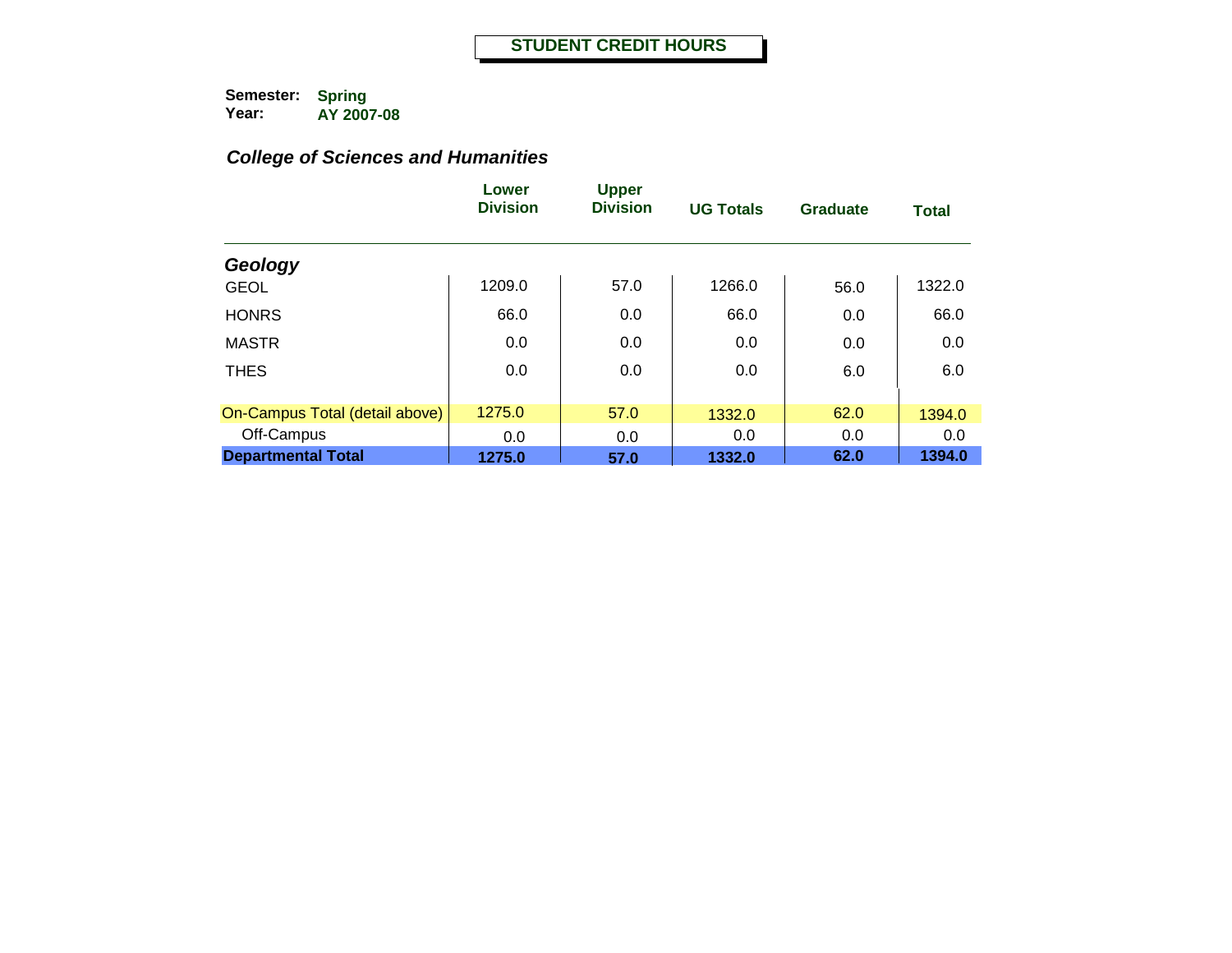|                                | Lower<br><b>Division</b> | <b>Upper</b><br><b>Division</b> | <b>UG Totals</b> | <b>Graduate</b> | <b>Total</b> |
|--------------------------------|--------------------------|---------------------------------|------------------|-----------------|--------------|
| Geology                        |                          |                                 |                  |                 |              |
| <b>GEOL</b>                    | 1209.0                   | 57.0                            | 1266.0           | 56.0            | 1322.0       |
| <b>HONRS</b>                   | 66.0                     | 0.0                             | 66.0             | 0.0             | 66.0         |
| <b>MASTR</b>                   | 0.0                      | 0.0                             | 0.0              | 0.0             | 0.0          |
| <b>THES</b>                    | 0.0                      | 0.0                             | 0.0              | 6.0             | 6.0          |
| On-Campus Total (detail above) | 1275.0                   | 57.0                            | 1332.0           | 62.0            | 1394.0       |
| Off-Campus                     | 0.0                      | 0.0                             | 0.0              | 0.0             | 0.0          |
| <b>Departmental Total</b>      | 1275.0                   | 57.0                            | 1332.0           | 62.0            | 1394.0       |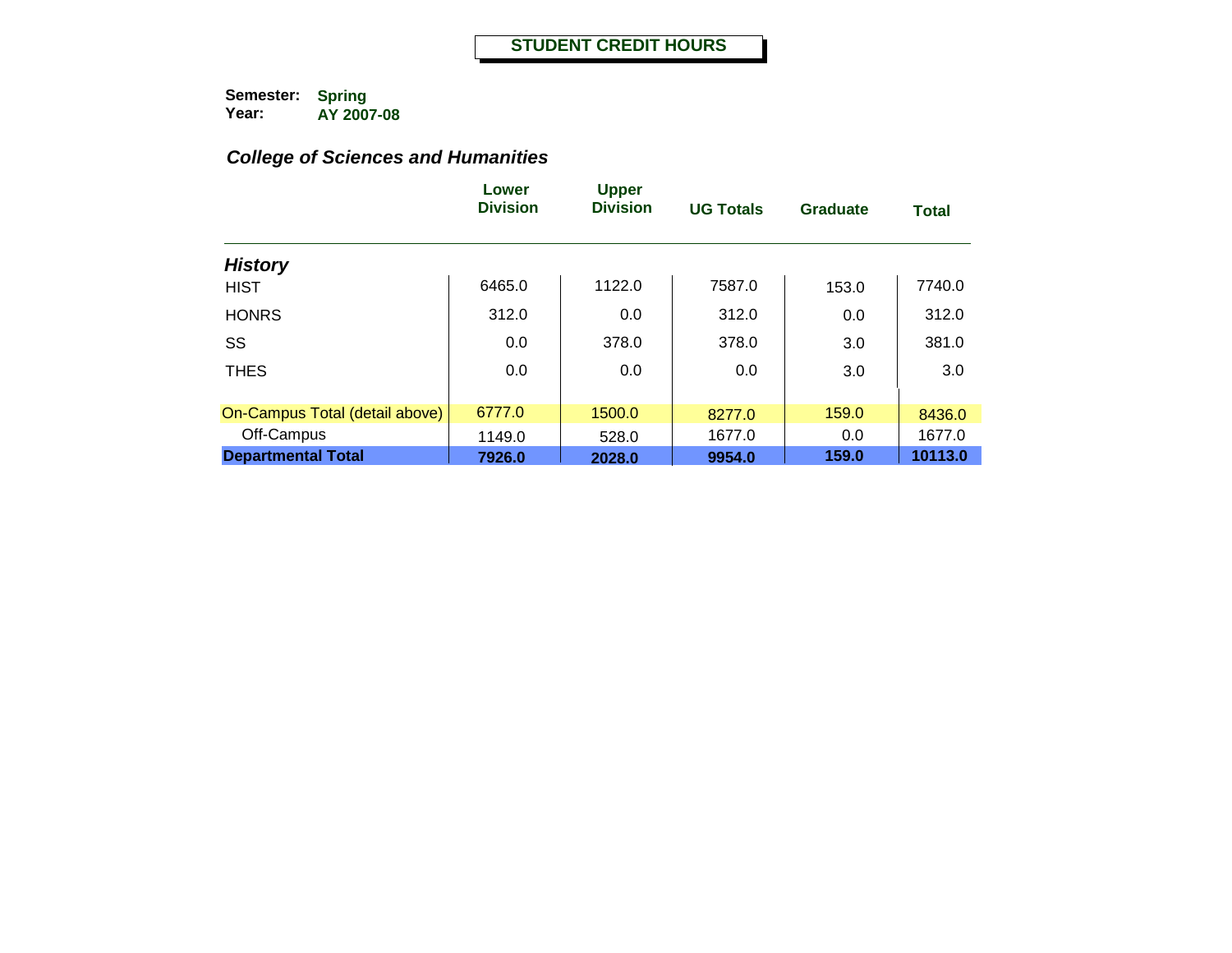|                                | Lower<br><b>Division</b> | <b>Upper</b><br><b>Division</b> | <b>UG Totals</b> | <b>Graduate</b> | <b>Total</b> |
|--------------------------------|--------------------------|---------------------------------|------------------|-----------------|--------------|
| <b>History</b>                 |                          |                                 |                  |                 |              |
| <b>HIST</b>                    | 6465.0                   | 1122.0                          | 7587.0           | 153.0           | 7740.0       |
| <b>HONRS</b>                   | 312.0                    | 0.0                             | 312.0            | 0.0             | 312.0        |
| SS                             | 0.0                      | 378.0                           | 378.0            | 3.0             | 381.0        |
| <b>THES</b>                    | 0.0                      | 0.0                             | 0.0              | 3.0             | 3.0          |
| On-Campus Total (detail above) | 6777.0                   | 1500.0                          | 8277.0           | 159.0           | 8436.0       |
| Off-Campus                     | 1149.0                   | 528.0                           | 1677.0           | 0.0             | 1677.0       |
| <b>Departmental Total</b>      | 7926.0                   | 2028.0                          | 9954.0           | 159.0           | 10113.0      |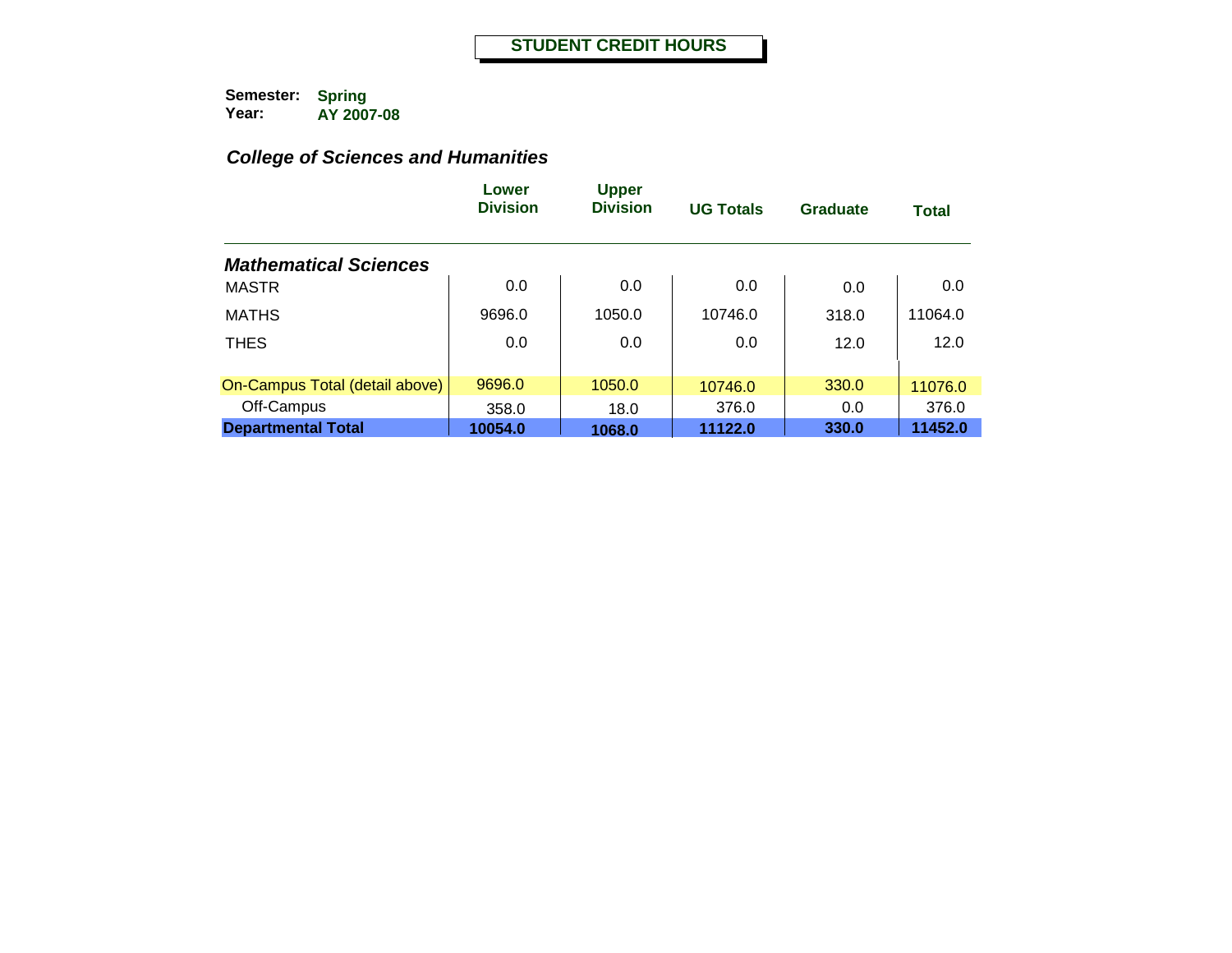|                                | Lower<br><b>Division</b> | <b>Upper</b><br><b>Division</b> | <b>UG Totals</b> | <b>Graduate</b> | <b>Total</b> |
|--------------------------------|--------------------------|---------------------------------|------------------|-----------------|--------------|
| <b>Mathematical Sciences</b>   |                          |                                 |                  |                 |              |
| MASTR                          | 0.0                      | 0.0                             | 0.0              | 0.0             | 0.0          |
| <b>MATHS</b>                   | 9696.0                   | 1050.0                          | 10746.0          | 318.0           | 11064.0      |
| <b>THES</b>                    | 0.0                      | 0.0                             | 0.0              | 12.0            | 12.0         |
|                                |                          |                                 |                  |                 |              |
| On-Campus Total (detail above) | 9696.0                   | 1050.0                          | 10746.0          | 330.0           | 11076.0      |
| Off-Campus                     | 358.0                    | 18.0                            | 376.0            | 0.0             | 376.0        |
| <b>Departmental Total</b>      | 10054.0                  | 1068.0                          | 11122.0          | 330.0           | 11452.0      |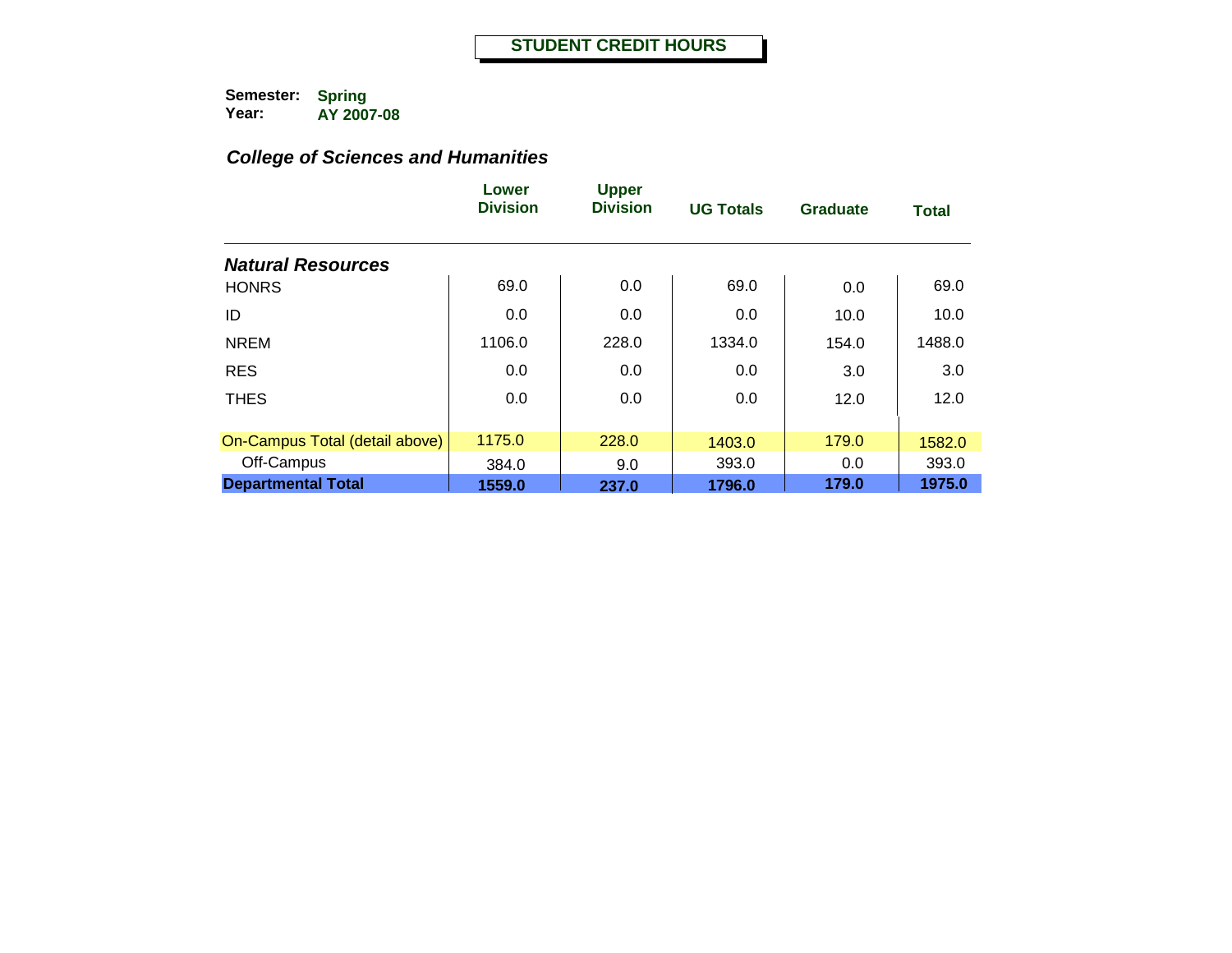|                                | Lower<br><b>Division</b> | <b>Upper</b><br><b>Division</b> | <b>UG Totals</b> | <b>Graduate</b> | <b>Total</b> |
|--------------------------------|--------------------------|---------------------------------|------------------|-----------------|--------------|
| <b>Natural Resources</b>       |                          |                                 |                  |                 |              |
| <b>HONRS</b>                   | 69.0                     | 0.0                             | 69.0             | 0.0             | 69.0         |
| ID                             | 0.0                      | 0.0                             | 0.0              | 10.0            | 10.0         |
| <b>NREM</b>                    | 1106.0                   | 228.0                           | 1334.0           | 154.0           | 1488.0       |
| <b>RES</b>                     | 0.0                      | 0.0                             | 0.0              | 3.0             | 3.0          |
| <b>THES</b>                    | 0.0                      | 0.0                             | 0.0              | 12.0            | 12.0         |
| On-Campus Total (detail above) | 1175.0                   | 228.0                           | 1403.0           | 179.0           | 1582.0       |
| Off-Campus                     | 384.0                    | 9.0                             | 393.0            | 0.0             | 393.0        |
| <b>Departmental Total</b>      | 1559.0                   | 237.0                           | 1796.0           | 179.0           | 1975.0       |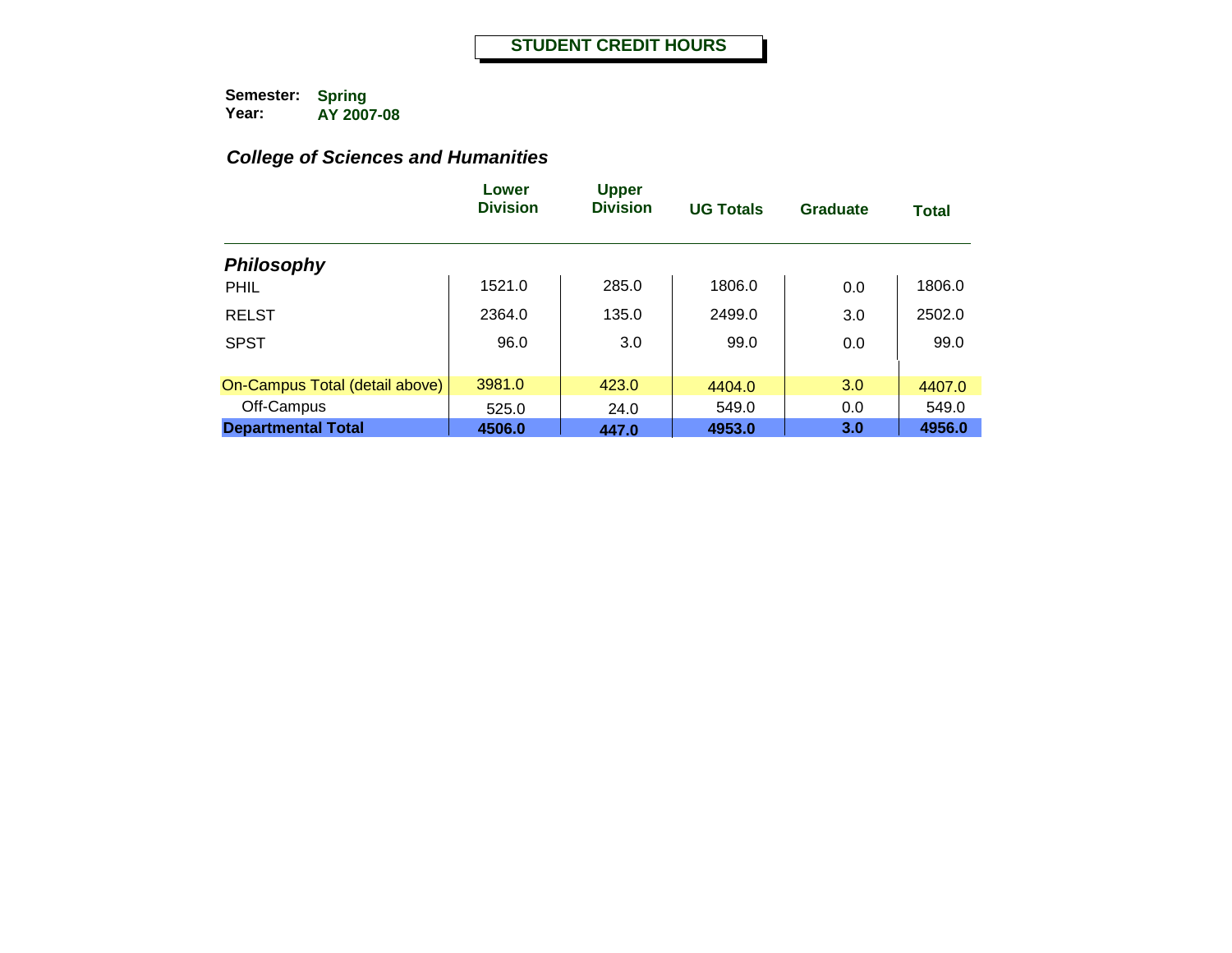|                                | Lower<br><b>Division</b> | <b>Upper</b><br><b>Division</b> | <b>UG Totals</b> | Graduate | <b>Total</b> |
|--------------------------------|--------------------------|---------------------------------|------------------|----------|--------------|
| <b>Philosophy</b>              |                          |                                 |                  |          |              |
| PHIL                           | 1521.0                   | 285.0                           | 1806.0           | 0.0      | 1806.0       |
| <b>RELST</b>                   | 2364.0                   | 135.0                           | 2499.0           | 3.0      | 2502.0       |
| <b>SPST</b>                    | 96.0                     | 3.0                             | 99.0             | 0.0      | 99.0         |
| On-Campus Total (detail above) | 3981.0                   | 423.0                           | 4404.0           | 3.0      | 4407.0       |
| Off-Campus                     | 525.0                    | 24.0                            | 549.0            | 0.0      | 549.0        |
| <b>Departmental Total</b>      | 4506.0                   | 447.0                           | 4953.0           | 3.0      | 4956.0       |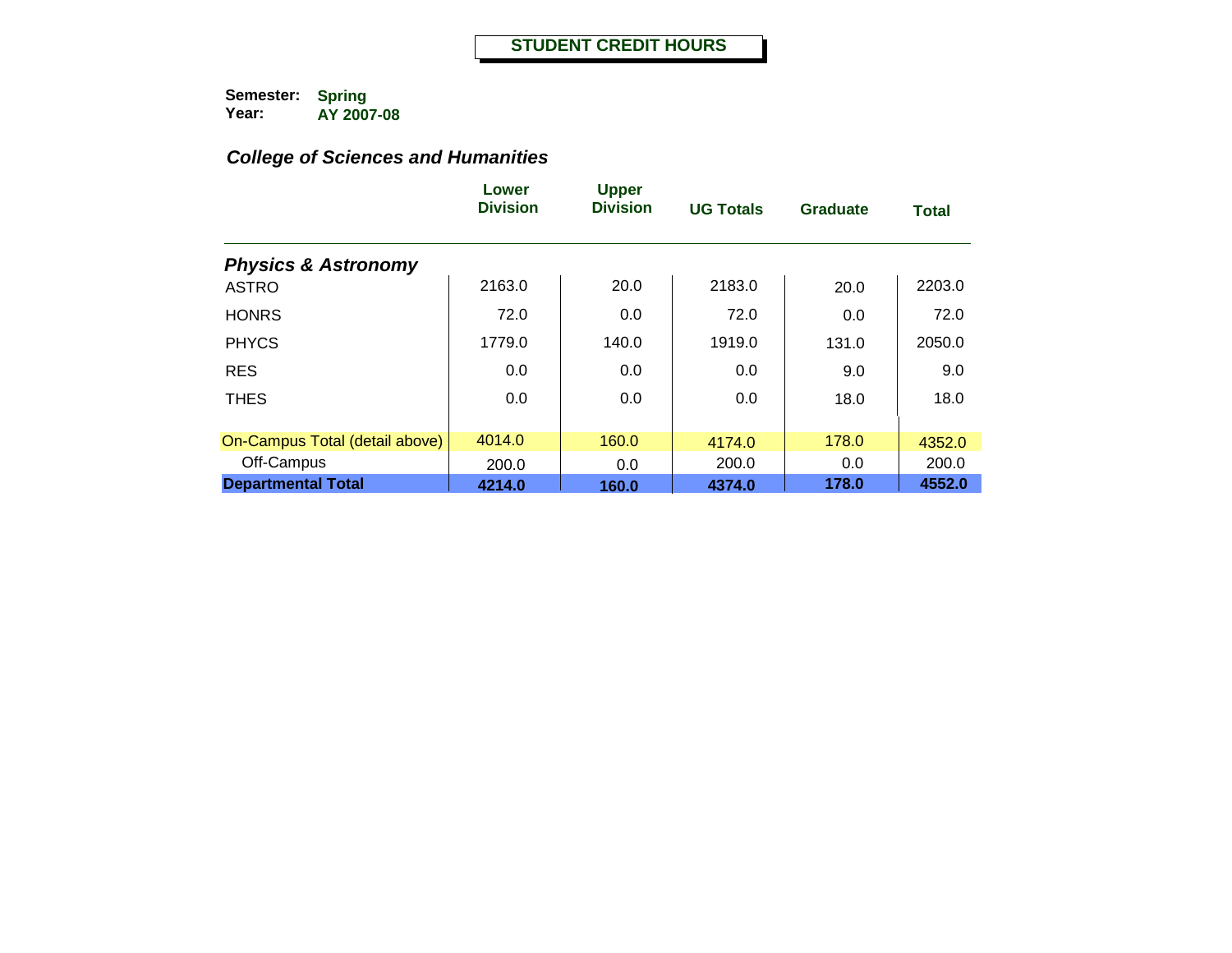|                                | Lower<br><b>Division</b> | <b>Upper</b><br><b>Division</b> | <b>UG Totals</b> | <b>Graduate</b> | <b>Total</b> |
|--------------------------------|--------------------------|---------------------------------|------------------|-----------------|--------------|
| <b>Physics &amp; Astronomy</b> |                          |                                 |                  |                 |              |
| <b>ASTRO</b>                   | 2163.0                   | 20.0                            | 2183.0           | 20.0            | 2203.0       |
| <b>HONRS</b>                   | 72.0                     | 0.0                             | 72.0             | 0.0             | 72.0         |
| <b>PHYCS</b>                   | 1779.0                   | 140.0                           | 1919.0           | 131.0           | 2050.0       |
| <b>RES</b>                     | 0.0                      | 0.0                             | 0.0              | 9.0             | 9.0          |
| <b>THES</b>                    | 0.0                      | 0.0                             | 0.0              | 18.0            | 18.0         |
| On-Campus Total (detail above) | 4014.0                   | 160.0                           | 4174.0           | 178.0           | 4352.0       |
| Off-Campus                     | 200.0                    | 0.0                             | 200.0            | 0.0             | 200.0        |
| <b>Departmental Total</b>      | 4214.0                   | 160.0                           | 4374.0           | 178.0           | 4552.0       |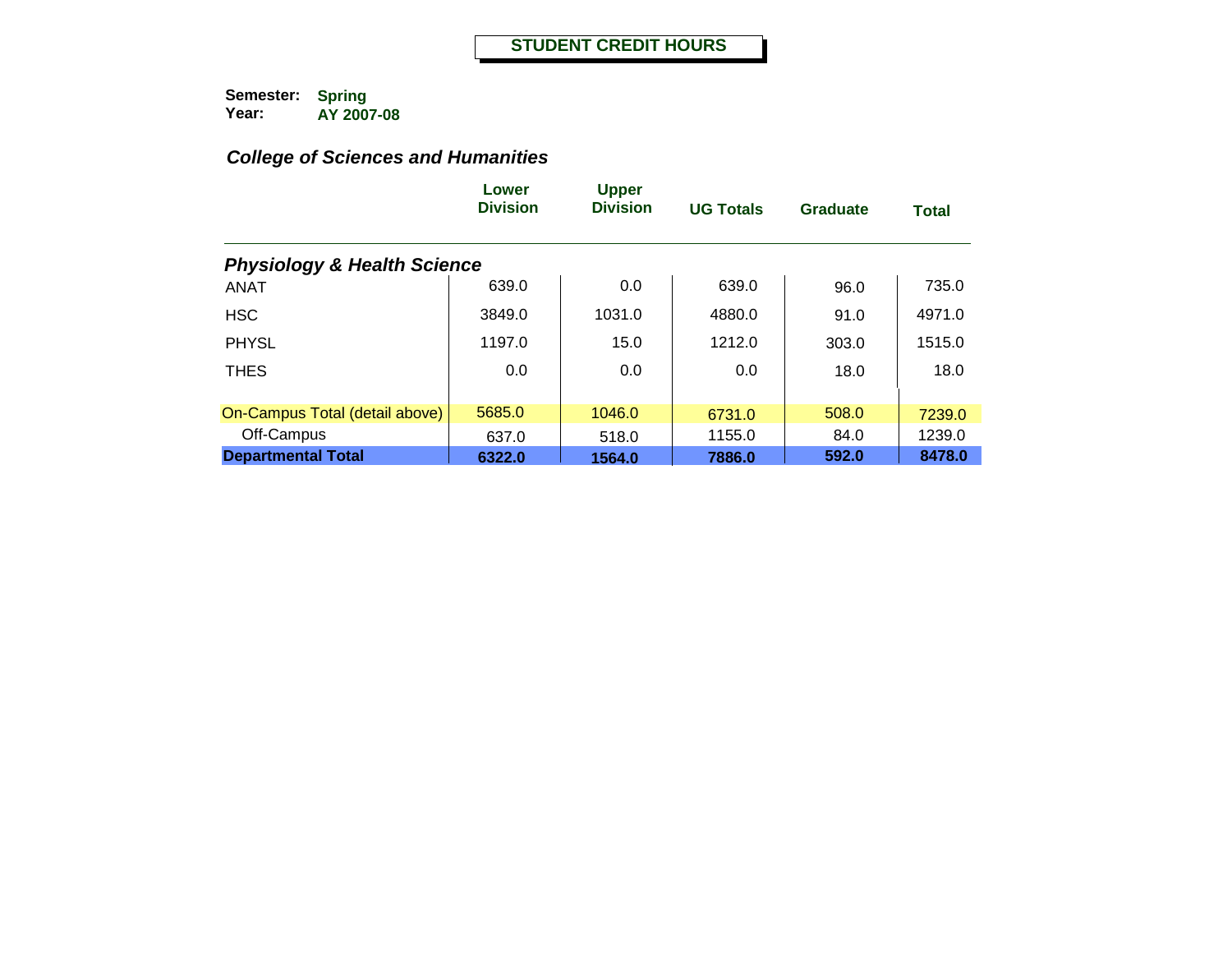|                                        | Lower<br><b>Division</b> | <b>Upper</b><br><b>Division</b> | <b>UG Totals</b> | <b>Graduate</b> | <b>Total</b> |
|----------------------------------------|--------------------------|---------------------------------|------------------|-----------------|--------------|
| <b>Physiology &amp; Health Science</b> |                          |                                 |                  |                 |              |
| <b>ANAT</b>                            | 639.0                    | 0.0                             | 639.0            | 96.0            | 735.0        |
| <b>HSC</b>                             | 3849.0                   | 1031.0                          | 4880.0           | 91.0            | 4971.0       |
| <b>PHYSL</b>                           | 1197.0                   | 15.0                            | 1212.0           | 303.0           | 1515.0       |
| <b>THES</b>                            | 0.0                      | 0.0                             | 0.0              | 18.0            | 18.0         |
| On-Campus Total (detail above)         | 5685.0                   | 1046.0                          | 6731.0           | 508.0           | 7239.0       |
| Off-Campus                             | 637.0                    | 518.0                           | 1155.0           | 84.0            | 1239.0       |
| <b>Departmental Total</b>              | 6322.0                   | 1564.0                          | 7886.0           | 592.0           | 8478.0       |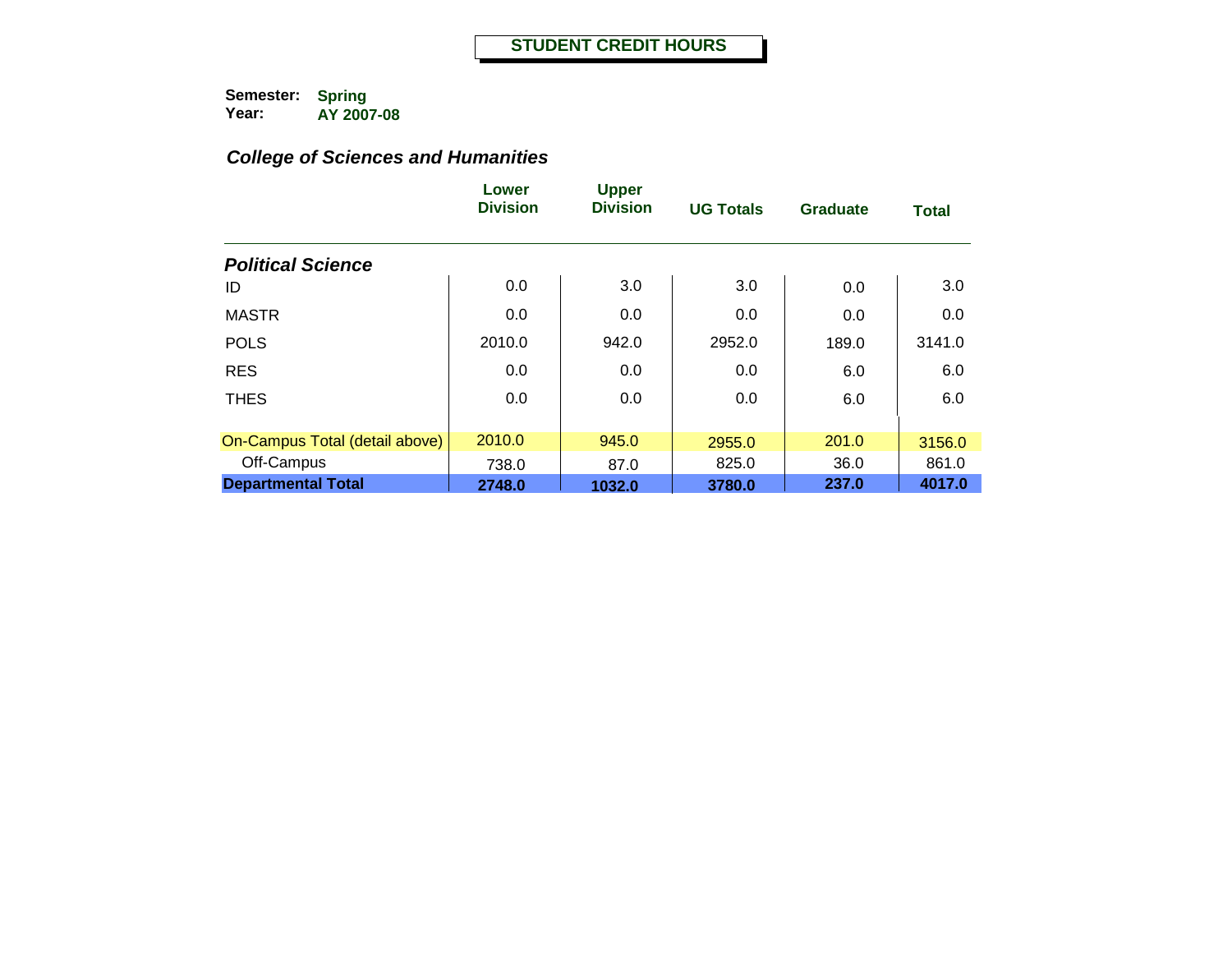|                                | Lower<br><b>Division</b> | <b>Upper</b><br><b>Division</b> | <b>UG Totals</b> | <b>Graduate</b> | <b>Total</b> |
|--------------------------------|--------------------------|---------------------------------|------------------|-----------------|--------------|
| <b>Political Science</b>       |                          |                                 |                  |                 |              |
| ID                             | 0.0                      | 3.0                             | 3.0              | 0.0             | 3.0          |
| <b>MASTR</b>                   | 0.0                      | 0.0                             | 0.0              | 0.0             | 0.0          |
| <b>POLS</b>                    | 2010.0                   | 942.0                           | 2952.0           | 189.0           | 3141.0       |
| <b>RES</b>                     | 0.0                      | 0.0                             | 0.0              | 6.0             | 6.0          |
| <b>THES</b>                    | 0.0                      | 0.0                             | 0.0              | 6.0             | 6.0          |
| On-Campus Total (detail above) | 2010.0                   | 945.0                           | 2955.0           | 201.0           | 3156.0       |
| Off-Campus                     | 738.0                    | 87.0                            | 825.0            | 36.0            | 861.0        |
| <b>Departmental Total</b>      | 2748.0                   | 1032.0                          | 3780.0           | 237.0           | 4017.0       |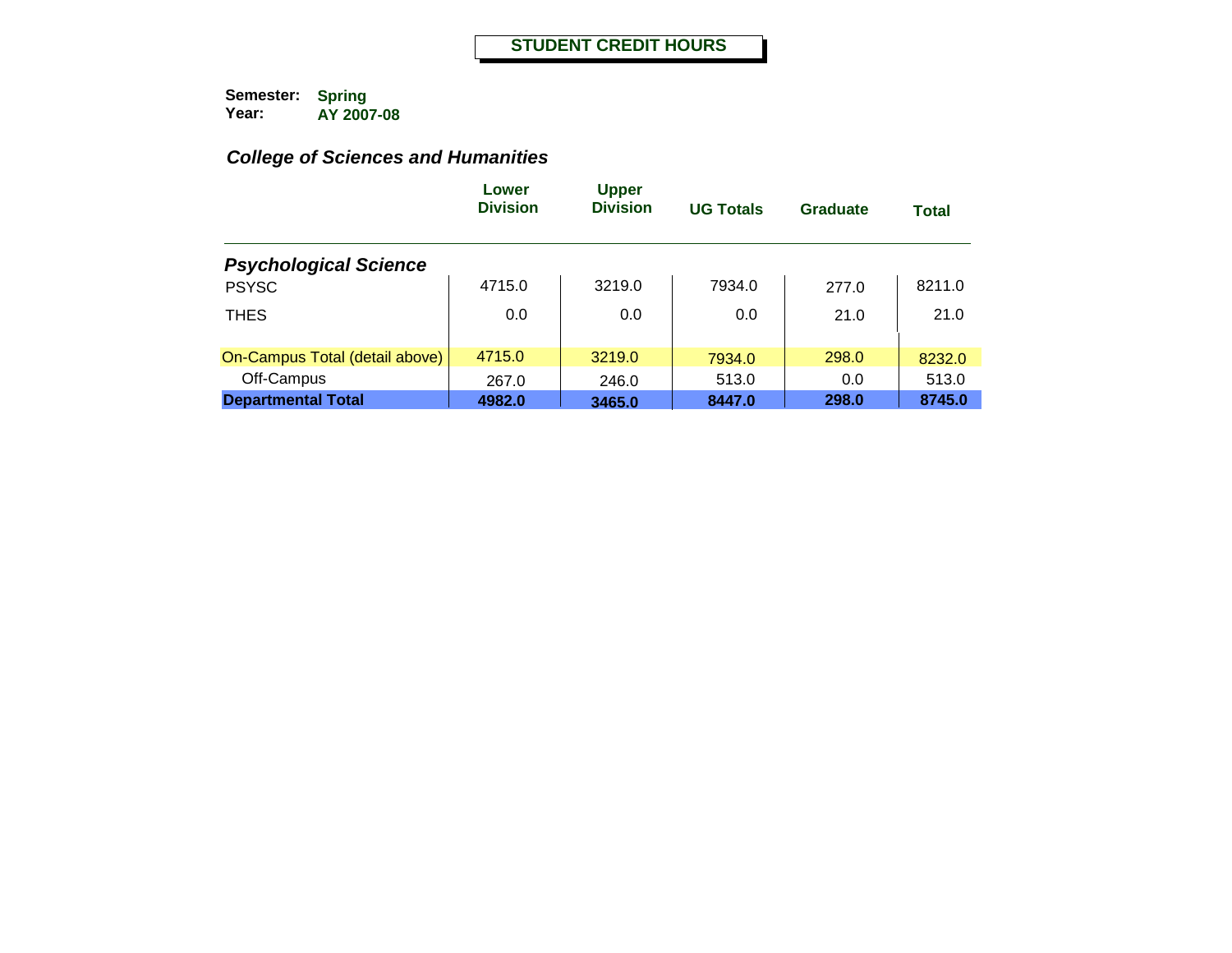|                                | Lower<br><b>Division</b> | <b>Upper</b><br><b>Division</b> | <b>UG Totals</b> | Graduate | Total  |
|--------------------------------|--------------------------|---------------------------------|------------------|----------|--------|
| <b>Psychological Science</b>   |                          |                                 |                  |          |        |
| <b>PSYSC</b>                   | 4715.0                   | 3219.0                          | 7934.0           | 277.0    | 8211.0 |
| <b>THES</b>                    | 0.0                      | 0.0                             | 0.0              | 21.0     | 21.0   |
| On-Campus Total (detail above) | 4715.0                   | 3219.0                          | 7934.0           | 298.0    | 8232.0 |
| Off-Campus                     | 267.0                    | 246.0                           | 513.0            | 0.0      | 513.0  |
| <b>Departmental Total</b>      | 4982.0                   | 3465.0                          | 8447.0           | 298.0    | 8745.0 |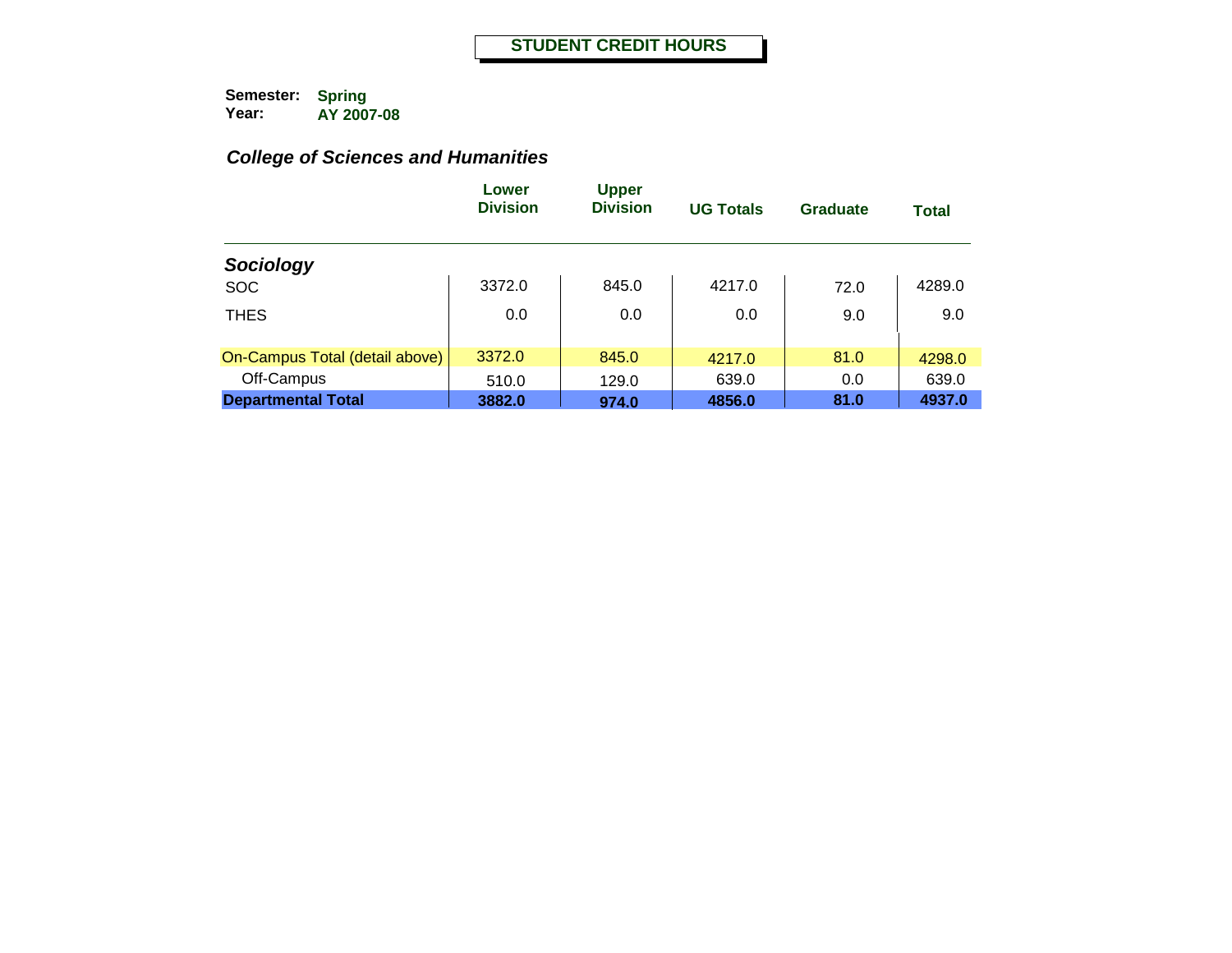|                                | Lower<br><b>Division</b> | <b>Upper</b><br><b>Division</b> | <b>UG Totals</b> | Graduate | <b>Total</b> |
|--------------------------------|--------------------------|---------------------------------|------------------|----------|--------------|
| Sociology                      |                          |                                 |                  |          |              |
| <b>SOC</b>                     | 3372.0                   | 845.0                           | 4217.0           | 72.0     | 4289.0       |
| <b>THES</b>                    | 0.0                      | 0.0                             | 0.0              | 9.0      | 9.0          |
| On-Campus Total (detail above) | 3372.0                   | 845.0                           | 4217.0           | 81.0     | 4298.0       |
| Off-Campus                     | 510.0                    | 129.0                           | 639.0            | 0.0      | 639.0        |
| <b>Departmental Total</b>      | 3882.0                   | 974.0                           | 4856.0           | 81.0     | 4937.0       |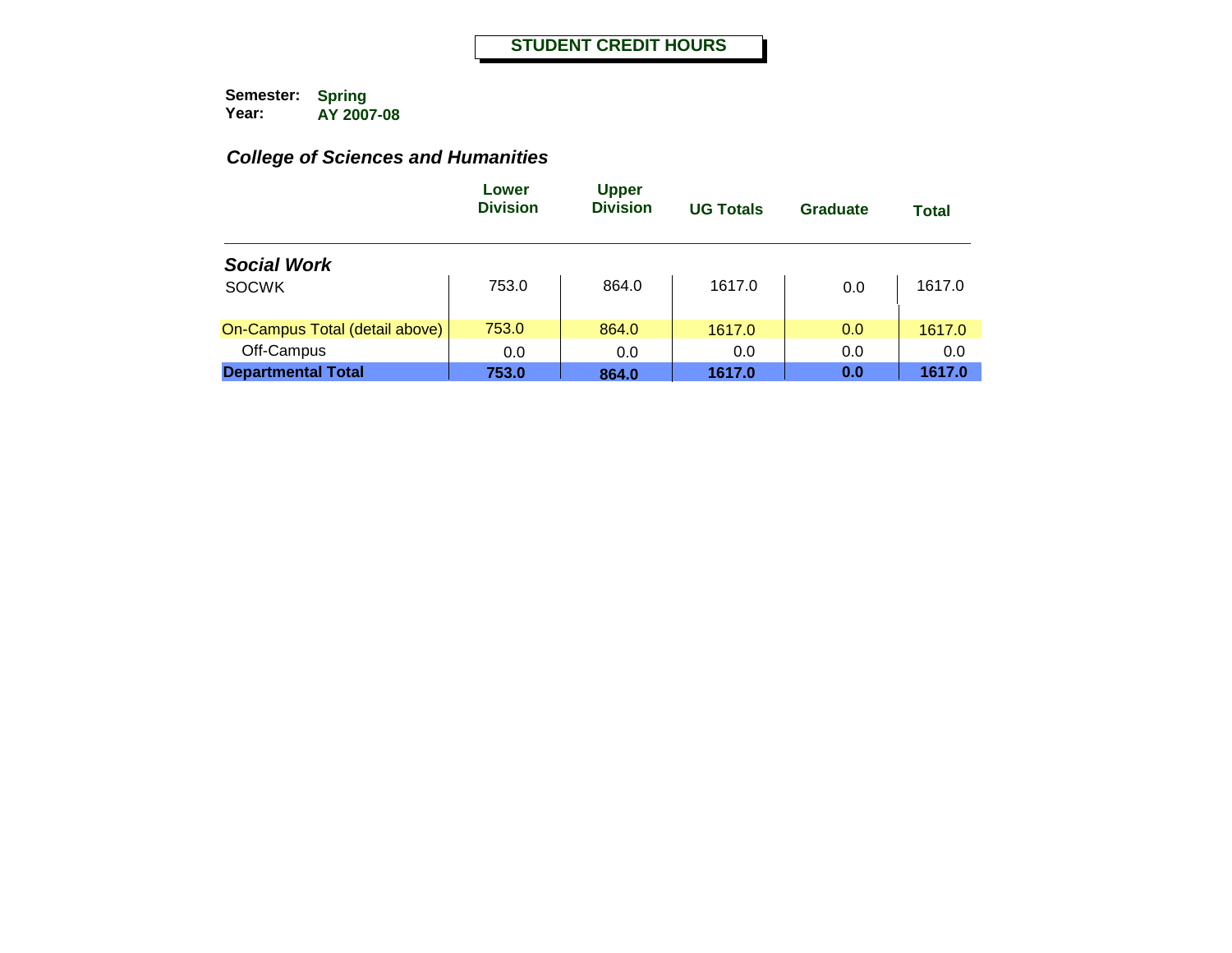|                                | Lower<br><b>Division</b> | <b>Upper</b><br><b>Division</b> | <b>UG Totals</b> | Graduate | <b>Total</b> |
|--------------------------------|--------------------------|---------------------------------|------------------|----------|--------------|
| <b>Social Work</b>             |                          |                                 |                  |          |              |
| <b>SOCWK</b>                   | 753.0                    | 864.0                           | 1617.0           | 0.0      | 1617.0       |
| On-Campus Total (detail above) | 753.0                    | 864.0                           | 1617.0           | 0.0      | 1617.0       |
| Off-Campus                     | 0.0                      | 0.0                             | 0.0              | 0.0      | 0.0          |
| <b>Departmental Total</b>      | 753.0                    | 864.0                           | 1617.0           | 0.0      | 1617.0       |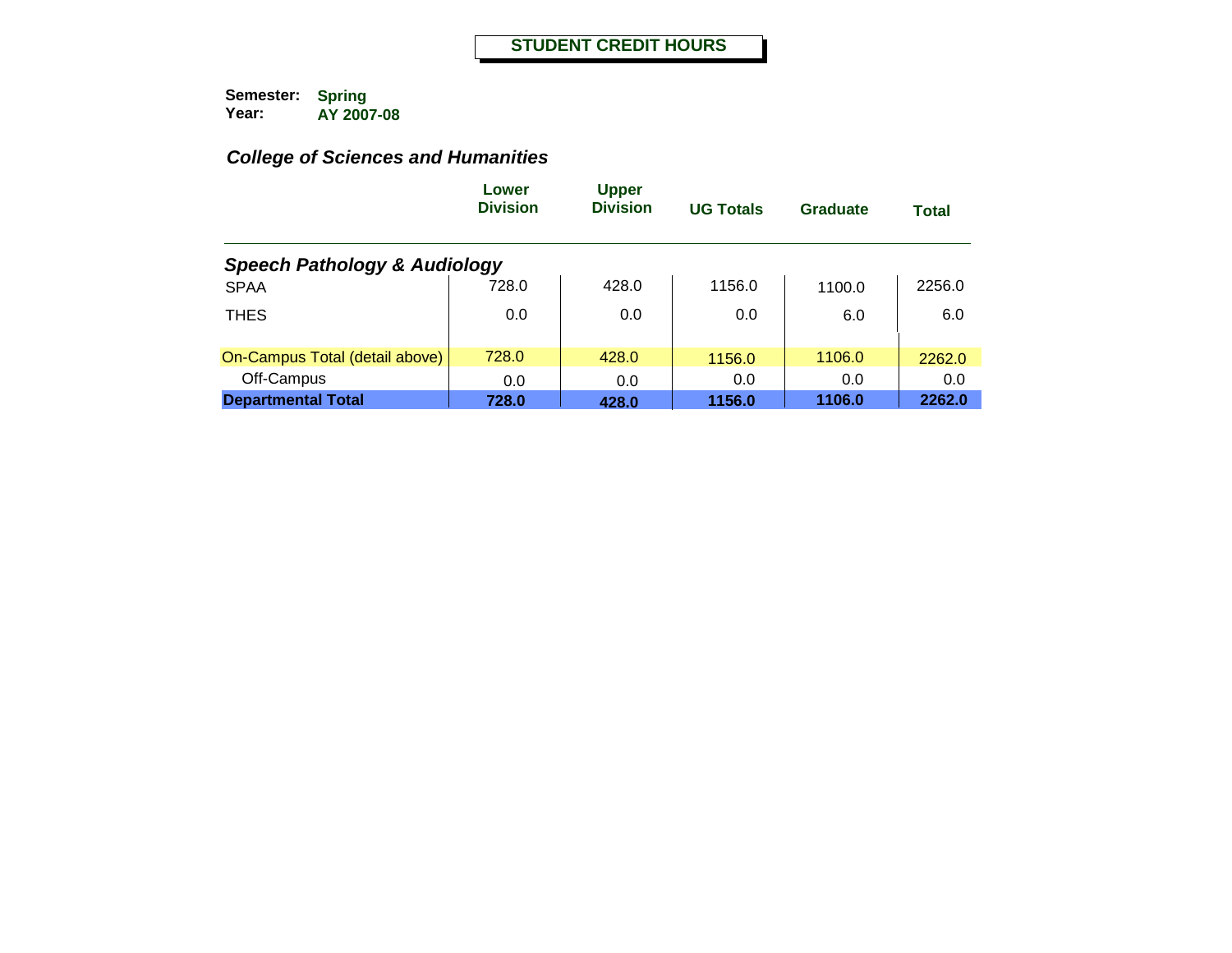|                                         | Lower<br><b>Division</b> | <b>Upper</b><br><b>Division</b> | <b>UG Totals</b> | Graduate | <b>Total</b> |
|-----------------------------------------|--------------------------|---------------------------------|------------------|----------|--------------|
| <b>Speech Pathology &amp; Audiology</b> |                          |                                 |                  |          |              |
| <b>SPAA</b>                             | 728.0                    | 428.0                           | 1156.0           | 1100.0   | 2256.0       |
| <b>THES</b>                             | 0.0                      | 0.0                             | 0.0              | 6.0      | 6.0          |
| On-Campus Total (detail above)          | 728.0                    | 428.0                           | 1156.0           | 1106.0   | 2262.0       |
| Off-Campus                              | 0.0                      | 0.0                             | 0.0              | 0.0      | 0.0          |
| <b>Departmental Total</b>               | 728.0                    | 428.0                           | 1156.0           | 1106.0   | 2262.0       |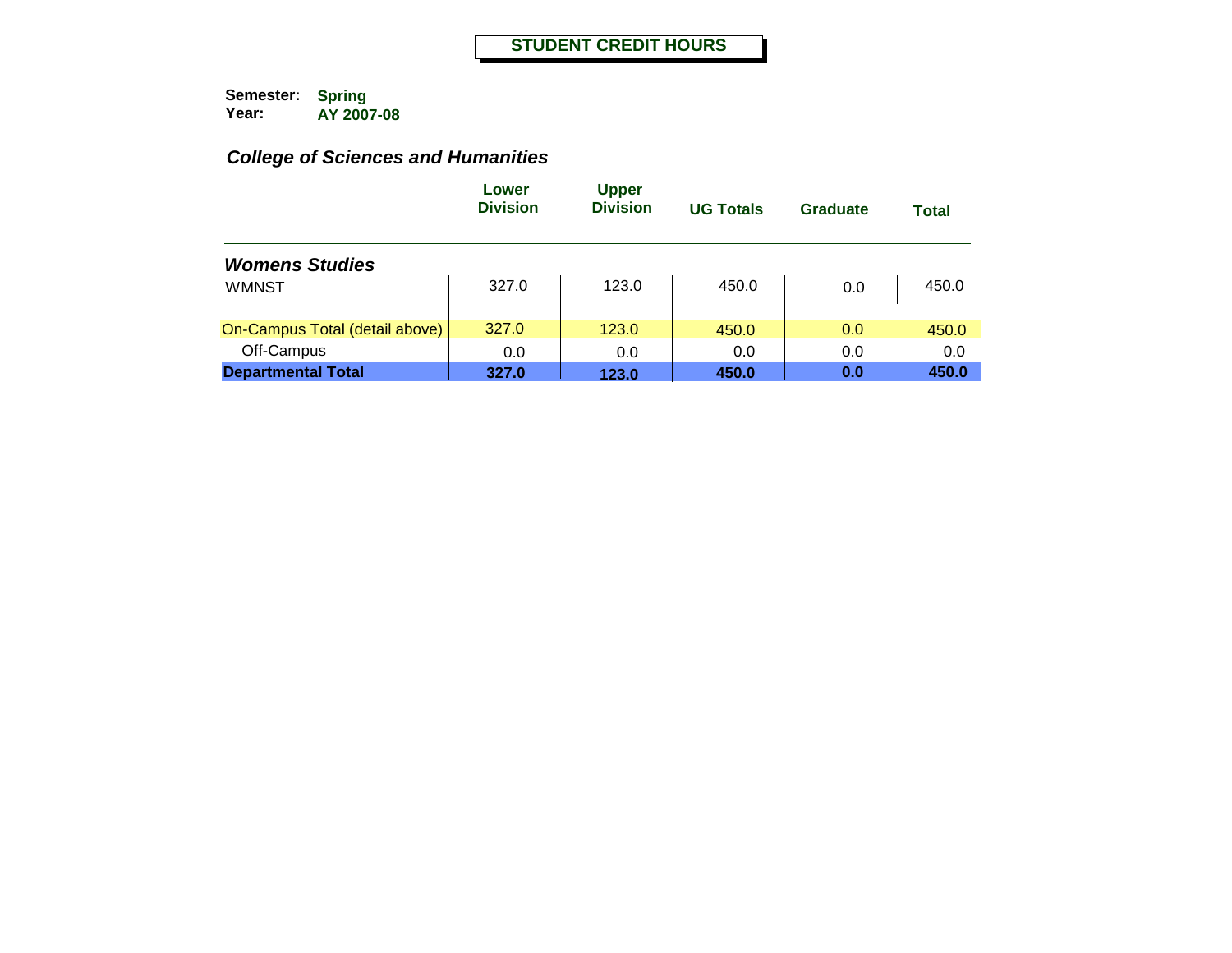|                                | Lower<br><b>Division</b> | <b>Upper</b><br><b>Division</b> | <b>UG Totals</b> | Graduate | <b>Total</b> |
|--------------------------------|--------------------------|---------------------------------|------------------|----------|--------------|
| <b>Womens Studies</b>          |                          |                                 |                  |          |              |
| <b>WMNST</b>                   | 327.0                    | 123.0                           | 450.0            | 0.0      | 450.0        |
| On-Campus Total (detail above) | 327.0                    | 123.0                           | 450.0            | 0.0      | 450.0        |
| Off-Campus                     | 0.0                      | 0.0                             | 0.0              | 0.0      | 0.0          |
| <b>Departmental Total</b>      | 327.0                    | 123.0                           | 450.0            | 0.0      | 450.0        |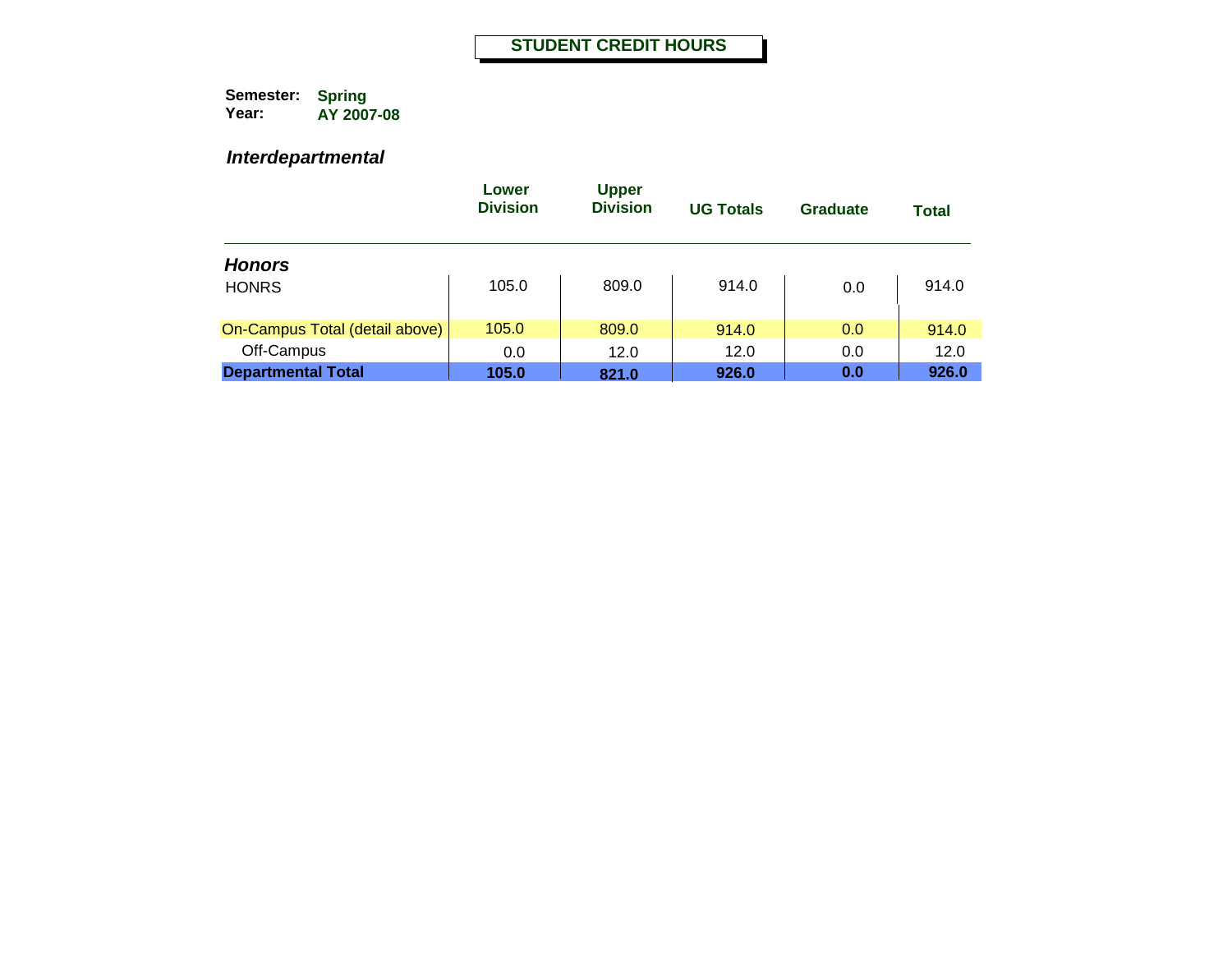#### *Interdepartmental*

|                                | Lower<br><b>Division</b> | <b>Upper</b><br><b>Division</b> | <b>UG Totals</b> | <b>Graduate</b> | Total |
|--------------------------------|--------------------------|---------------------------------|------------------|-----------------|-------|
| <b>Honors</b>                  |                          |                                 |                  |                 |       |
| <b>HONRS</b>                   | 105.0                    | 809.0                           | 914.0            | 0.0             | 914.0 |
| On-Campus Total (detail above) | 105.0                    | 809.0                           | 914.0            | 0.0             | 914.0 |
| Off-Campus                     | 0.0                      | 12.0                            | 12.0             | 0.0             | 12.0  |
| <b>Departmental Total</b>      | 105.0                    | 821.0                           | 926.0            | 0.0             | 926.0 |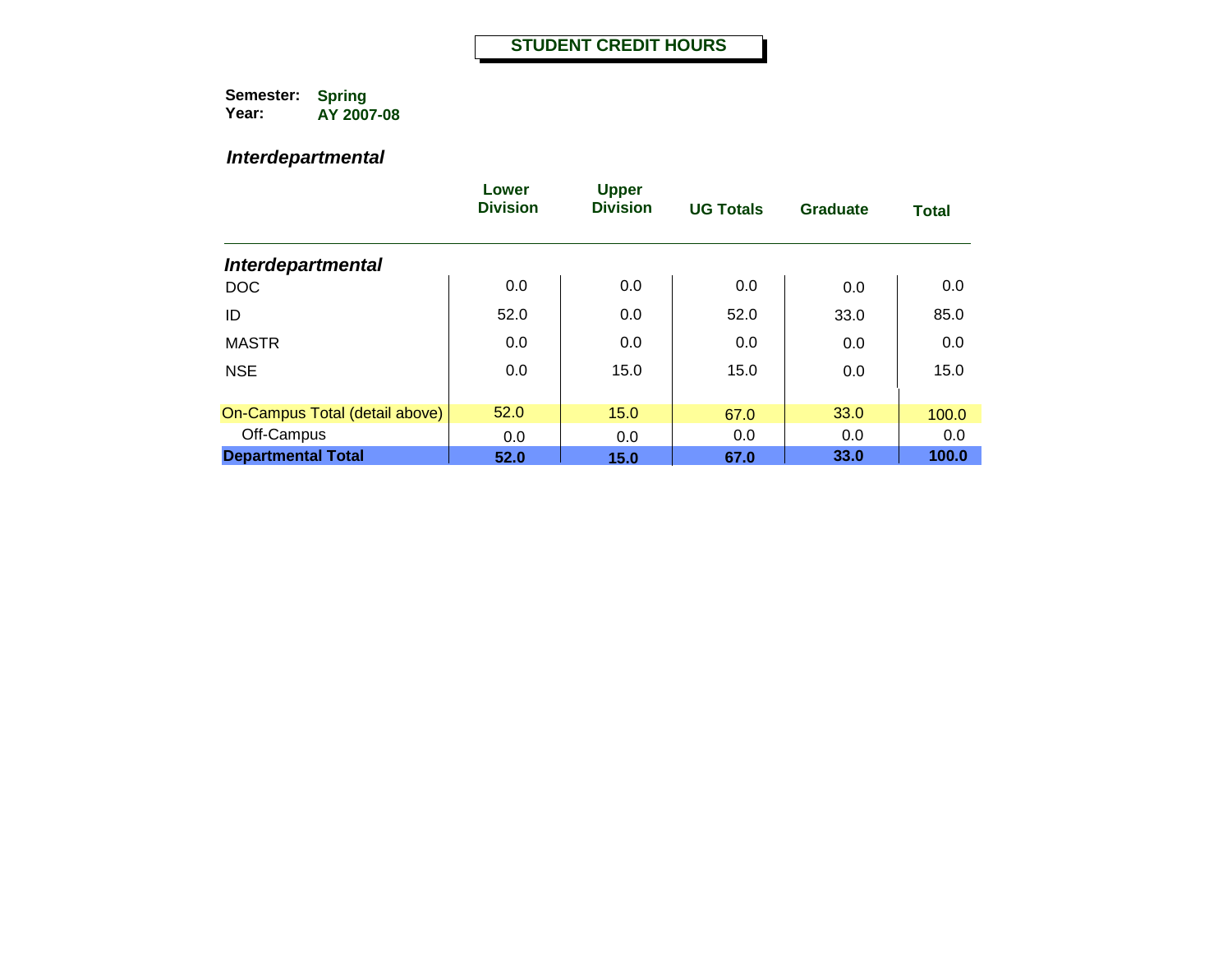#### *Interdepartmental*

|                                | Lower<br><b>Division</b> | <b>Upper</b><br><b>Division</b> | <b>UG Totals</b> | Graduate | <b>Total</b> |
|--------------------------------|--------------------------|---------------------------------|------------------|----------|--------------|
| <b>Interdepartmental</b>       |                          |                                 |                  |          |              |
| <b>DOC</b>                     | 0.0                      | 0.0                             | 0.0              | 0.0      | 0.0          |
| ID                             | 52.0                     | 0.0                             | 52.0             | 33.0     | 85.0         |
| <b>MASTR</b>                   | 0.0                      | 0.0                             | 0.0              | 0.0      | 0.0          |
| <b>NSE</b>                     | 0.0                      | 15.0                            | 15.0             | 0.0      | 15.0         |
| On-Campus Total (detail above) | 52.0                     | 15.0                            | 67.0             | 33.0     | 100.0        |
| Off-Campus                     | 0.0                      | 0.0                             | 0.0              | 0.0      | 0.0          |
| <b>Departmental Total</b>      | 52.0                     | 15.0                            | 67.0             | 33.0     | 100.0        |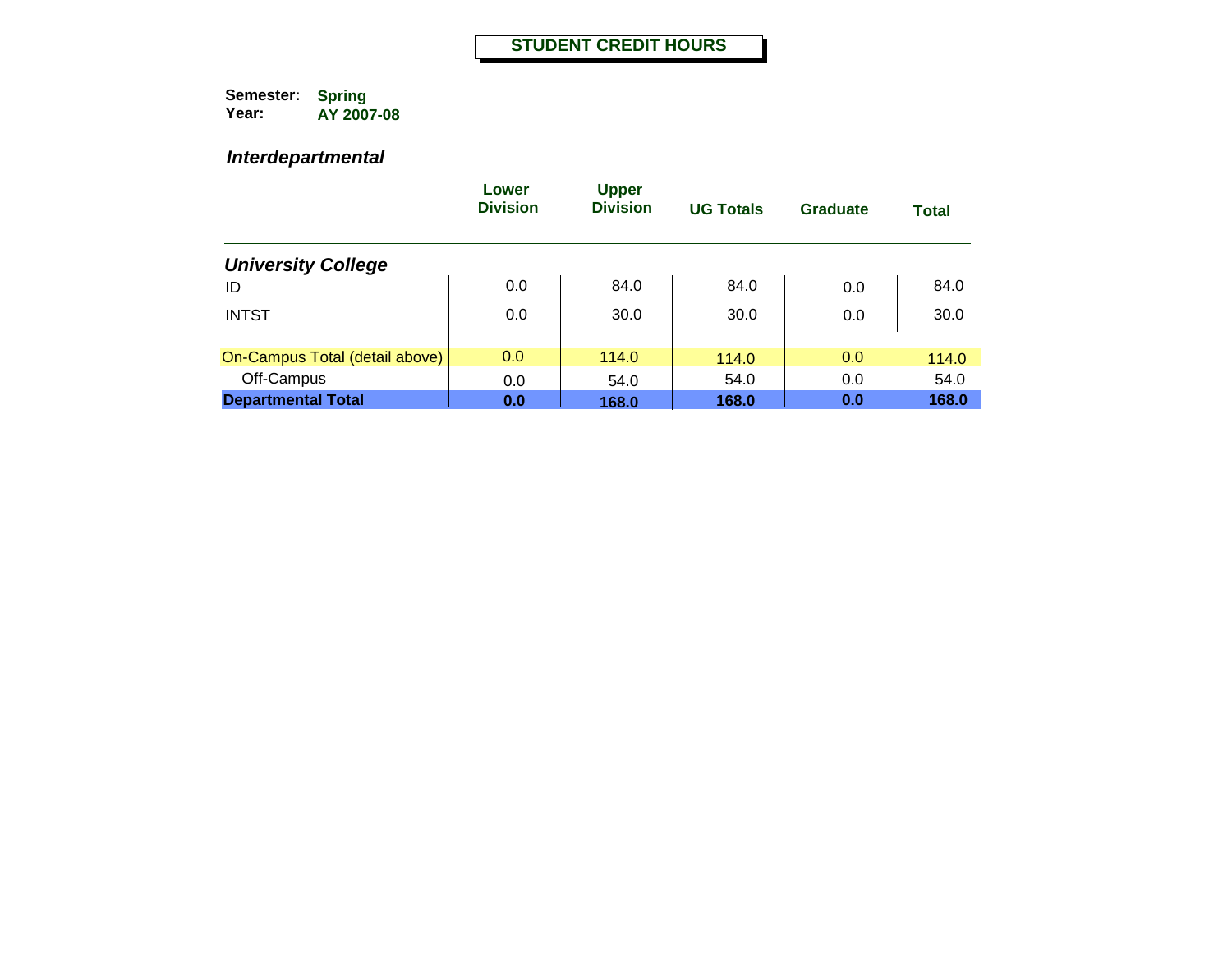#### *Interdepartmental*

|                                | Lower<br><b>Division</b> | <b>Upper</b><br><b>Division</b> | <b>UG Totals</b> | Graduate | <b>Total</b> |
|--------------------------------|--------------------------|---------------------------------|------------------|----------|--------------|
| <b>University College</b>      |                          |                                 |                  |          |              |
| ID                             | 0.0                      | 84.0                            | 84.0             | 0.0      | 84.0         |
| <b>INTST</b>                   | 0.0                      | 30.0                            | 30.0             | 0.0      | 30.0         |
| On-Campus Total (detail above) | 0.0                      | 114.0                           | 114.0            | 0.0      | 114.0        |
| Off-Campus                     | 0.0                      | 54.0                            | 54.0             | 0.0      | 54.0         |
| <b>Departmental Total</b>      | 0.0                      | 168.0                           | 168.0            | 0.0      | 168.0        |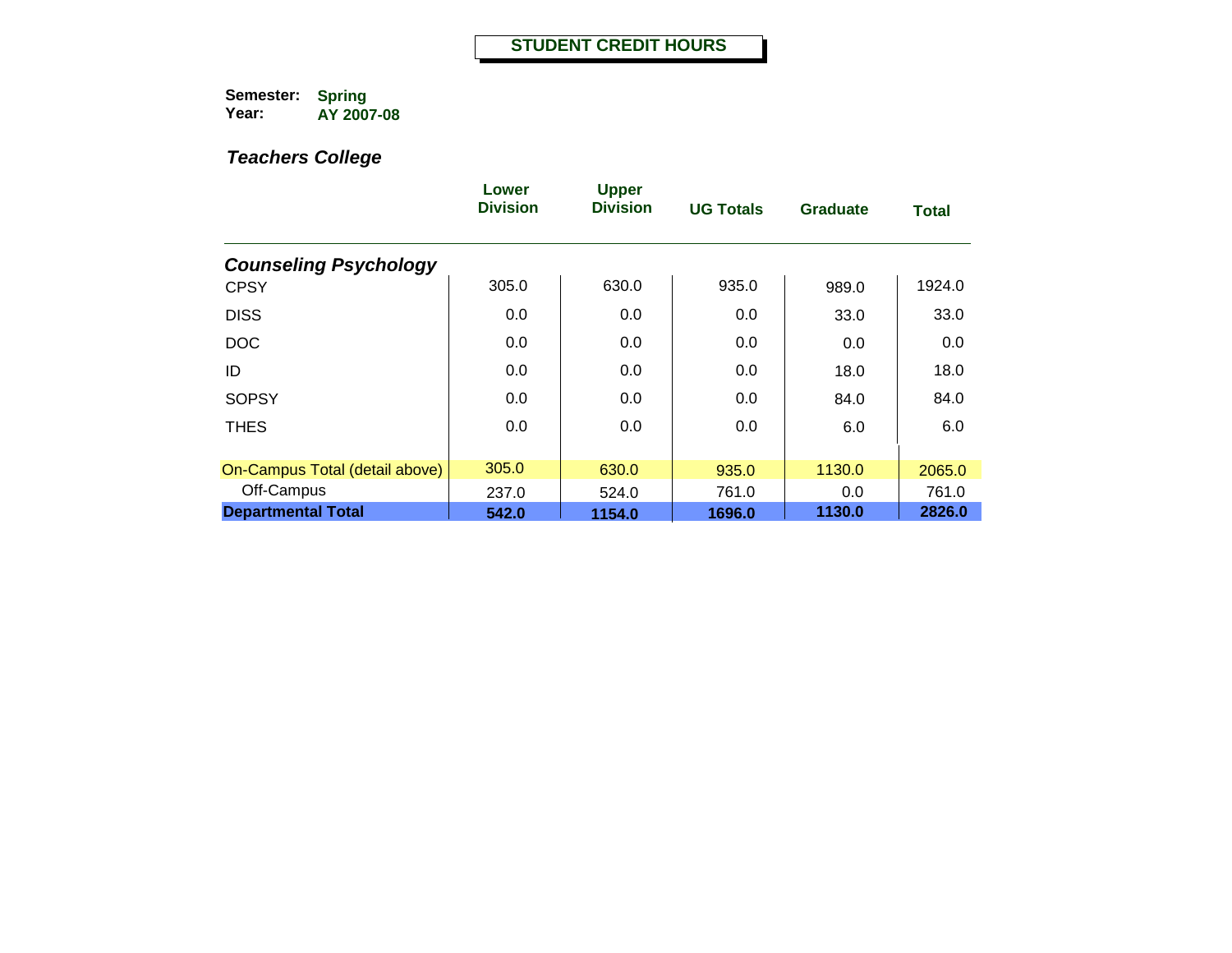|                                | Lower<br><b>Division</b> | <b>Upper</b><br><b>Division</b> | <b>UG Totals</b> | Graduate | <b>Total</b> |
|--------------------------------|--------------------------|---------------------------------|------------------|----------|--------------|
| <b>Counseling Psychology</b>   |                          |                                 |                  |          |              |
| <b>CPSY</b>                    | 305.0                    | 630.0                           | 935.0            | 989.0    | 1924.0       |
| <b>DISS</b>                    | 0.0                      | 0.0                             | 0.0              | 33.0     | 33.0         |
| <b>DOC</b>                     | 0.0                      | 0.0                             | 0.0              | 0.0      | 0.0          |
| ID                             | 0.0                      | 0.0                             | 0.0              | 18.0     | 18.0         |
| <b>SOPSY</b>                   | 0.0                      | 0.0                             | 0.0              | 84.0     | 84.0         |
| <b>THES</b>                    | 0.0                      | 0.0                             | 0.0              | 6.0      | 6.0          |
| On-Campus Total (detail above) | 305.0                    | 630.0                           | 935.0            | 1130.0   | 2065.0       |
| Off-Campus                     | 237.0                    | 524.0                           | 761.0            | 0.0      | 761.0        |
| <b>Departmental Total</b>      | 542.0                    | 1154.0                          | 1696.0           | 1130.0   | 2826.0       |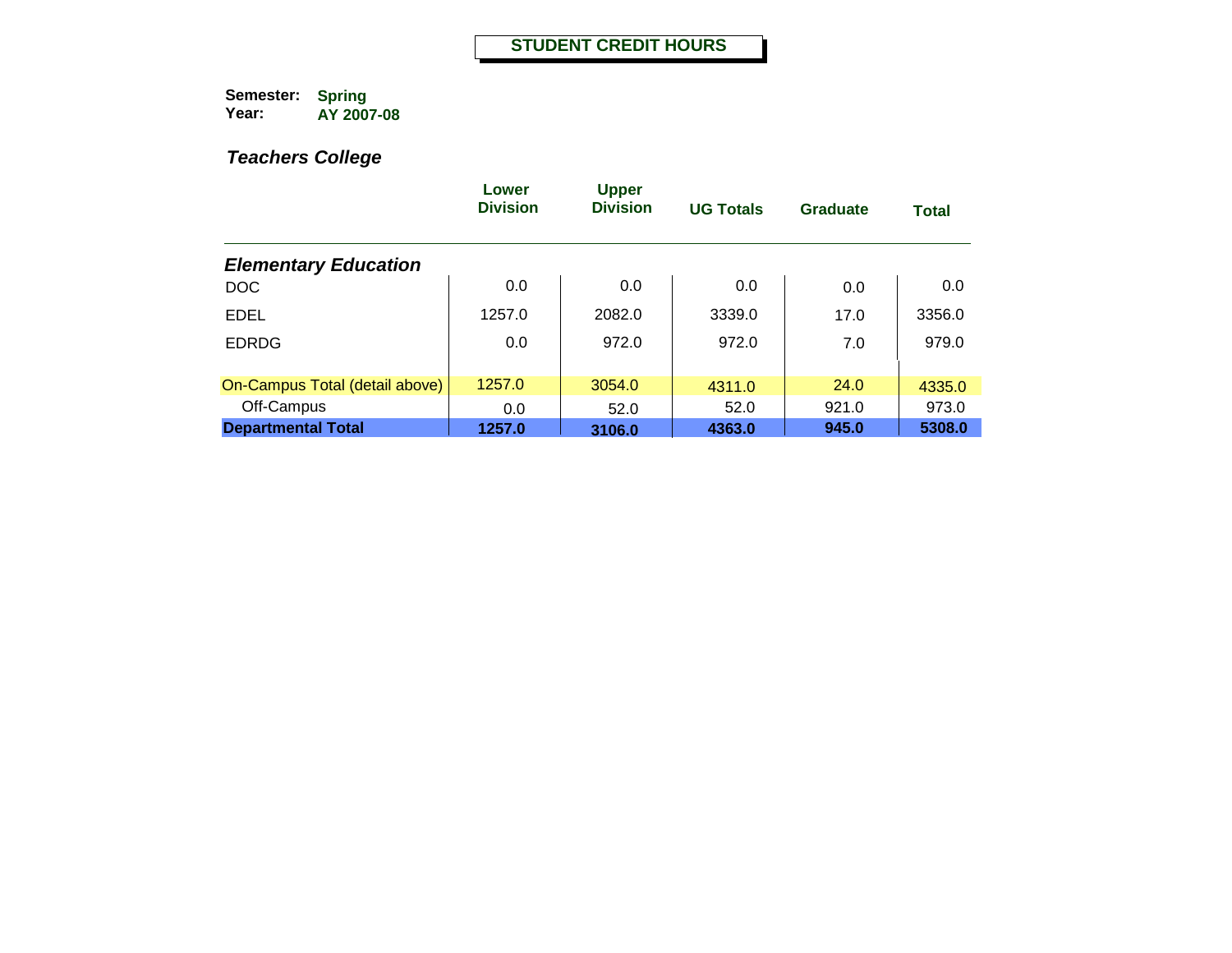|                                | Lower<br><b>Division</b> | <b>Upper</b><br><b>Division</b> | <b>UG Totals</b> | Graduate | <b>Total</b> |
|--------------------------------|--------------------------|---------------------------------|------------------|----------|--------------|
| <b>Elementary Education</b>    |                          |                                 |                  |          |              |
| <b>DOC</b>                     | 0.0                      | 0.0                             | 0.0              | 0.0      | 0.0          |
| <b>EDEL</b>                    | 1257.0                   | 2082.0                          | 3339.0           | 17.0     | 3356.0       |
| <b>EDRDG</b>                   | 0.0                      | 972.0                           | 972.0            | 7.0      | 979.0        |
|                                |                          |                                 |                  |          |              |
| On-Campus Total (detail above) | 1257.0                   | 3054.0                          | 4311.0           | 24.0     | 4335.0       |
| Off-Campus                     | 0.0                      | 52.0                            | 52.0             | 921.0    | 973.0        |
| <b>Departmental Total</b>      | 1257.0                   | 3106.0                          | 4363.0           | 945.0    | 5308.0       |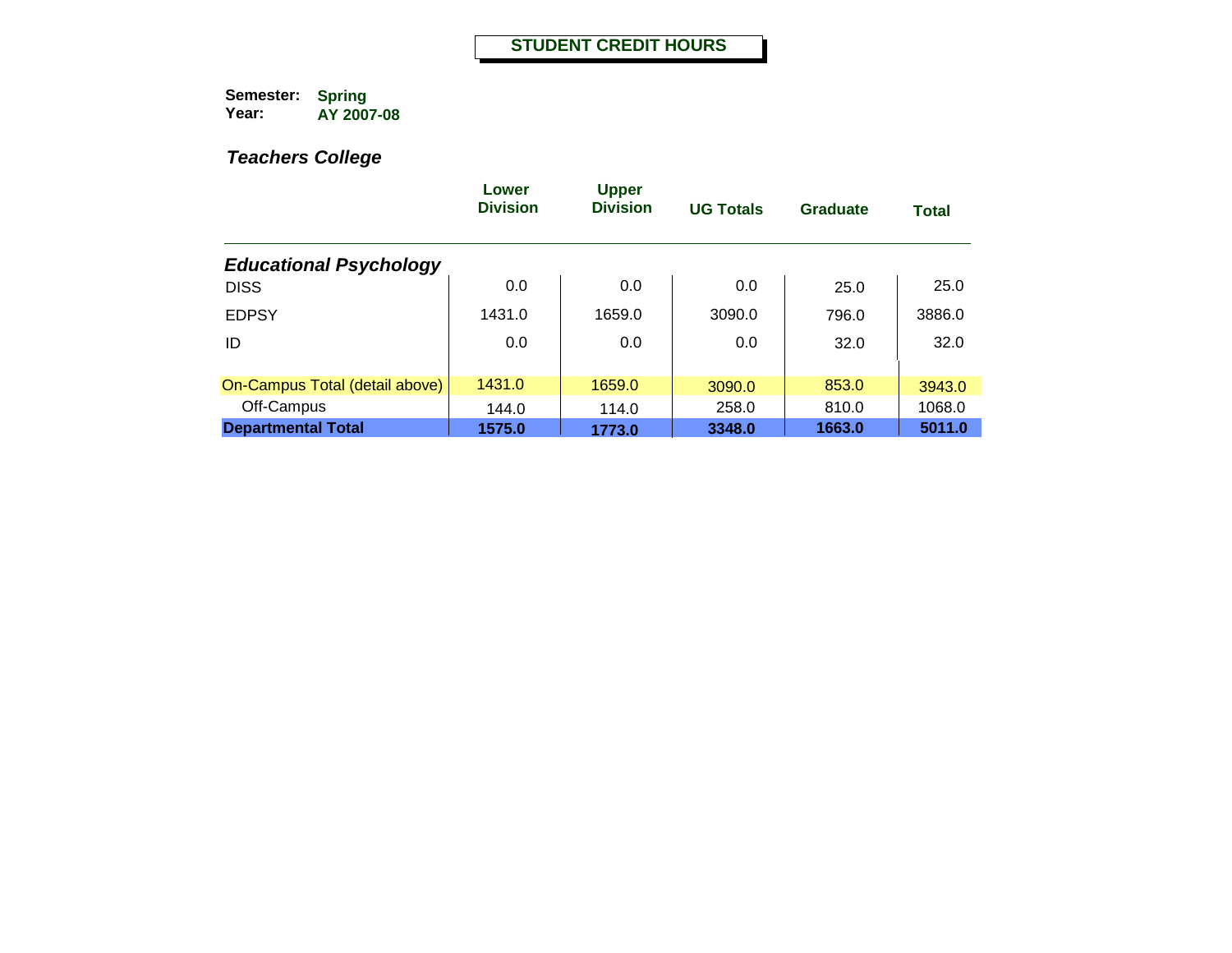|                                | Lower<br><b>Division</b> | <b>Upper</b><br><b>Division</b> | <b>UG Totals</b> | <b>Graduate</b> | <b>Total</b> |
|--------------------------------|--------------------------|---------------------------------|------------------|-----------------|--------------|
| <b>Educational Psychology</b>  |                          |                                 |                  |                 |              |
| <b>DISS</b>                    | 0.0                      | 0.0                             | 0.0              | 25.0            | 25.0         |
| <b>EDPSY</b>                   | 1431.0                   | 1659.0                          | 3090.0           | 796.0           | 3886.0       |
| ID                             | 0.0                      | 0.0                             | 0.0              | 32.0            | 32.0         |
|                                |                          |                                 |                  |                 |              |
| On-Campus Total (detail above) | 1431.0                   | 1659.0                          | 3090.0           | 853.0           | 3943.0       |
| Off-Campus                     | 144.0                    | 114.0                           | 258.0            | 810.0           | 1068.0       |
| <b>Departmental Total</b>      | 1575.0                   | 1773.0                          | 3348.0           | 1663.0          | 5011.0       |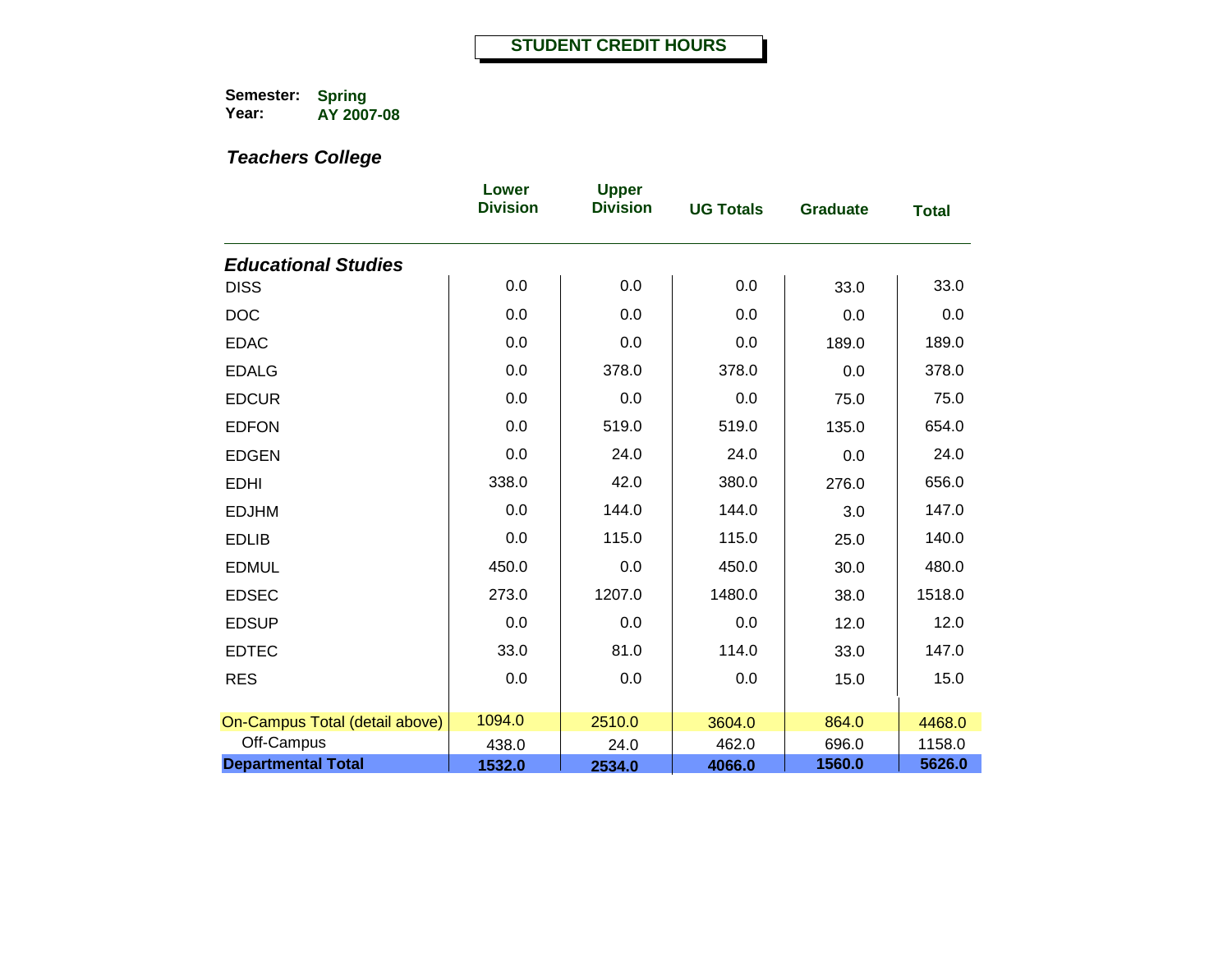|                                | Lower<br><b>Division</b> | <b>Upper</b><br><b>Division</b> | <b>UG Totals</b> | <b>Graduate</b> | <b>Total</b> |
|--------------------------------|--------------------------|---------------------------------|------------------|-----------------|--------------|
| <b>Educational Studies</b>     |                          |                                 |                  |                 |              |
| <b>DISS</b>                    | 0.0                      | 0.0                             | 0.0              | 33.0            | 33.0         |
| <b>DOC</b>                     | 0.0                      | 0.0                             | 0.0              | 0.0             | 0.0          |
| <b>EDAC</b>                    | 0.0                      | 0.0                             | 0.0              | 189.0           | 189.0        |
| <b>EDALG</b>                   | 0.0                      | 378.0                           | 378.0            | 0.0             | 378.0        |
| <b>EDCUR</b>                   | 0.0                      | 0.0                             | 0.0              | 75.0            | 75.0         |
| <b>EDFON</b>                   | 0.0                      | 519.0                           | 519.0            | 135.0           | 654.0        |
| <b>EDGEN</b>                   | 0.0                      | 24.0                            | 24.0             | 0.0             | 24.0         |
| <b>EDHI</b>                    | 338.0                    | 42.0                            | 380.0            | 276.0           | 656.0        |
| <b>EDJHM</b>                   | 0.0                      | 144.0                           | 144.0            | 3.0             | 147.0        |
| <b>EDLIB</b>                   | 0.0                      | 115.0                           | 115.0            | 25.0            | 140.0        |
| <b>EDMUL</b>                   | 450.0                    | 0.0                             | 450.0            | 30.0            | 480.0        |
| <b>EDSEC</b>                   | 273.0                    | 1207.0                          | 1480.0           | 38.0            | 1518.0       |
| <b>EDSUP</b>                   | 0.0                      | 0.0                             | 0.0              | 12.0            | 12.0         |
| <b>EDTEC</b>                   | 33.0                     | 81.0                            | 114.0            | 33.0            | 147.0        |
| <b>RES</b>                     | 0.0                      | 0.0                             | 0.0              | 15.0            | 15.0         |
| On-Campus Total (detail above) | 1094.0                   | 2510.0                          | 3604.0           | 864.0           | 4468.0       |
| Off-Campus                     | 438.0                    | 24.0                            | 462.0            | 696.0           | 1158.0       |
| <b>Departmental Total</b>      | 1532.0                   | 2534.0                          | 4066.0           | 1560.0          | 5626.0       |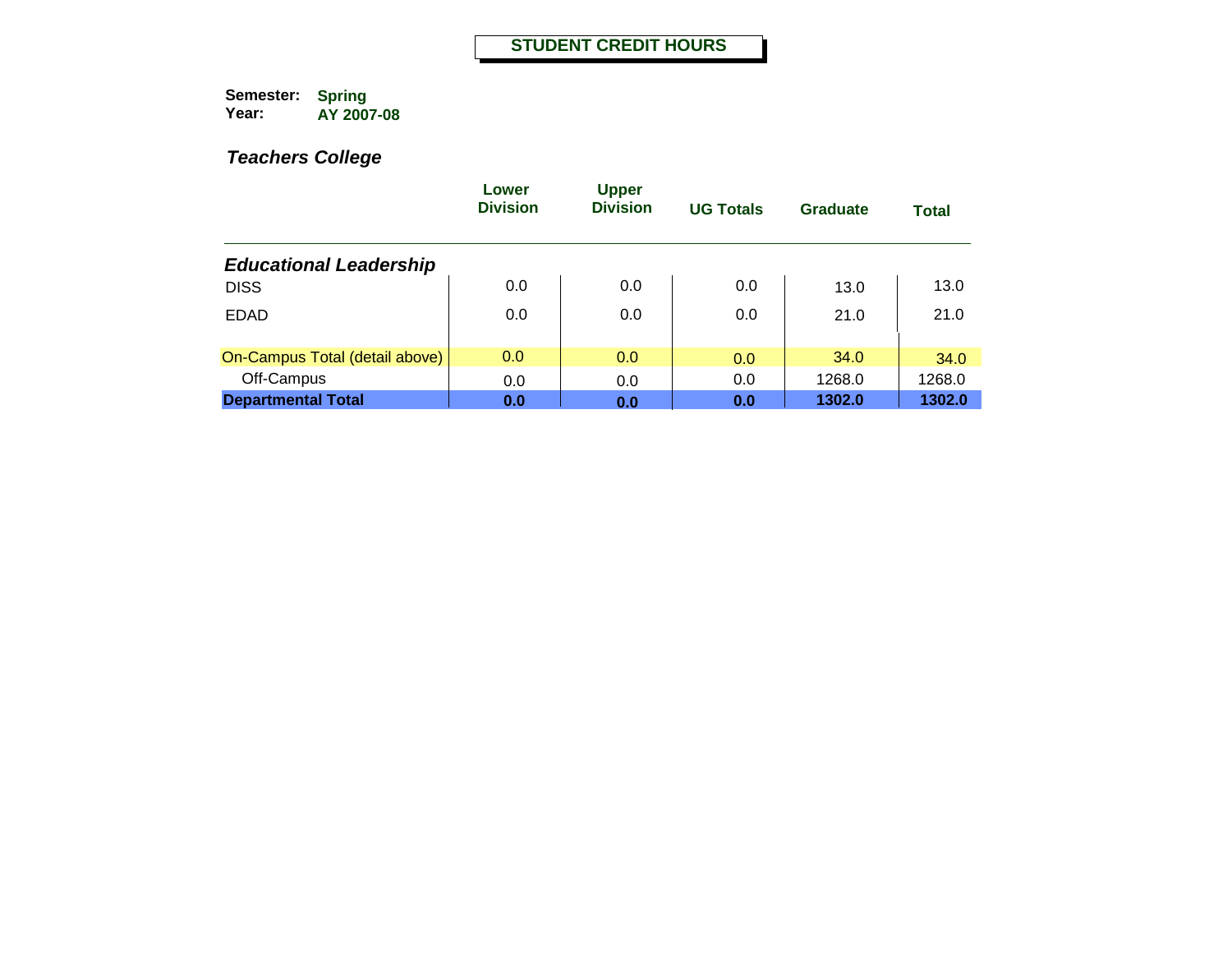|                                | Lower<br><b>Division</b> | <b>Upper</b><br><b>Division</b> | <b>UG Totals</b> | Graduate | <b>Total</b> |
|--------------------------------|--------------------------|---------------------------------|------------------|----------|--------------|
| <b>Educational Leadership</b>  |                          |                                 |                  |          |              |
| <b>DISS</b>                    | 0.0                      | 0.0                             | 0.0              | 13.0     | 13.0         |
| <b>EDAD</b>                    | 0.0                      | 0.0                             | 0.0              | 21.0     | 21.0         |
| On-Campus Total (detail above) | 0.0                      | 0.0                             | 0.0              | 34.0     | 34.0         |
| Off-Campus                     | 0.0                      | 0.0                             | 0.0              | 1268.0   | 1268.0       |
| <b>Departmental Total</b>      | 0.0                      | 0.0                             | 0.0              | 1302.0   | 1302.0       |